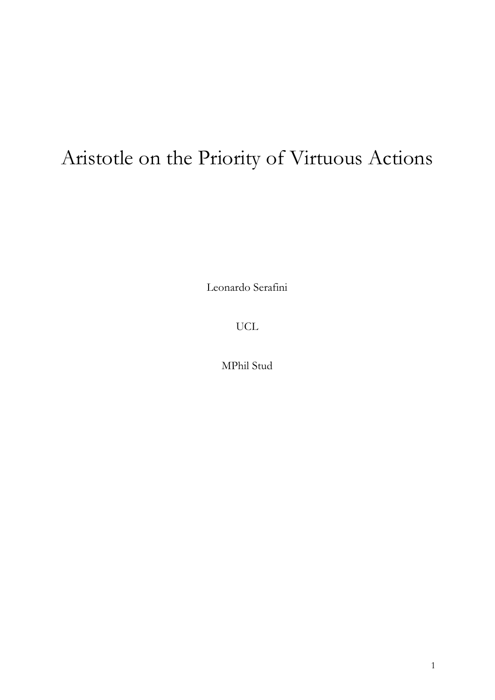# Aristotle on the Priority of Virtuous Actions

Leonardo Serafini

UCL

MPhil Stud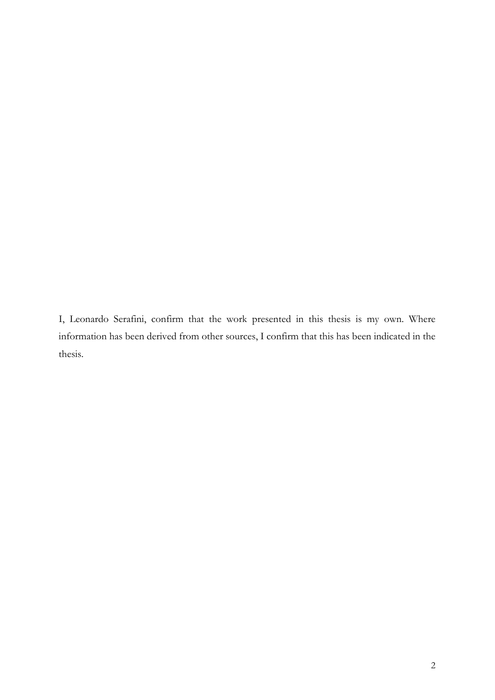I, Leonardo Serafini, confirm that the work presented in this thesis is my own. Where information has been derived from other sources, I confirm that this has been indicated in the thesis.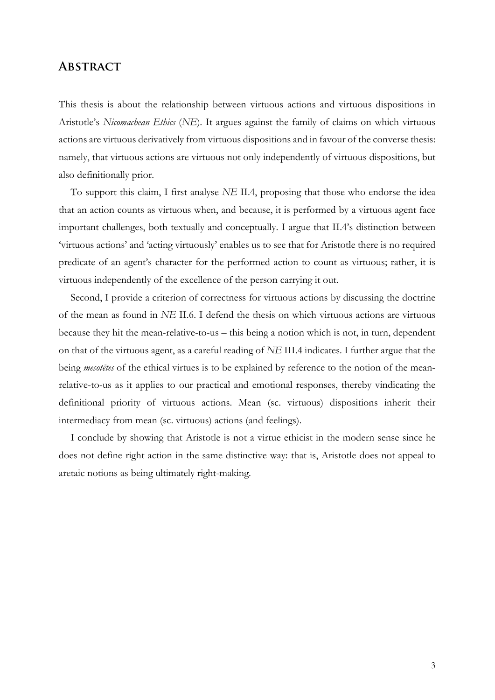### **Abstract**

This thesis is about the relationship between virtuous actions and virtuous dispositions in Aristotle's *Nicomachean Ethics* (*NE*)*.* It argues against the family of claims on which virtuous actions are virtuous derivatively from virtuous dispositions and in favour of the converse thesis: namely, that virtuous actions are virtuous not only independently of virtuous dispositions, but also definitionally prior.

To support this claim, I first analyse *NE* II.4, proposing that those who endorse the idea that an action counts as virtuous when, and because, it is performed by a virtuous agent face important challenges, both textually and conceptually. I argue that II.4's distinction between 'virtuous actions' and 'acting virtuously' enables us to see that for Aristotle there is no required predicate of an agent's character for the performed action to count as virtuous; rather, it is virtuous independently of the excellence of the person carrying it out.

Second, I provide a criterion of correctness for virtuous actions by discussing the doctrine of the mean as found in *NE* II.6. I defend the thesis on which virtuous actions are virtuous because they hit the mean-relative-to-us – this being a notion which is not, in turn, dependent on that of the virtuous agent, as a careful reading of *NE* III.4 indicates. I further argue that the being *mesotētes* of the ethical virtues is to be explained by reference to the notion of the meanrelative-to-us as it applies to our practical and emotional responses, thereby vindicating the definitional priority of virtuous actions. Mean (sc. virtuous) dispositions inherit their intermediacy from mean (sc. virtuous) actions (and feelings).

I conclude by showing that Aristotle is not a virtue ethicist in the modern sense since he does not define right action in the same distinctive way: that is, Aristotle does not appeal to aretaic notions as being ultimately right-making.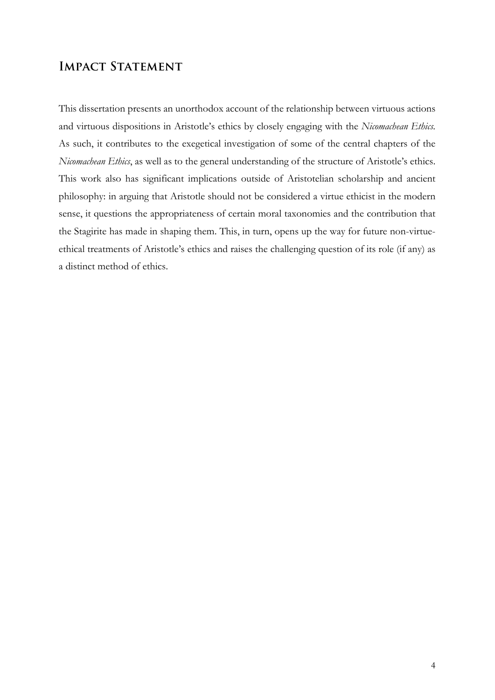# **IMPACT STATEMENT**

This dissertation presents an unorthodox account of the relationship between virtuous actions and virtuous dispositions in Aristotle's ethics by closely engaging with the *Nicomachean Ethics.*  As such, it contributes to the exegetical investigation of some of the central chapters of the *Nicomachean Ethics*, as well as to the general understanding of the structure of Aristotle's ethics. This work also has significant implications outside of Aristotelian scholarship and ancient philosophy: in arguing that Aristotle should not be considered a virtue ethicist in the modern sense, it questions the appropriateness of certain moral taxonomies and the contribution that the Stagirite has made in shaping them. This, in turn, opens up the way for future non-virtueethical treatments of Aristotle's ethics and raises the challenging question of its role (if any) as a distinct method of ethics.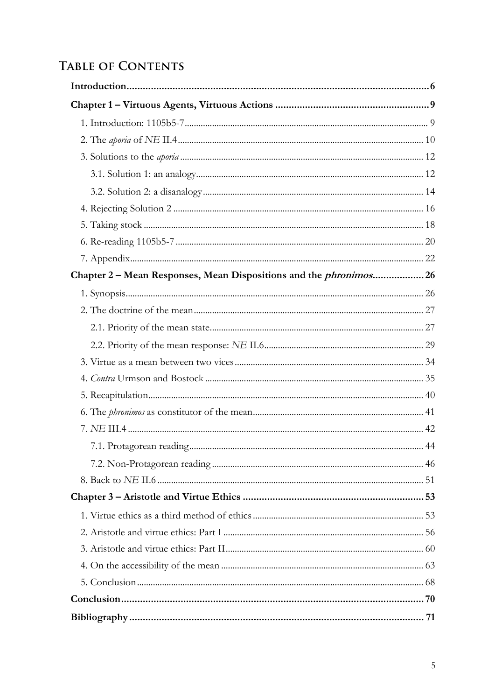# **TABLE OF CONTENTS**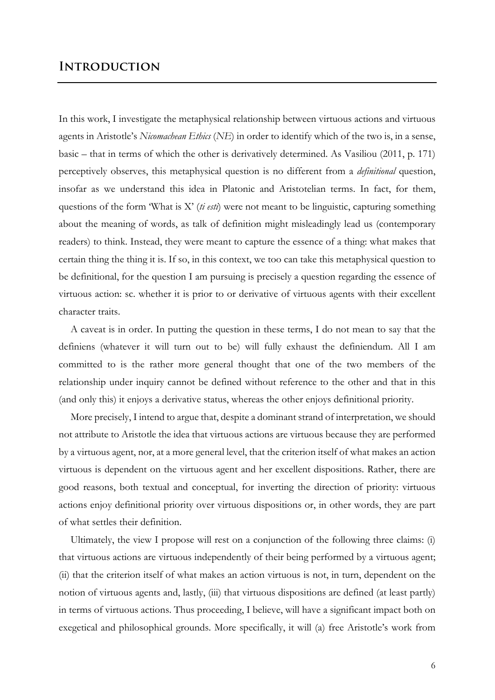## **Introduction**

In this work, I investigate the metaphysical relationship between virtuous actions and virtuous agents in Aristotle's *Nicomachean Ethics* (*NE*) in order to identify which of the two is, in a sense, basic – that in terms of which the other is derivatively determined. As Vasiliou (2011, p. 171) perceptively observes, this metaphysical question is no different from a *definitional* question, insofar as we understand this idea in Platonic and Aristotelian terms. In fact, for them, questions of the form 'What is X' (*ti esti*) were not meant to be linguistic, capturing something about the meaning of words, as talk of definition might misleadingly lead us (contemporary readers) to think. Instead, they were meant to capture the essence of a thing: what makes that certain thing the thing it is. If so, in this context, we too can take this metaphysical question to be definitional, for the question I am pursuing is precisely a question regarding the essence of virtuous action: sc. whether it is prior to or derivative of virtuous agents with their excellent character traits.

A caveat is in order. In putting the question in these terms, I do not mean to say that the definiens (whatever it will turn out to be) will fully exhaust the definiendum. All I am committed to is the rather more general thought that one of the two members of the relationship under inquiry cannot be defined without reference to the other and that in this (and only this) it enjoys a derivative status, whereas the other enjoys definitional priority.

More precisely, I intend to argue that, despite a dominant strand of interpretation, we should not attribute to Aristotle the idea that virtuous actions are virtuous because they are performed by a virtuous agent, nor, at a more general level, that the criterion itself of what makes an action virtuous is dependent on the virtuous agent and her excellent dispositions. Rather, there are good reasons, both textual and conceptual, for inverting the direction of priority: virtuous actions enjoy definitional priority over virtuous dispositions or, in other words, they are part of what settles their definition.

Ultimately, the view I propose will rest on a conjunction of the following three claims: (i) that virtuous actions are virtuous independently of their being performed by a virtuous agent; (ii) that the criterion itself of what makes an action virtuous is not, in turn, dependent on the notion of virtuous agents and, lastly, (iii) that virtuous dispositions are defined (at least partly) in terms of virtuous actions. Thus proceeding, I believe, will have a significant impact both on exegetical and philosophical grounds. More specifically, it will (a) free Aristotle's work from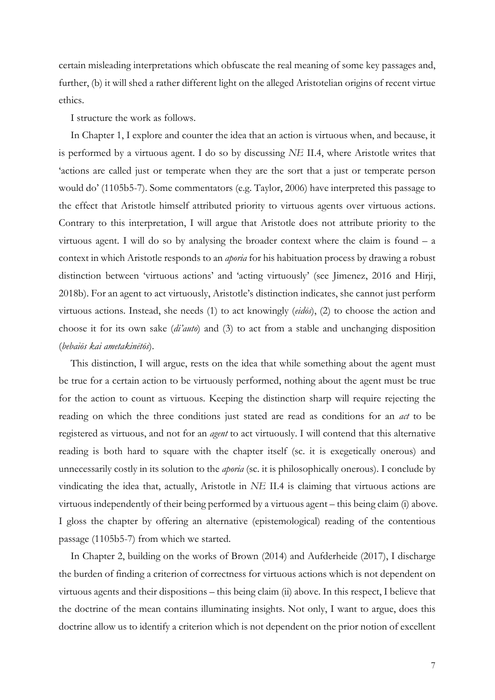certain misleading interpretations which obfuscate the real meaning of some key passages and, further, (b) it will shed a rather different light on the alleged Aristotelian origins of recent virtue ethics.

I structure the work as follows.

In Chapter 1, I explore and counter the idea that an action is virtuous when, and because, it is performed by a virtuous agent. I do so by discussing *NE* II.4, where Aristotle writes that 'actions are called just or temperate when they are the sort that a just or temperate person would do' (1105b5-7). Some commentators (e.g. Taylor, 2006) have interpreted this passage to the effect that Aristotle himself attributed priority to virtuous agents over virtuous actions. Contrary to this interpretation, I will argue that Aristotle does not attribute priority to the virtuous agent. I will do so by analysing the broader context where the claim is found – a context in which Aristotle responds to an *aporia* for his habituation process by drawing a robust distinction between 'virtuous actions' and 'acting virtuously' (see Jimenez, 2016 and Hirji, 2018b). For an agent to act virtuously, Aristotle's distinction indicates, she cannot just perform virtuous actions. Instead, she needs (1) to act knowingly (*eidōs*), (2) to choose the action and choose it for its own sake (*di'auto*) and (3) to act from a stable and unchanging disposition (*bebaiōs kai ametakinētōs*).

This distinction, I will argue, rests on the idea that while something about the agent must be true for a certain action to be virtuously performed, nothing about the agent must be true for the action to count as virtuous. Keeping the distinction sharp will require rejecting the reading on which the three conditions just stated are read as conditions for an *act* to be registered as virtuous, and not for an *agent* to act virtuously. I will contend that this alternative reading is both hard to square with the chapter itself (sc. it is exegetically onerous) and unnecessarily costly in its solution to the *aporia* (sc. it is philosophically onerous). I conclude by vindicating the idea that, actually, Aristotle in *NE* II.4 is claiming that virtuous actions are virtuous independently of their being performed by a virtuous agent – this being claim (i) above. I gloss the chapter by offering an alternative (epistemological) reading of the contentious passage (1105b5-7) from which we started.

In Chapter 2, building on the works of Brown (2014) and Aufderheide (2017), I discharge the burden of finding a criterion of correctness for virtuous actions which is not dependent on virtuous agents and their dispositions – this being claim (ii) above. In this respect, I believe that the doctrine of the mean contains illuminating insights. Not only, I want to argue, does this doctrine allow us to identify a criterion which is not dependent on the prior notion of excellent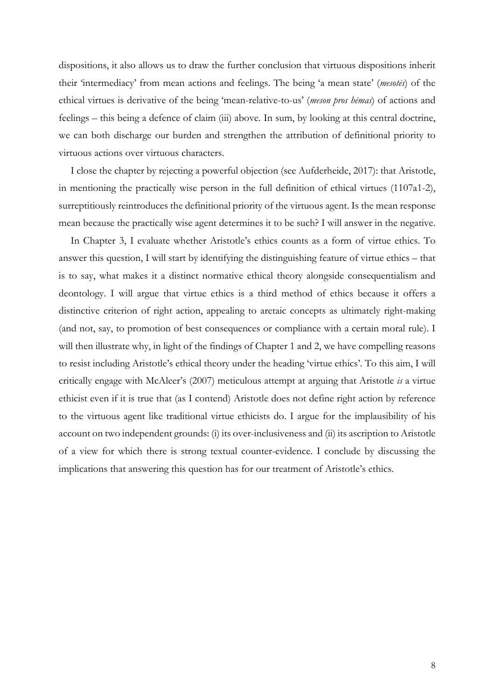dispositions, it also allows us to draw the further conclusion that virtuous dispositions inherit their 'intermediacy' from mean actions and feelings. The being 'a mean state' (*mesotēs*) of the ethical virtues is derivative of the being 'mean-relative-to-us' (*meson pros hēmas*) of actions and feelings – this being a defence of claim (iii) above. In sum, by looking at this central doctrine, we can both discharge our burden and strengthen the attribution of definitional priority to virtuous actions over virtuous characters.

I close the chapter by rejecting a powerful objection (see Aufderheide, 2017): that Aristotle, in mentioning the practically wise person in the full definition of ethical virtues (1107a1-2), surreptitiously reintroduces the definitional priority of the virtuous agent. Is the mean response mean because the practically wise agent determines it to be such? I will answer in the negative.

In Chapter 3, I evaluate whether Aristotle's ethics counts as a form of virtue ethics. To answer this question, I will start by identifying the distinguishing feature of virtue ethics – that is to say, what makes it a distinct normative ethical theory alongside consequentialism and deontology. I will argue that virtue ethics is a third method of ethics because it offers a distinctive criterion of right action, appealing to aretaic concepts as ultimately right-making (and not, say, to promotion of best consequences or compliance with a certain moral rule). I will then illustrate why, in light of the findings of Chapter 1 and 2, we have compelling reasons to resist including Aristotle's ethical theory under the heading 'virtue ethics'. To this aim, I will critically engage with McAleer's (2007) meticulous attempt at arguing that Aristotle *is* a virtue ethicist even if it is true that (as I contend) Aristotle does not define right action by reference to the virtuous agent like traditional virtue ethicists do. I argue for the implausibility of his account on two independent grounds: (i) its over-inclusiveness and (ii) its ascription to Aristotle of a view for which there is strong textual counter-evidence. I conclude by discussing the implications that answering this question has for our treatment of Aristotle's ethics.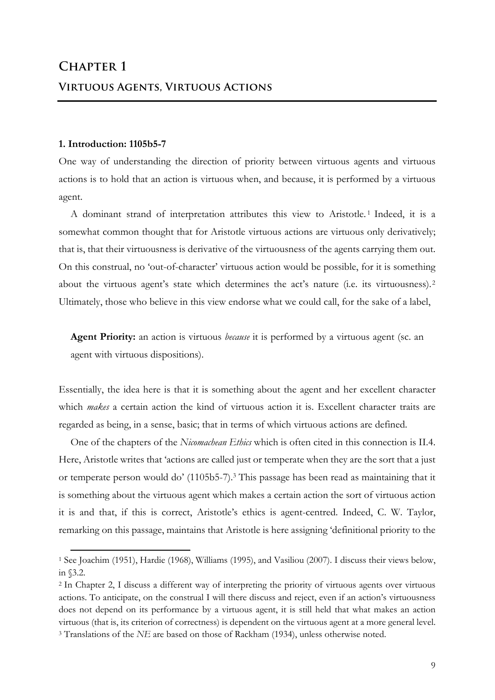#### **1. Introduction: 1105b5-7**

 $\overline{a}$ 

One way of understanding the direction of priority between virtuous agents and virtuous actions is to hold that an action is virtuous when, and because, it is performed by a virtuous agent.

A dominant strand of interpretation attributes this view to Aristotle. <sup>1</sup> Indeed, it is a somewhat common thought that for Aristotle virtuous actions are virtuous only derivatively; that is, that their virtuousness is derivative of the virtuousness of the agents carrying them out. On this construal, no 'out-of-character' virtuous action would be possible, for it is something about the virtuous agent's state which determines the act's nature (i.e. its virtuousness).<sup>2</sup> Ultimately, those who believe in this view endorse what we could call, for the sake of a label,

**Agent Priority:** an action is virtuous *because* it is performed by a virtuous agent (sc. an agent with virtuous dispositions).

Essentially, the idea here is that it is something about the agent and her excellent character which *makes* a certain action the kind of virtuous action it is. Excellent character traits are regarded as being, in a sense, basic; that in terms of which virtuous actions are defined.

One of the chapters of the *Nicomachean Ethics* which is often cited in this connection is II.4. Here, Aristotle writes that 'actions are called just or temperate when they are the sort that a just or temperate person would do' (1105b5-7).3 This passage has been read as maintaining that it is something about the virtuous agent which makes a certain action the sort of virtuous action it is and that, if this is correct, Aristotle's ethics is agent-centred. Indeed, C. W. Taylor, remarking on this passage, maintains that Aristotle is here assigning 'definitional priority to the

<sup>1</sup> See Joachim (1951), Hardie (1968), Williams (1995), and Vasiliou (2007). I discuss their views below, in §3.2.

<sup>2</sup> In Chapter 2, I discuss a different way of interpreting the priority of virtuous agents over virtuous actions. To anticipate, on the construal I will there discuss and reject, even if an action's virtuousness does not depend on its performance by a virtuous agent, it is still held that what makes an action virtuous (that is, its criterion of correctness) is dependent on the virtuous agent at a more general level. <sup>3</sup> Translations of the *NE* are based on those of Rackham (1934), unless otherwise noted.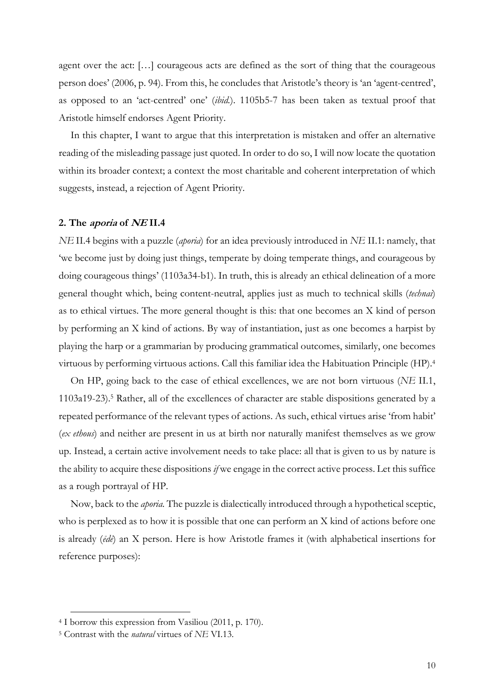agent over the act: […] courageous acts are defined as the sort of thing that the courageous person does' (2006, p. 94). From this, he concludes that Aristotle's theory is 'an 'agent-centred', as opposed to an 'act-centred' one' (*ibid.*). 1105b5-7 has been taken as textual proof that Aristotle himself endorses Agent Priority.

In this chapter, I want to argue that this interpretation is mistaken and offer an alternative reading of the misleading passage just quoted. In order to do so, I will now locate the quotation within its broader context; a context the most charitable and coherent interpretation of which suggests, instead, a rejection of Agent Priority.

#### **2. The aporia of NE II.4**

*NE* II.4 begins with a puzzle (*aporia*) for an idea previously introduced in *NE* II.1: namely, that 'we become just by doing just things, temperate by doing temperate things, and courageous by doing courageous things' (1103a34-b1). In truth, this is already an ethical delineation of a more general thought which, being content-neutral, applies just as much to technical skills (*technai*) as to ethical virtues. The more general thought is this: that one becomes an X kind of person by performing an X kind of actions. By way of instantiation, just as one becomes a harpist by playing the harp or a grammarian by producing grammatical outcomes, similarly, one becomes virtuous by performing virtuous actions. Call this familiar idea the Habituation Principle (HP).4

On HP, going back to the case of ethical excellences, we are not born virtuous (*NE* II.1, 1103a19-23).5 Rather, all of the excellences of character are stable dispositions generated by a repeated performance of the relevant types of actions. As such, ethical virtues arise 'from habit' (*ex ethous*) and neither are present in us at birth nor naturally manifest themselves as we grow up. Instead, a certain active involvement needs to take place: all that is given to us by nature is the ability to acquire these dispositions *if* we engage in the correct active process. Let this suffice as a rough portrayal of HP.

Now, back to the *aporia.* The puzzle is dialectically introduced through a hypothetical sceptic, who is perplexed as to how it is possible that one can perform an X kind of actions before one is already (*ēdē*) an X person. Here is how Aristotle frames it (with alphabetical insertions for reference purposes):

<sup>4</sup> I borrow this expression from Vasiliou (2011, p. 170).

<sup>5</sup> Contrast with the *natural* virtues of *NE* VI.13.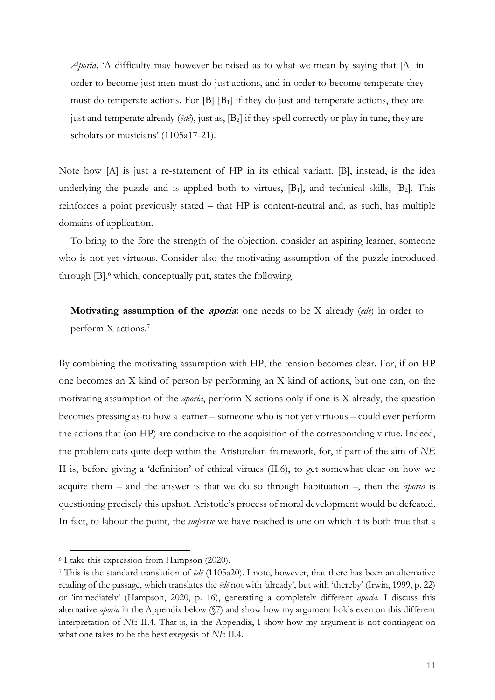*Aporia*. 'A difficulty may however be raised as to what we mean by saying that [A] in order to become just men must do just actions, and in order to become temperate they must do temperate actions. For  $[B]$   $[B_1]$  if they do just and temperate actions, they are just and temperate already (*ēdē*), just as, [B2] if they spell correctly or play in tune, they are scholars or musicians' (1105a17-21).

Note how [A] is just a re-statement of HP in its ethical variant. [B], instead, is the idea underlying the puzzle and is applied both to virtues,  $[B_1]$ , and technical skills,  $[B_2]$ . This reinforces a point previously stated – that HP is content-neutral and, as such, has multiple domains of application.

To bring to the fore the strength of the objection, consider an aspiring learner, someone who is not yet virtuous. Consider also the motivating assumption of the puzzle introduced through  $[B]$ , which, conceptually put, states the following:

**Motivating assumption of the aporia:** one needs to be X already (*ēdē*) in order to perform X actions. 7

By combining the motivating assumption with HP, the tension becomes clear. For, if on HP one becomes an X kind of person by performing an X kind of actions, but one can, on the motivating assumption of the *aporia*, perform X actions only if one is X already, the question becomes pressing as to how a learner *–* someone who is not yet virtuous – could ever perform the actions that (on HP) are conducive to the acquisition of the corresponding virtue. Indeed, the problem cuts quite deep within the Aristotelian framework, for, if part of the aim of *NE*  II is, before giving a 'definition' of ethical virtues (II.6), to get somewhat clear on how we acquire them – and the answer is that we do so through habituation –, then the *aporia* is questioning precisely this upshot. Aristotle's process of moral development would be defeated. In fact, to labour the point, the *impasse* we have reached is one on which it is both true that a

<sup>6</sup> I take this expression from Hampson (2020).

<sup>7</sup> This is the standard translation of *ēdē* (1105a20). I note, however, that there has been an alternative reading of the passage, which translates the *ēdē* not with 'already', but with 'thereby' (Irwin, 1999, p. 22) or 'immediately' (Hampson, 2020, p. 16), generating a completely different *aporia.* I discuss this alternative *aporia* in the Appendix below (§7) and show how my argument holds even on this different interpretation of *NE* II.4. That is, in the Appendix, I show how my argument is not contingent on what one takes to be the best exegesis of *NE* II.4.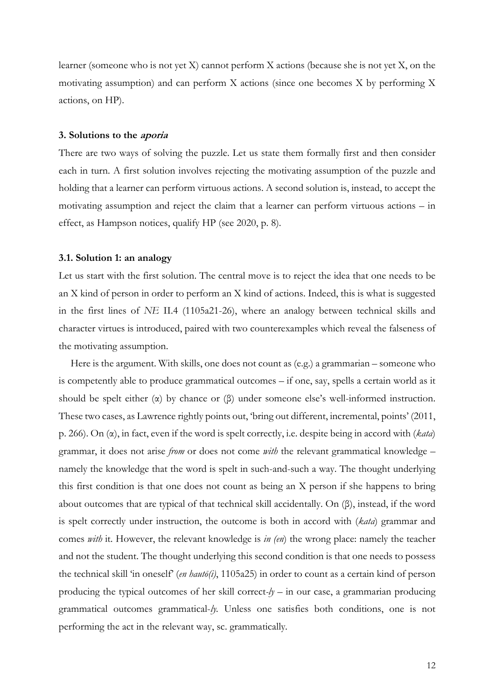learner (someone who is not yet X) cannot perform X actions (because she is not yet X, on the motivating assumption) and can perform X actions (since one becomes X by performing X actions, on HP).

#### **3. Solutions to the aporia**

There are two ways of solving the puzzle. Let us state them formally first and then consider each in turn. A first solution involves rejecting the motivating assumption of the puzzle and holding that a learner can perform virtuous actions. A second solution is, instead, to accept the motivating assumption and reject the claim that a learner can perform virtuous actions – in effect, as Hampson notices, qualify HP (see 2020, p. 8).

#### **3.1. Solution 1: an analogy**

Let us start with the first solution. The central move is to reject the idea that one needs to be an X kind of person in order to perform an X kind of actions. Indeed, this is what is suggested in the first lines of *NE* II.4 (1105a21-26), where an analogy between technical skills and character virtues is introduced, paired with two counterexamples which reveal the falseness of the motivating assumption.

Here is the argument. With skills, one does not count as (e.g.) a grammarian – someone who is competently able to produce grammatical outcomes – if one, say, spells a certain world as it should be spelt either  $(\alpha)$  by chance or  $(\beta)$  under someone else's well-informed instruction. These two cases, as Lawrence rightly points out, 'bring out different, incremental, points' (2011, p. 266). On (α), in fact, even if the word is spelt correctly, i.e. despite being in accord with (*kata*) grammar, it does not arise *from* or does not come *with* the relevant grammatical knowledge – namely the knowledge that the word is spelt in such-and-such a way. The thought underlying this first condition is that one does not count as being an X person if she happens to bring about outcomes that are typical of that technical skill accidentally. On (β), instead, if the word is spelt correctly under instruction, the outcome is both in accord with (*kata*) grammar and comes *with* it. However, the relevant knowledge is *in (en*) the wrong place: namely the teacher and not the student. The thought underlying this second condition is that one needs to possess the technical skill 'in oneself' (*en hautō(i)*, 1105a25) in order to count as a certain kind of person producing the typical outcomes of her skill correct- $\psi$  – in our case, a grammarian producing grammatical outcomes grammatical-*ly.* Unless one satisfies both conditions, one is not performing the act in the relevant way, sc. grammatically*.*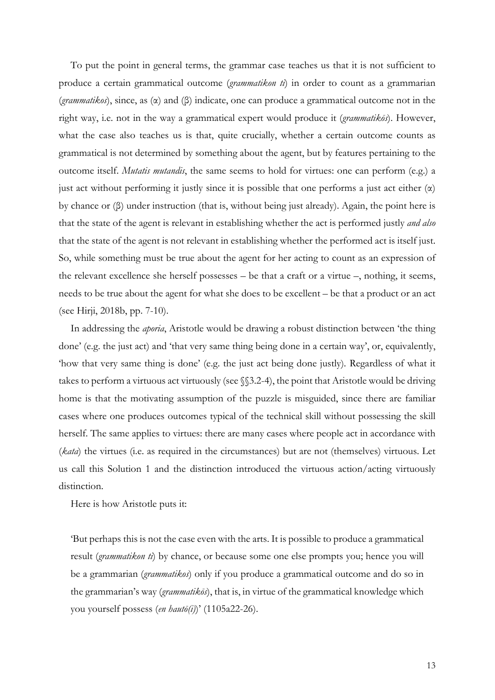To put the point in general terms, the grammar case teaches us that it is not sufficient to produce a certain grammatical outcome (*grammatikon ti*) in order to count as a grammarian (*grammatikos*), since, as (α) and (β) indicate, one can produce a grammatical outcome not in the right way, i.e. not in the way a grammatical expert would produce it (*grammatikōs*). However, what the case also teaches us is that, quite crucially, whether a certain outcome counts as grammatical is not determined by something about the agent, but by features pertaining to the outcome itself. *Mutatis mutandis*, the same seems to hold for virtues: one can perform (e.g.) a just act without performing it justly since it is possible that one performs a just act either  $(\alpha)$ by chance or (β) under instruction (that is, without being just already). Again, the point here is that the state of the agent is relevant in establishing whether the act is performed justly *and also*  that the state of the agent is not relevant in establishing whether the performed act is itself just. So, while something must be true about the agent for her acting to count as an expression of the relevant excellence she herself possesses – be that a craft or a virtue –, nothing, it seems, needs to be true about the agent for what she does to be excellent – be that a product or an act (see Hirji, 2018b, pp. 7-10).

In addressing the *aporia*, Aristotle would be drawing a robust distinction between 'the thing done' (e.g. the just act) and 'that very same thing being done in a certain way', or, equivalently, 'how that very same thing is done' (e.g. the just act being done justly)*.* Regardless of what it takes to perform a virtuous act virtuously (see §§3.2-4), the point that Aristotle would be driving home is that the motivating assumption of the puzzle is misguided, since there are familiar cases where one produces outcomes typical of the technical skill without possessing the skill herself. The same applies to virtues: there are many cases where people act in accordance with (*kata*) the virtues (i.e. as required in the circumstances) but are not (themselves) virtuous. Let us call this Solution 1 and the distinction introduced the virtuous action/acting virtuously distinction.

Here is how Aristotle puts it:

'But perhaps this is not the case even with the arts. It is possible to produce a grammatical result (*grammatikon ti*) by chance, or because some one else prompts you; hence you will be a grammarian (*grammatikos*) only if you produce a grammatical outcome and do so in the grammarian's way (*grammatikōs*), that is, in virtue of the grammatical knowledge which you yourself possess (*en hautō(i)*)' (1105a22-26).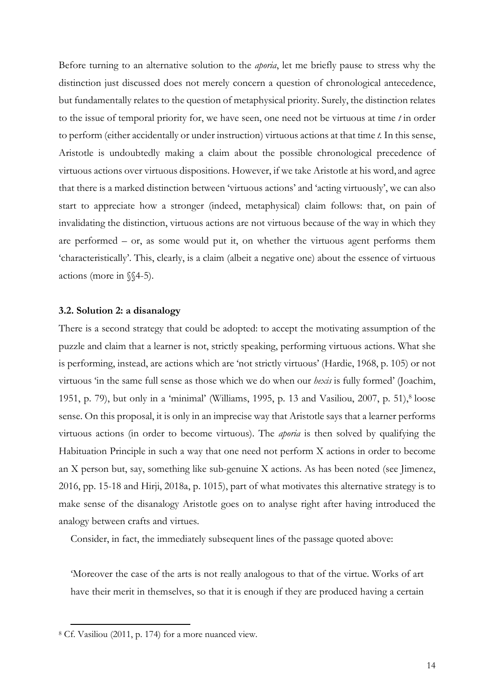Before turning to an alternative solution to the *aporia*, let me briefly pause to stress why the distinction just discussed does not merely concern a question of chronological antecedence, but fundamentally relates to the question of metaphysical priority. Surely, the distinction relates to the issue of temporal priority for, we have seen, one need not be virtuous at time *t* in order to perform (either accidentally or under instruction) virtuous actions at that time *t.* In this sense, Aristotle is undoubtedly making a claim about the possible chronological precedence of virtuous actions over virtuous dispositions. However, if we take Aristotle at his word, and agree that there is a marked distinction between 'virtuous actions' and 'acting virtuously', we can also start to appreciate how a stronger (indeed, metaphysical) claim follows: that, on pain of invalidating the distinction, virtuous actions are not virtuous because of the way in which they are performed – or, as some would put it, on whether the virtuous agent performs them 'characteristically'. This, clearly, is a claim (albeit a negative one) about the essence of virtuous actions (more in §§4-5).

#### **3.2. Solution 2: a disanalogy**

There is a second strategy that could be adopted: to accept the motivating assumption of the puzzle and claim that a learner is not, strictly speaking, performing virtuous actions. What she is performing, instead, are actions which are 'not strictly virtuous' (Hardie, 1968, p. 105) or not virtuous 'in the same full sense as those which we do when our *hexis* is fully formed' (Joachim, 1951, p. 79), but only in a 'minimal' (Williams, 1995, p. 13 and Vasiliou, 2007, p. 51),<sup>8</sup> loose sense. On this proposal, it is only in an imprecise way that Aristotle says that a learner performs virtuous actions (in order to become virtuous). The *aporia* is then solved by qualifying the Habituation Principle in such a way that one need not perform X actions in order to become an X person but, say, something like sub-genuine X actions. As has been noted (see Jimenez, 2016, pp. 15-18 and Hirji, 2018a, p. 1015), part of what motivates this alternative strategy is to make sense of the disanalogy Aristotle goes on to analyse right after having introduced the analogy between crafts and virtues.

Consider, in fact, the immediately subsequent lines of the passage quoted above:

'Moreover the case of the arts is not really analogous to that of the virtue. Works of art have their merit in themselves, so that it is enough if they are produced having a certain

<sup>8</sup> Cf. Vasiliou (2011, p. 174) for a more nuanced view.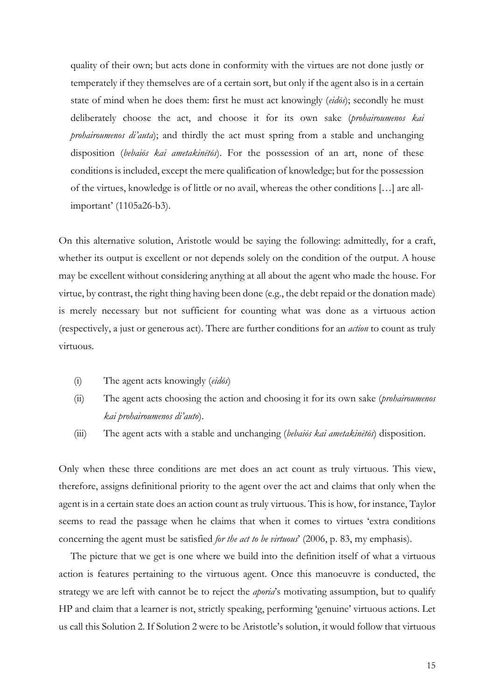quality of their own; but acts done in conformity with the virtues are not done justly or temperately if they themselves are of a certain sort, but only if the agent also is in a certain state of mind when he does them: first he must act knowingly (*eidōs*); secondly he must deliberately choose the act, and choose it for its own sake (*prohairoumenos kai prohairoumenos di'auta*); and thirdly the act must spring from a stable and unchanging disposition (*bebaiōs kai ametakinētōs*). For the possession of an art, none of these conditions is included, except the mere qualification of knowledge; but for the possession of the virtues, knowledge is of little or no avail, whereas the other conditions […] are allimportant' (1105a26-b3).

On this alternative solution, Aristotle would be saying the following: admittedly, for a craft, whether its output is excellent or not depends solely on the condition of the output. A house may be excellent without considering anything at all about the agent who made the house. For virtue, by contrast, the right thing having been done (e.g., the debt repaid or the donation made) is merely necessary but not sufficient for counting what was done as a virtuous action (respectively, a just or generous act). There are further conditions for an *action* to count as truly virtuous.

- (i) The agent acts knowingly (*eidōs*)
- (ii) The agent acts choosing the action and choosing it for its own sake (*prohairoumenos kai prohairoumenos di'auto*).
- (iii) The agent acts with a stable and unchanging (*bebaiōs kai ametakinētōs*) disposition.

Only when these three conditions are met does an act count as truly virtuous. This view, therefore, assigns definitional priority to the agent over the act and claims that only when the agent is in a certain state does an action count as truly virtuous. This is how, for instance, Taylor seems to read the passage when he claims that when it comes to virtues 'extra conditions concerning the agent must be satisfied *for the act to be virtuous*' (2006, p. 83, my emphasis).

The picture that we get is one where we build into the definition itself of what a virtuous action is features pertaining to the virtuous agent. Once this manoeuvre is conducted, the strategy we are left with cannot be to reject the *aporia*'s motivating assumption, but to qualify HP and claim that a learner is not, strictly speaking, performing 'genuine' virtuous actions. Let us call this Solution 2. If Solution 2 were to be Aristotle's solution, it would follow that virtuous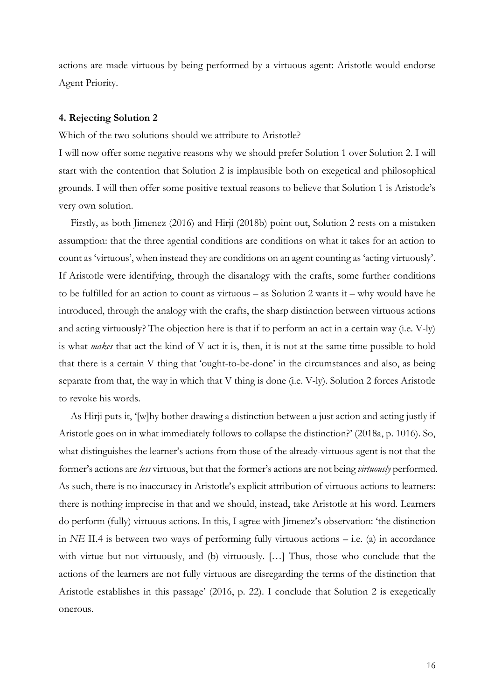actions are made virtuous by being performed by a virtuous agent: Aristotle would endorse Agent Priority.

#### **4. Rejecting Solution 2**

Which of the two solutions should we attribute to Aristotle?

I will now offer some negative reasons why we should prefer Solution 1 over Solution 2. I will start with the contention that Solution 2 is implausible both on exegetical and philosophical grounds. I will then offer some positive textual reasons to believe that Solution 1 is Aristotle's very own solution.

Firstly, as both Jimenez (2016) and Hirji (2018b) point out, Solution 2 rests on a mistaken assumption: that the three agential conditions are conditions on what it takes for an action to count as 'virtuous', when instead they are conditions on an agent counting as 'acting virtuously'. If Aristotle were identifying, through the disanalogy with the crafts, some further conditions to be fulfilled for an action to count as virtuous – as Solution 2 wants it – why would have he introduced, through the analogy with the crafts, the sharp distinction between virtuous actions and acting virtuously? The objection here is that if to perform an act in a certain way (i.e. V-ly) is what *makes* that act the kind of V act it is, then, it is not at the same time possible to hold that there is a certain V thing that 'ought-to-be-done' in the circumstances and also, as being separate from that, the way in which that V thing is done (i.e. V-ly). Solution 2 forces Aristotle to revoke his words.

As Hirji puts it, '[w]hy bother drawing a distinction between a just action and acting justly if Aristotle goes on in what immediately follows to collapse the distinction?' (2018a, p. 1016). So, what distinguishes the learner's actions from those of the already-virtuous agent is not that the former's actions are *less* virtuous, but that the former's actions are not being *virtuously* performed. As such, there is no inaccuracy in Aristotle's explicit attribution of virtuous actions to learners: there is nothing imprecise in that and we should, instead, take Aristotle at his word. Learners do perform (fully) virtuous actions. In this, I agree with Jimenez's observation: 'the distinction in *NE* II.4 is between two ways of performing fully virtuous actions – i.e. (a) in accordance with virtue but not virtuously, and (b) virtuously. […] Thus, those who conclude that the actions of the learners are not fully virtuous are disregarding the terms of the distinction that Aristotle establishes in this passage' (2016, p. 22). I conclude that Solution 2 is exegetically onerous.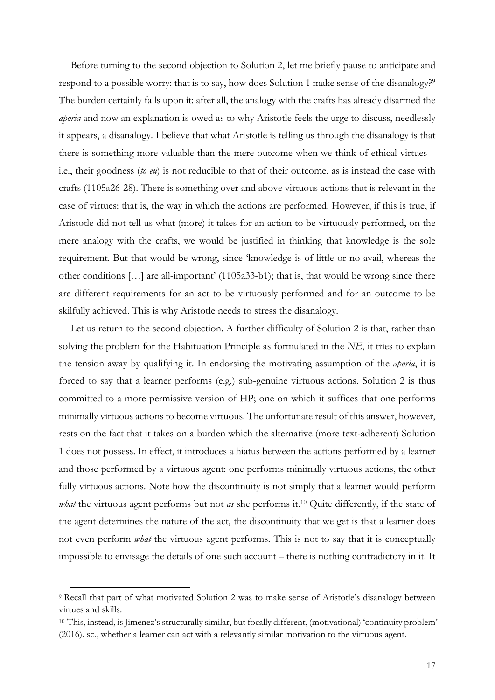Before turning to the second objection to Solution 2, let me briefly pause to anticipate and respond to a possible worry: that is to say, how does Solution 1 make sense of the disanalogy?<sup>9</sup> The burden certainly falls upon it: after all, the analogy with the crafts has already disarmed the *aporia* and now an explanation is owed as to why Aristotle feels the urge to discuss, needlessly it appears, a disanalogy. I believe that what Aristotle is telling us through the disanalogy is that there is something more valuable than the mere outcome when we think of ethical virtues – i.e., their goodness (*to eu*) is not reducible to that of their outcome, as is instead the case with crafts (1105a26-28). There is something over and above virtuous actions that is relevant in the case of virtues: that is, the way in which the actions are performed. However, if this is true, if Aristotle did not tell us what (more) it takes for an action to be virtuously performed, on the mere analogy with the crafts, we would be justified in thinking that knowledge is the sole requirement. But that would be wrong, since 'knowledge is of little or no avail, whereas the other conditions […] are all-important' (1105a33-b1); that is, that would be wrong since there are different requirements for an act to be virtuously performed and for an outcome to be skilfully achieved. This is why Aristotle needs to stress the disanalogy.

Let us return to the second objection. A further difficulty of Solution 2 is that, rather than solving the problem for the Habituation Principle as formulated in the *NE*, it tries to explain the tension away by qualifying it. In endorsing the motivating assumption of the *aporia*, it is forced to say that a learner performs (e.g.) sub-genuine virtuous actions. Solution 2 is thus committed to a more permissive version of HP; one on which it suffices that one performs minimally virtuous actions to become virtuous. The unfortunate result of this answer, however, rests on the fact that it takes on a burden which the alternative (more text-adherent) Solution 1 does not possess. In effect, it introduces a hiatus between the actions performed by a learner and those performed by a virtuous agent: one performs minimally virtuous actions, the other fully virtuous actions. Note how the discontinuity is not simply that a learner would perform *what* the virtuous agent performs but not *as* she performs it.10 Quite differently, if the state of the agent determines the nature of the act, the discontinuity that we get is that a learner does not even perform *what* the virtuous agent performs. This is not to say that it is conceptually impossible to envisage the details of one such account – there is nothing contradictory in it. It

<sup>9</sup> Recall that part of what motivated Solution 2 was to make sense of Aristotle's disanalogy between virtues and skills.

<sup>10</sup> This, instead, is Jimenez's structurally similar, but focally different, (motivational) 'continuity problem' (2016). sc., whether a learner can act with a relevantly similar motivation to the virtuous agent.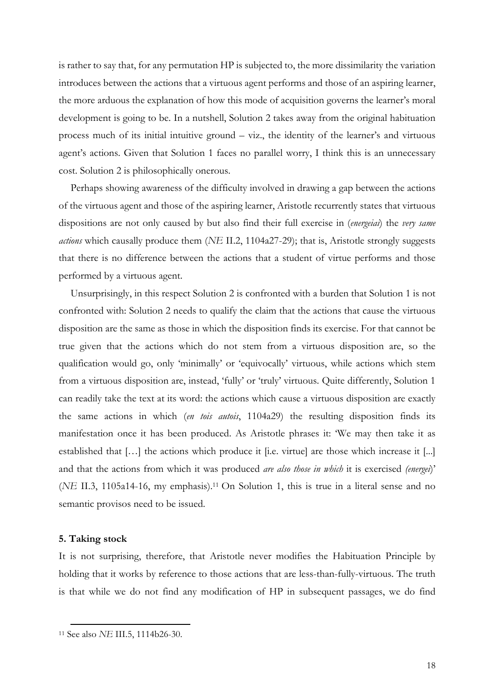is rather to say that, for any permutation HP is subjected to, the more dissimilarity the variation introduces between the actions that a virtuous agent performs and those of an aspiring learner, the more arduous the explanation of how this mode of acquisition governs the learner's moral development is going to be. In a nutshell, Solution 2 takes away from the original habituation process much of its initial intuitive ground – viz., the identity of the learner's and virtuous agent's actions. Given that Solution 1 faces no parallel worry, I think this is an unnecessary cost. Solution 2 is philosophically onerous.

Perhaps showing awareness of the difficulty involved in drawing a gap between the actions of the virtuous agent and those of the aspiring learner, Aristotle recurrently states that virtuous dispositions are not only caused by but also find their full exercise in (*energeiai*) the *very same actions* which causally produce them (*NE* II.2, 1104a27-29); that is, Aristotle strongly suggests that there is no difference between the actions that a student of virtue performs and those performed by a virtuous agent.

Unsurprisingly, in this respect Solution 2 is confronted with a burden that Solution 1 is not confronted with: Solution 2 needs to qualify the claim that the actions that cause the virtuous disposition are the same as those in which the disposition finds its exercise. For that cannot be true given that the actions which do not stem from a virtuous disposition are, so the qualification would go, only 'minimally' or 'equivocally' virtuous, while actions which stem from a virtuous disposition are, instead, 'fully' or 'truly' virtuous. Quite differently, Solution 1 can readily take the text at its word: the actions which cause a virtuous disposition are exactly the same actions in which (*en tois autois*, 1104a29) the resulting disposition finds its manifestation once it has been produced. As Aristotle phrases it: 'We may then take it as established that […] the actions which produce it [i.e. virtue] are those which increase it [...] and that the actions from which it was produced *are also those in which* it is exercised *(energei*)' (*NE* II.3, 1105a14-16, my emphasis).11 On Solution 1, this is true in a literal sense and no semantic provisos need to be issued.

#### **5. Taking stock**

 $\overline{a}$ 

It is not surprising, therefore, that Aristotle never modifies the Habituation Principle by holding that it works by reference to those actions that are less-than-fully-virtuous. The truth is that while we do not find any modification of HP in subsequent passages, we do find

<sup>11</sup> See also *NE* III.5, 1114b26-30.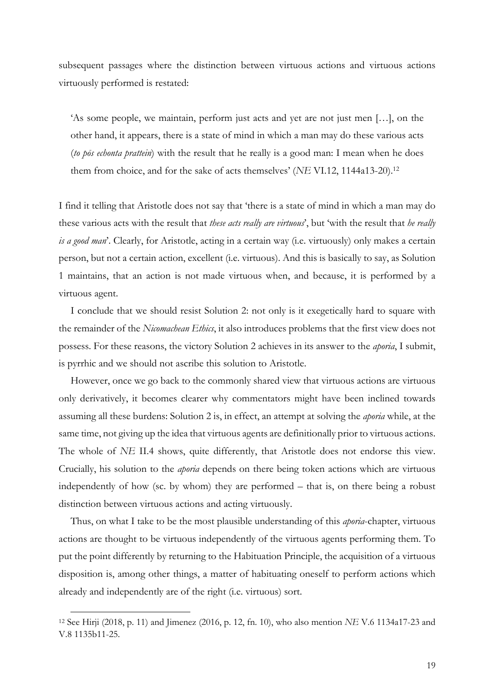subsequent passages where the distinction between virtuous actions and virtuous actions virtuously performed is restated:

'As some people, we maintain, perform just acts and yet are not just men […], on the other hand, it appears, there is a state of mind in which a man may do these various acts (*to pōs echonta prattein*) with the result that he really is a good man: I mean when he does them from choice, and for the sake of acts themselves' (*NE* VI.12, 1144a13-20).12

I find it telling that Aristotle does not say that 'there is a state of mind in which a man may do these various acts with the result that *these acts really are virtuous*', but 'with the result that *he really is a good man*'. Clearly, for Aristotle, acting in a certain way (i.e. virtuously) only makes a certain person, but not a certain action, excellent (i.e. virtuous). And this is basically to say, as Solution 1 maintains, that an action is not made virtuous when, and because, it is performed by a virtuous agent.

I conclude that we should resist Solution 2: not only is it exegetically hard to square with the remainder of the *Nicomachean Ethics*, it also introduces problems that the first view does not possess. For these reasons, the victory Solution 2 achieves in its answer to the *aporia*, I submit, is pyrrhic and we should not ascribe this solution to Aristotle.

However, once we go back to the commonly shared view that virtuous actions are virtuous only derivatively, it becomes clearer why commentators might have been inclined towards assuming all these burdens: Solution 2 is, in effect, an attempt at solving the *aporia* while, at the same time, not giving up the idea that virtuous agents are definitionally prior to virtuous actions. The whole of *NE* II.4 shows, quite differently, that Aristotle does not endorse this view. Crucially, his solution to the *aporia* depends on there being token actions which are virtuous independently of how (sc. by whom) they are performed – that is, on there being a robust distinction between virtuous actions and acting virtuously.

Thus, on what I take to be the most plausible understanding of this *aporia*-chapter, virtuous actions are thought to be virtuous independently of the virtuous agents performing them. To put the point differently by returning to the Habituation Principle, the acquisition of a virtuous disposition is, among other things, a matter of habituating oneself to perform actions which already and independently are of the right (i.e. virtuous) sort.

<sup>12</sup> See Hirji (2018, p. 11) and Jimenez (2016, p. 12, fn. 10), who also mention *NE* V.6 1134a17-23 and V.8 1135b11-25.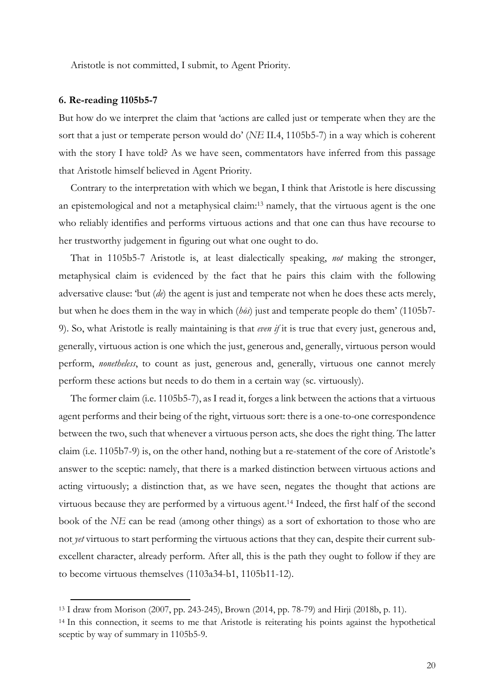Aristotle is not committed, I submit, to Agent Priority.

#### **6. Re-reading 1105b5-7**

 $\overline{a}$ 

But how do we interpret the claim that 'actions are called just or temperate when they are the sort that a just or temperate person would do' (*NE* II.4, 1105b5-7) in a way which is coherent with the story I have told? As we have seen, commentators have inferred from this passage that Aristotle himself believed in Agent Priority.

Contrary to the interpretation with which we began, I think that Aristotle is here discussing an epistemological and not a metaphysical claim:13 namely, that the virtuous agent is the one who reliably identifies and performs virtuous actions and that one can thus have recourse to her trustworthy judgement in figuring out what one ought to do.

That in 1105b5-7 Aristotle is, at least dialectically speaking, *not* making the stronger, metaphysical claim is evidenced by the fact that he pairs this claim with the following adversative clause: 'but (*de*) the agent is just and temperate not when he does these acts merely, but when he does them in the way in which (*hōs*) just and temperate people do them' (1105b7- 9). So, what Aristotle is really maintaining is that *even if* it is true that every just, generous and, generally, virtuous action is one which the just, generous and, generally, virtuous person would perform, *nonetheless*, to count as just, generous and, generally, virtuous one cannot merely perform these actions but needs to do them in a certain way (sc. virtuously).

The former claim (i.e. 1105b5-7), as I read it, forges a link between the actions that a virtuous agent performs and their being of the right, virtuous sort: there is a one-to-one correspondence between the two, such that whenever a virtuous person acts, she does the right thing. The latter claim (i.e. 1105b7-9) is, on the other hand, nothing but a re-statement of the core of Aristotle's answer to the sceptic: namely, that there is a marked distinction between virtuous actions and acting virtuously; a distinction that, as we have seen, negates the thought that actions are virtuous because they are performed by a virtuous agent.14 Indeed, the first half of the second book of the *NE* can be read (among other things) as a sort of exhortation to those who are not *yet* virtuous to start performing the virtuous actions that they can, despite their current subexcellent character, already perform. After all, this is the path they ought to follow if they are to become virtuous themselves (1103a34-b1, 1105b11-12).

<sup>13</sup> I draw from Morison (2007, pp. 243-245), Brown (2014, pp. 78-79) and Hirji (2018b, p. 11).

<sup>14</sup> In this connection, it seems to me that Aristotle is reiterating his points against the hypothetical sceptic by way of summary in 1105b5-9.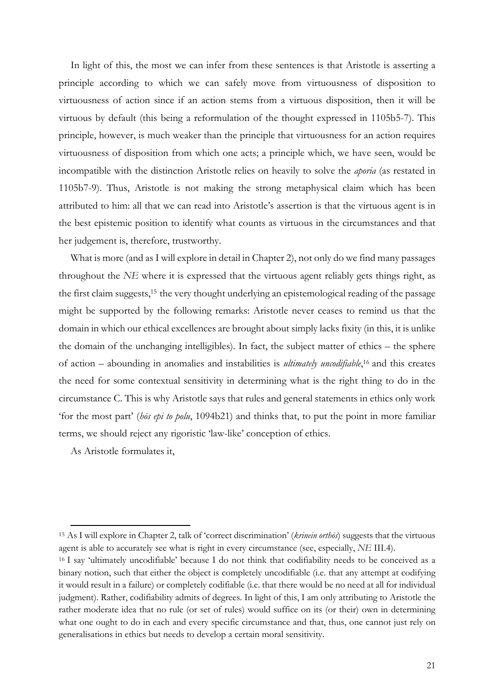In light of this, the most we can infer from these sentences is that Aristotle is asserting a principle according to which we can safely move from virtuousness of disposition to virtuousness of action since if an action stems from a virtuous disposition, then it will be virtuous by default (this being a reformulation of the thought expressed in 1105b5-7). This principle, however, is much weaker than the principle that virtuousness for an action requires virtuousness of disposition from which one acts; a principle which, we have seen, would be incompatible with the distinction Aristotle relies on heavily to solve the *aporia* (as restated in 1105b7-9). Thus, Aristotle is not making the strong metaphysical claim which has been attributed to him: all that we can read into Aristotle's assertion is that the virtuous agent is in the best epistemic position to identify what counts as virtuous in the circumstances and that her judgement is, therefore, trustworthy.

What is more (and as I will explore in detail in Chapter 2), not only do we find many passages throughout the *NE* where it is expressed that the virtuous agent reliably gets things right, as the first claim suggests, <sup>15</sup> the very thought underlying an epistemological reading of the passage might be supported by the following remarks: Aristotle never ceases to remind us that the domain in which our ethical excellences are brought about simply lacks fixity (in this, it is unlike the domain of the unchanging intelligibles). In fact, the subject matter of ethics – the sphere of action – abounding in anomalies and instabilities is *ultimately uncodifiable*, <sup>16</sup> and this creates the need for some contextual sensitivity in determining what is the right thing to do in the circumstance C. This is why Aristotle says that rules and general statements in ethics only work 'for the most part' (*hōs epi to polu*, 1094b21) and thinks that, to put the point in more familiar terms, we should reject any rigoristic 'law-like' conception of ethics.

As Aristotle formulates it,

<sup>15</sup> As I will explore in Chapter 2, talk of 'correct discrimination' (*krinein orthōs*) suggests that the virtuous agent is able to accurately see what is right in every circumstance (see, especially, *NE* III.4).

<sup>16</sup> I say 'ultimately uncodifiable' because I do not think that codifiability needs to be conceived as a binary notion, such that either the object is completely uncodifiable (i.e. that any attempt at codifying it would result in a failure) or completely codifiable (i.e. that there would be no need at all for individual judgment). Rather, codifiability admits of degrees. In light of this, I am only attributing to Aristotle the rather moderate idea that no rule (or set of rules) would suffice on its (or their) own in determining what one ought to do in each and every specific circumstance and that, thus, one cannot just rely on generalisations in ethics but needs to develop a certain moral sensitivity.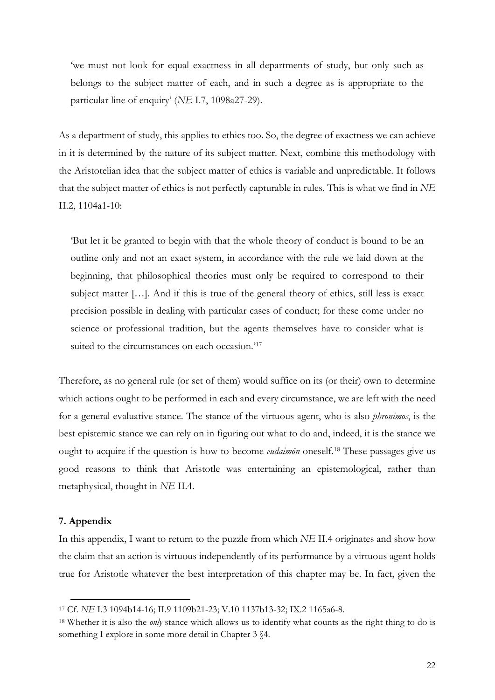'we must not look for equal exactness in all departments of study, but only such as belongs to the subject matter of each, and in such a degree as is appropriate to the particular line of enquiry' (*NE* I.7, 1098a27-29).

As a department of study, this applies to ethics too. So, the degree of exactness we can achieve in it is determined by the nature of its subject matter. Next, combine this methodology with the Aristotelian idea that the subject matter of ethics is variable and unpredictable. It follows that the subject matter of ethics is not perfectly capturable in rules. This is what we find in *NE*  II.2, 1104a1-10:

'But let it be granted to begin with that the whole theory of conduct is bound to be an outline only and not an exact system, in accordance with the rule we laid down at the beginning, that philosophical theories must only be required to correspond to their subject matter […]. And if this is true of the general theory of ethics, still less is exact precision possible in dealing with particular cases of conduct; for these come under no science or professional tradition, but the agents themselves have to consider what is suited to the circumstances on each occasion.<sup>'17</sup>

Therefore, as no general rule (or set of them) would suffice on its (or their) own to determine which actions ought to be performed in each and every circumstance, we are left with the need for a general evaluative stance. The stance of the virtuous agent, who is also *phronimos*, is the best epistemic stance we can rely on in figuring out what to do and, indeed, it is the stance we ought to acquire if the question is how to become *eudaimōn* oneself.18 These passages give us good reasons to think that Aristotle was entertaining an epistemological, rather than metaphysical, thought in *NE* II.4.

#### **7. Appendix**

 $\overline{a}$ 

In this appendix, I want to return to the puzzle from which *NE* II.4 originates and show how the claim that an action is virtuous independently of its performance by a virtuous agent holds true for Aristotle whatever the best interpretation of this chapter may be. In fact, given the

<sup>17</sup> Cf. *NE* I.3 1094b14-16; II.9 1109b21-23; V.10 1137b13-32; IX.2 1165a6-8.

<sup>18</sup> Whether it is also the *only* stance which allows us to identify what counts as the right thing to do is something I explore in some more detail in Chapter 3  $§4$ .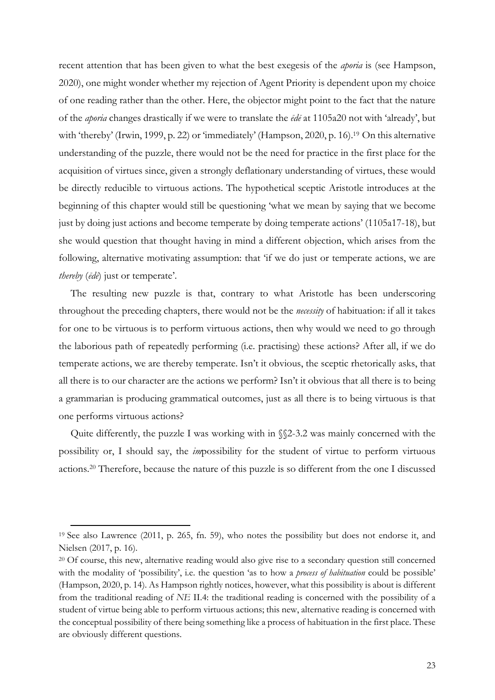recent attention that has been given to what the best exegesis of the *aporia* is (see Hampson, 2020), one might wonder whether my rejection of Agent Priority is dependent upon my choice of one reading rather than the other. Here, the objector might point to the fact that the nature of the *aporia* changes drastically if we were to translate the *ēdē* at 1105a20 not with 'already', but with 'thereby' (Irwin, 1999, p. 22) or 'immediately' (Hampson, 2020, p. 16).<sup>19</sup> On this alternative understanding of the puzzle, there would not be the need for practice in the first place for the acquisition of virtues since, given a strongly deflationary understanding of virtues, these would be directly reducible to virtuous actions. The hypothetical sceptic Aristotle introduces at the beginning of this chapter would still be questioning 'what we mean by saying that we become just by doing just actions and become temperate by doing temperate actions' (1105a17-18), but she would question that thought having in mind a different objection, which arises from the following, alternative motivating assumption: that 'if we do just or temperate actions, we are *thereby* (*ēdē*) just or temperate'.

The resulting new puzzle is that, contrary to what Aristotle has been underscoring throughout the preceding chapters, there would not be the *necessity* of habituation: if all it takes for one to be virtuous is to perform virtuous actions, then why would we need to go through the laborious path of repeatedly performing (i.e. practising) these actions? After all, if we do temperate actions, we are thereby temperate. Isn't it obvious, the sceptic rhetorically asks, that all there is to our character are the actions we perform? Isn't it obvious that all there is to being a grammarian is producing grammatical outcomes, just as all there is to being virtuous is that one performs virtuous actions?

Quite differently, the puzzle I was working with in §§2-3.2 was mainly concerned with the possibility or, I should say, the *im*possibility for the student of virtue to perform virtuous actions.20 Therefore, because the nature of this puzzle is so different from the one I discussed

<sup>19</sup> See also Lawrence (2011, p. 265, fn. 59), who notes the possibility but does not endorse it, and Nielsen (2017, p. 16).

<sup>20</sup> Of course, this new, alternative reading would also give rise to a secondary question still concerned with the modality of 'possibility', i.e. the question 'as to how a *process of habituation* could be possible' (Hampson, 2020, p. 14). As Hampson rightly notices, however, what this possibility is about is different from the traditional reading of *NE* II.4: the traditional reading is concerned with the possibility of a student of virtue being able to perform virtuous actions; this new, alternative reading is concerned with the conceptual possibility of there being something like a process of habituation in the first place. These are obviously different questions.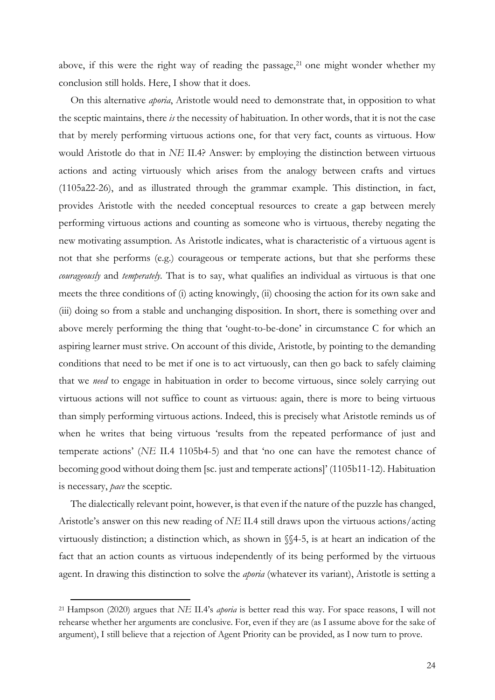above, if this were the right way of reading the passage, $21$  one might wonder whether my conclusion still holds. Here, I show that it does.

On this alternative *aporia*, Aristotle would need to demonstrate that, in opposition to what the sceptic maintains, there *is* the necessity of habituation. In other words, that it is not the case that by merely performing virtuous actions one, for that very fact, counts as virtuous. How would Aristotle do that in *NE* II.4? Answer: by employing the distinction between virtuous actions and acting virtuously which arises from the analogy between crafts and virtues (1105a22-26), and as illustrated through the grammar example. This distinction, in fact, provides Aristotle with the needed conceptual resources to create a gap between merely performing virtuous actions and counting as someone who is virtuous, thereby negating the new motivating assumption. As Aristotle indicates, what is characteristic of a virtuous agent is not that she performs (e.g.) courageous or temperate actions, but that she performs these *courageously* and *temperately.* That is to say, what qualifies an individual as virtuous is that one meets the three conditions of (i) acting knowingly, (ii) choosing the action for its own sake and (iii) doing so from a stable and unchanging disposition. In short, there is something over and above merely performing the thing that 'ought-to-be-done' in circumstance C for which an aspiring learner must strive. On account of this divide, Aristotle, by pointing to the demanding conditions that need to be met if one is to act virtuously, can then go back to safely claiming that we *need* to engage in habituation in order to become virtuous, since solely carrying out virtuous actions will not suffice to count as virtuous: again, there is more to being virtuous than simply performing virtuous actions. Indeed, this is precisely what Aristotle reminds us of when he writes that being virtuous 'results from the repeated performance of just and temperate actions' (*NE* II.4 1105b4-5) and that 'no one can have the remotest chance of becoming good without doing them [sc. just and temperate actions]' (1105b11-12). Habituation is necessary, *pace* the sceptic.

The dialectically relevant point, however, is that even if the nature of the puzzle has changed, Aristotle's answer on this new reading of *NE* II.4 still draws upon the virtuous actions/acting virtuously distinction; a distinction which, as shown in §§4-5, is at heart an indication of the fact that an action counts as virtuous independently of its being performed by the virtuous agent. In drawing this distinction to solve the *aporia* (whatever its variant), Aristotle is setting a

<sup>21</sup> Hampson (2020) argues that *NE* II.4's *aporia* is better read this way. For space reasons, I will not rehearse whether her arguments are conclusive. For, even if they are (as I assume above for the sake of argument), I still believe that a rejection of Agent Priority can be provided, as I now turn to prove.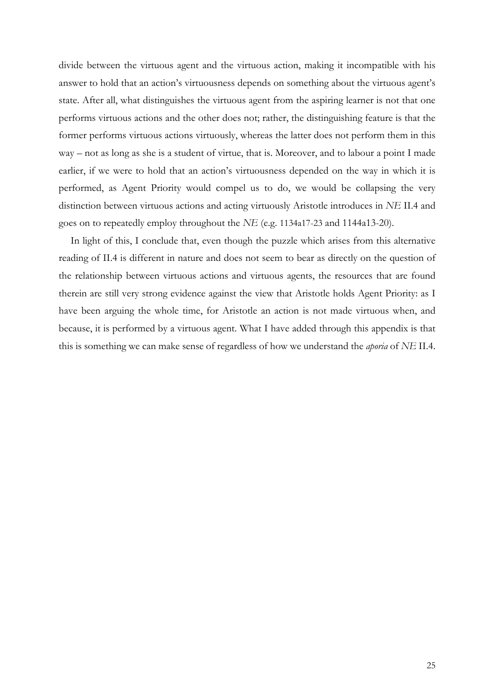divide between the virtuous agent and the virtuous action, making it incompatible with his answer to hold that an action's virtuousness depends on something about the virtuous agent's state. After all, what distinguishes the virtuous agent from the aspiring learner is not that one performs virtuous actions and the other does not; rather, the distinguishing feature is that the former performs virtuous actions virtuously, whereas the latter does not perform them in this way – not as long as she is a student of virtue, that is. Moreover, and to labour a point I made earlier, if we were to hold that an action's virtuousness depended on the way in which it is performed, as Agent Priority would compel us to do, we would be collapsing the very distinction between virtuous actions and acting virtuously Aristotle introduces in *NE* II.4 and goes on to repeatedly employ throughout the *NE* (e.g. 1134a17-23 and 1144a13-20).

In light of this, I conclude that, even though the puzzle which arises from this alternative reading of II.4 is different in nature and does not seem to bear as directly on the question of the relationship between virtuous actions and virtuous agents, the resources that are found therein are still very strong evidence against the view that Aristotle holds Agent Priority: as I have been arguing the whole time, for Aristotle an action is not made virtuous when, and because, it is performed by a virtuous agent. What I have added through this appendix is that this is something we can make sense of regardless of how we understand the *aporia* of *NE* II.4.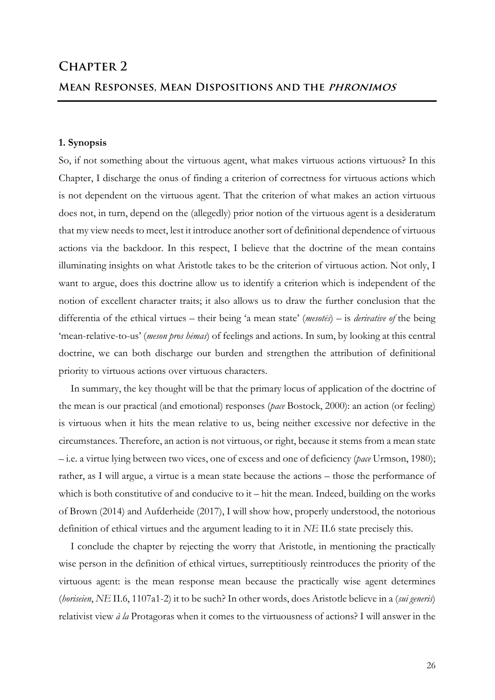#### **1. Synopsis**

So, if not something about the virtuous agent, what makes virtuous actions virtuous? In this Chapter, I discharge the onus of finding a criterion of correctness for virtuous actions which is not dependent on the virtuous agent. That the criterion of what makes an action virtuous does not, in turn, depend on the (allegedly) prior notion of the virtuous agent is a desideratum that my view needs to meet, lest it introduce another sort of definitional dependence of virtuous actions via the backdoor. In this respect, I believe that the doctrine of the mean contains illuminating insights on what Aristotle takes to be the criterion of virtuous action. Not only, I want to argue, does this doctrine allow us to identify a criterion which is independent of the notion of excellent character traits; it also allows us to draw the further conclusion that the differentia of the ethical virtues – their being 'a mean state' (*mesotēs*) – is *derivative of* the being 'mean-relative-to-us' (*meson pros hēmas*) of feelings and actions. In sum, by looking at this central doctrine, we can both discharge our burden and strengthen the attribution of definitional priority to virtuous actions over virtuous characters.

In summary, the key thought will be that the primary locus of application of the doctrine of the mean is our practical (and emotional) responses (*pace* Bostock, 2000): an action (or feeling) is virtuous when it hits the mean relative to us, being neither excessive nor defective in the circumstances. Therefore, an action is not virtuous, or right, because it stems from a mean state – i.e. a virtue lying between two vices, one of excess and one of deficiency (*pace* Urmson, 1980); rather, as I will argue, a virtue is a mean state because the actions – those the performance of which is both constitutive of and conducive to  $t - h$  it the mean. Indeed, building on the works of Brown (2014) and Aufderheide (2017), I will show how, properly understood, the notorious definition of ethical virtues and the argument leading to it in *NE* II.6 state precisely this.

I conclude the chapter by rejecting the worry that Aristotle, in mentioning the practically wise person in the definition of ethical virtues, surreptitiously reintroduces the priority of the virtuous agent: is the mean response mean because the practically wise agent determines (*horiseien*, *NE* II.6, 1107a1-2) it to be such? In other words, does Aristotle believe in a (*sui generis*) relativist view *à la* Protagoras when it comes to the virtuousness of actions? I will answer in the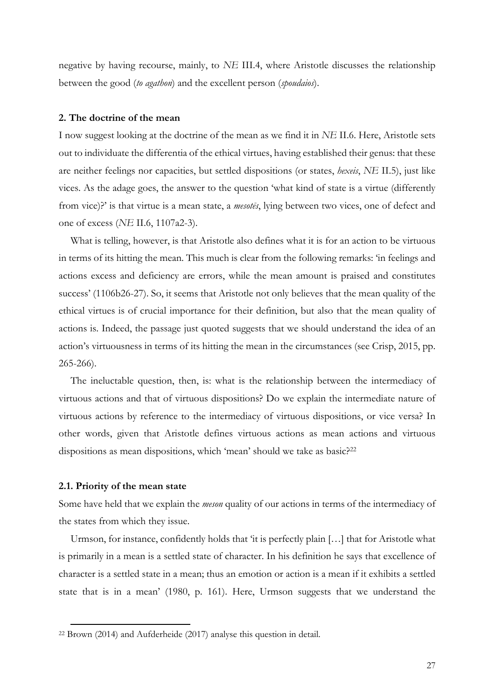negative by having recourse, mainly, to *NE* III.4, where Aristotle discusses the relationship between the good (*to agathon*) and the excellent person (*spoudaios*).

#### **2. The doctrine of the mean**

I now suggest looking at the doctrine of the mean as we find it in *NE* II.6. Here, Aristotle sets out to individuate the differentia of the ethical virtues, having established their genus: that these are neither feelings nor capacities, but settled dispositions (or states, *hexeis*, *NE* II.5), just like vices. As the adage goes, the answer to the question 'what kind of state is a virtue (differently from vice)?' is that virtue is a mean state, a *mesotēs*, lying between two vices, one of defect and one of excess (*NE* II.6, 1107a2-3).

What is telling, however, is that Aristotle also defines what it is for an action to be virtuous in terms of its hitting the mean. This much is clear from the following remarks: 'in feelings and actions excess and deficiency are errors, while the mean amount is praised and constitutes success' (1106b26-27). So, it seems that Aristotle not only believes that the mean quality of the ethical virtues is of crucial importance for their definition, but also that the mean quality of actions is. Indeed, the passage just quoted suggests that we should understand the idea of an action's virtuousness in terms of its hitting the mean in the circumstances (see Crisp, 2015, pp. 265-266).

The ineluctable question, then, is: what is the relationship between the intermediacy of virtuous actions and that of virtuous dispositions? Do we explain the intermediate nature of virtuous actions by reference to the intermediacy of virtuous dispositions, or vice versa? In other words, given that Aristotle defines virtuous actions as mean actions and virtuous dispositions as mean dispositions, which 'mean' should we take as basic?<sup>22</sup>

#### **2.1. Priority of the mean state**

 $\overline{a}$ 

Some have held that we explain the *meson* quality of our actions in terms of the intermediacy of the states from which they issue.

Urmson, for instance, confidently holds that 'it is perfectly plain […] that for Aristotle what is primarily in a mean is a settled state of character. In his definition he says that excellence of character is a settled state in a mean; thus an emotion or action is a mean if it exhibits a settled state that is in a mean' (1980, p. 161). Here, Urmson suggests that we understand the

<sup>22</sup> Brown (2014) and Aufderheide (2017) analyse this question in detail.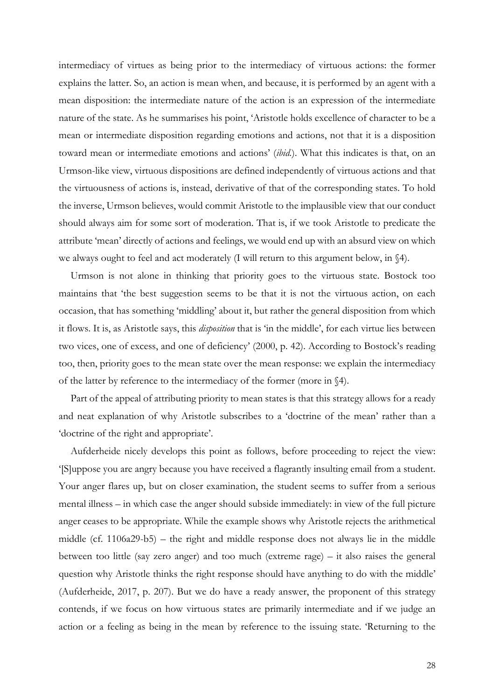intermediacy of virtues as being prior to the intermediacy of virtuous actions: the former explains the latter. So, an action is mean when, and because, it is performed by an agent with a mean disposition: the intermediate nature of the action is an expression of the intermediate nature of the state. As he summarises his point, 'Aristotle holds excellence of character to be a mean or intermediate disposition regarding emotions and actions, not that it is a disposition toward mean or intermediate emotions and actions' (*ibid.*). What this indicates is that, on an Urmson-like view, virtuous dispositions are defined independently of virtuous actions and that the virtuousness of actions is, instead, derivative of that of the corresponding states. To hold the inverse, Urmson believes, would commit Aristotle to the implausible view that our conduct should always aim for some sort of moderation. That is, if we took Aristotle to predicate the attribute 'mean' directly of actions and feelings, we would end up with an absurd view on which we always ought to feel and act moderately (I will return to this argument below, in §4).

Urmson is not alone in thinking that priority goes to the virtuous state. Bostock too maintains that 'the best suggestion seems to be that it is not the virtuous action, on each occasion, that has something 'middling' about it, but rather the general disposition from which it flows. It is, as Aristotle says, this *disposition* that is 'in the middle', for each virtue lies between two vices, one of excess, and one of deficiency' (2000, p. 42). According to Bostock's reading too, then, priority goes to the mean state over the mean response: we explain the intermediacy of the latter by reference to the intermediacy of the former (more in §4).

Part of the appeal of attributing priority to mean states is that this strategy allows for a ready and neat explanation of why Aristotle subscribes to a 'doctrine of the mean' rather than a 'doctrine of the right and appropriate'.

Aufderheide nicely develops this point as follows, before proceeding to reject the view: '[S]uppose you are angry because you have received a flagrantly insulting email from a student. Your anger flares up, but on closer examination, the student seems to suffer from a serious mental illness – in which case the anger should subside immediately: in view of the full picture anger ceases to be appropriate. While the example shows why Aristotle rejects the arithmetical middle (cf. 1106a29-b5) – the right and middle response does not always lie in the middle between too little (say zero anger) and too much (extreme rage) – it also raises the general question why Aristotle thinks the right response should have anything to do with the middle' (Aufderheide, 2017, p. 207). But we do have a ready answer, the proponent of this strategy contends, if we focus on how virtuous states are primarily intermediate and if we judge an action or a feeling as being in the mean by reference to the issuing state. 'Returning to the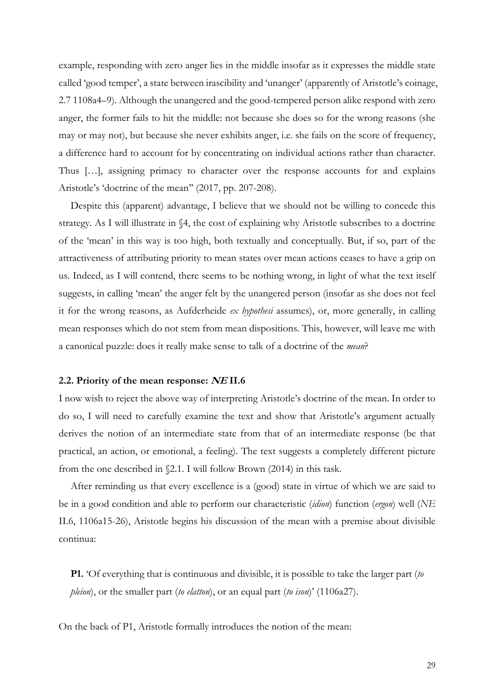example, responding with zero anger lies in the middle insofar as it expresses the middle state called 'good temper', a state between irascibility and 'unanger' (apparently of Aristotle's coinage, 2.7 1108a4–9). Although the unangered and the good-tempered person alike respond with zero anger, the former fails to hit the middle: not because she does so for the wrong reasons (she may or may not), but because she never exhibits anger, i.e. she fails on the score of frequency, a difference hard to account for by concentrating on individual actions rather than character. Thus […], assigning primacy to character over the response accounts for and explains Aristotle's 'doctrine of the mean'' (2017, pp. 207-208).

Despite this (apparent) advantage, I believe that we should not be willing to concede this strategy. As I will illustrate in §4, the cost of explaining why Aristotle subscribes to a doctrine of the 'mean' in this way is too high, both textually and conceptually. But, if so, part of the attractiveness of attributing priority to mean states over mean actions ceases to have a grip on us. Indeed, as I will contend, there seems to be nothing wrong, in light of what the text itself suggests, in calling 'mean' the anger felt by the unangered person (insofar as she does not feel it for the wrong reasons, as Aufderheide *ex hypothesi* assumes), or, more generally, in calling mean responses which do not stem from mean dispositions. This, however, will leave me with a canonical puzzle: does it really make sense to talk of a doctrine of the *mean*?

#### **2.2. Priority of the mean response: NE II.6**

I now wish to reject the above way of interpreting Aristotle's doctrine of the mean. In order to do so, I will need to carefully examine the text and show that Aristotle's argument actually derives the notion of an intermediate state from that of an intermediate response (be that practical, an action, or emotional, a feeling). The text suggests a completely different picture from the one described in §2.1. I will follow Brown (2014) in this task.

After reminding us that every excellence is a (good) state in virtue of which we are said to be in a good condition and able to perform our characteristic (*idion*) function (*ergon*) well (*NE*  II.6, 1106a15-26), Aristotle begins his discussion of the mean with a premise about divisible continua:

**P1.** 'Of everything that is continuous and divisible, it is possible to take the larger part (*to pleion*), or the smaller part (*to elatton*), or an equal part (*to ison*)' (1106a27).

On the back of P1, Aristotle formally introduces the notion of the mean: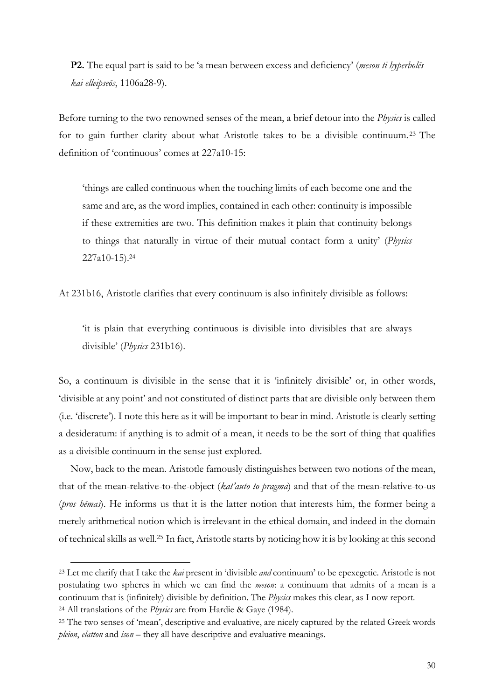**P2.** The equal part is said to be 'a mean between excess and deficiency' (*meson ti hyperbolēs kai elleipseōs*, 1106a28-9).

Before turning to the two renowned senses of the mean, a brief detour into the *Physics* is called for to gain further clarity about what Aristotle takes to be a divisible continuum. <sup>23</sup> The definition of 'continuous' comes at 227a10-15:

'things are called continuous when the touching limits of each become one and the same and are, as the word implies, contained in each other: continuity is impossible if these extremities are two. This definition makes it plain that continuity belongs to things that naturally in virtue of their mutual contact form a unity' (*Physics* 227a10-15). 24

At 231b16, Aristotle clarifies that every continuum is also infinitely divisible as follows:

'it is plain that everything continuous is divisible into divisibles that are always divisible' (*Physics* 231b16).

So, a continuum is divisible in the sense that it is 'infinitely divisible' or, in other words, 'divisible at any point' and not constituted of distinct parts that are divisible only between them (i.e. 'discrete'). I note this here as it will be important to bear in mind. Aristotle is clearly setting a desideratum: if anything is to admit of a mean, it needs to be the sort of thing that qualifies as a divisible continuum in the sense just explored.

Now, back to the mean. Aristotle famously distinguishes between two notions of the mean, that of the mean-relative-to-the-object (*kat'auto to pragma*) and that of the mean-relative-to-us (*pros hēmas*). He informs us that it is the latter notion that interests him, the former being a merely arithmetical notion which is irrelevant in the ethical domain, and indeed in the domain of technical skills as well.25 In fact, Aristotle starts by noticing how it is by looking at this second

<sup>23</sup> Let me clarify that I take the *kai* present in 'divisible *and* continuum' to be epexegetic. Aristotle is not postulating two spheres in which we can find the *meson*: a continuum that admits of a mean is a continuum that is (infinitely) divisible by definition. The *Physics* makes this clear, as I now report. <sup>24</sup> All translations of the *Physics* are from Hardie & Gaye (1984).

<sup>25</sup> The two senses of 'mean', descriptive and evaluative, are nicely captured by the related Greek words *pleion*, *elatton* and *ison* – they all have descriptive and evaluative meanings.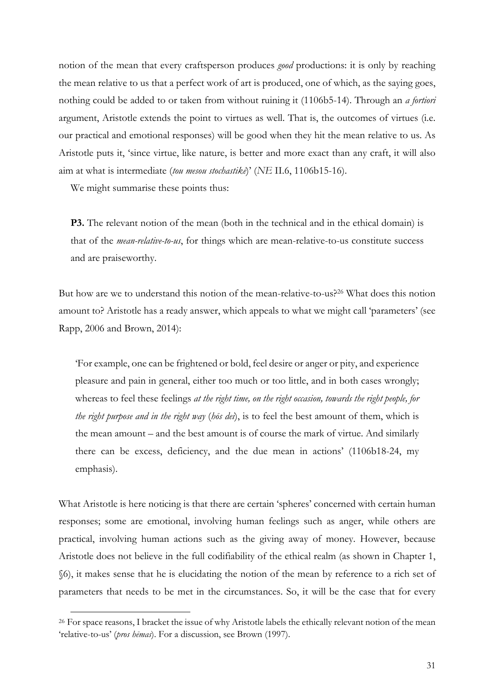notion of the mean that every craftsperson produces *good* productions: it is only by reaching the mean relative to us that a perfect work of art is produced, one of which, as the saying goes, nothing could be added to or taken from without ruining it (1106b5-14). Through an *a fortiori* argument, Aristotle extends the point to virtues as well. That is, the outcomes of virtues (i.e. our practical and emotional responses) will be good when they hit the mean relative to us. As Aristotle puts it, 'since virtue, like nature, is better and more exact than any craft, it will also aim at what is intermediate (*tou mesou stochastikē*)' (*NE* II.6, 1106b15-16).

We might summarise these points thus:

 $\overline{a}$ 

**P3.** The relevant notion of the mean (both in the technical and in the ethical domain) is that of the *mean-relative-to-us*, for things which are mean-relative-to-us constitute success and are praiseworthy.

But how are we to understand this notion of the mean-relative-to-us?26 What does this notion amount to? Aristotle has a ready answer, which appeals to what we might call 'parameters' (see Rapp, 2006 and Brown, 2014):

'For example, one can be frightened or bold, feel desire or anger or pity, and experience pleasure and pain in general, either too much or too little, and in both cases wrongly; whereas to feel these feelings *at the right time, on the right occasion, towards the right people, for the right purpose and in the right way* (*hōs dei*), is to feel the best amount of them, which is the mean amount – and the best amount is of course the mark of virtue. And similarly there can be excess, deficiency, and the due mean in actions' (1106b18-24, my emphasis).

What Aristotle is here noticing is that there are certain 'spheres' concerned with certain human responses; some are emotional, involving human feelings such as anger, while others are practical, involving human actions such as the giving away of money. However, because Aristotle does not believe in the full codifiability of the ethical realm (as shown in Chapter 1, §6), it makes sense that he is elucidating the notion of the mean by reference to a rich set of parameters that needs to be met in the circumstances. So, it will be the case that for every

<sup>&</sup>lt;sup>26</sup> For space reasons, I bracket the issue of why Aristotle labels the ethically relevant notion of the mean 'relative-to-us' (*pros hēmas*). For a discussion, see Brown (1997).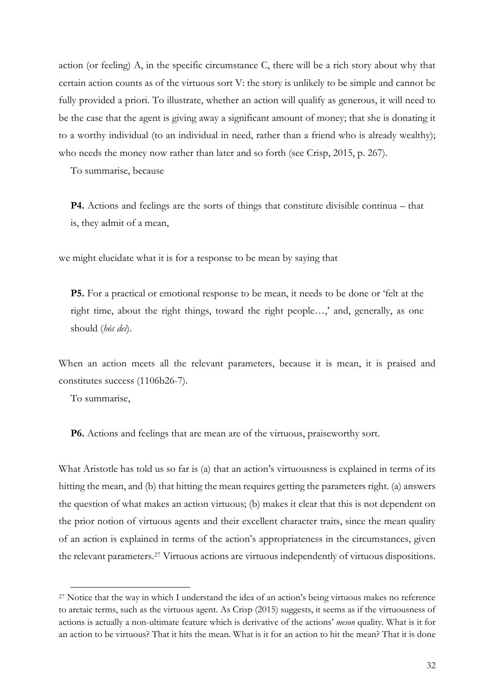action (or feeling) A, in the specific circumstance C, there will be a rich story about why that certain action counts as of the virtuous sort V: the story is unlikely to be simple and cannot be fully provided a priori. To illustrate, whether an action will qualify as generous, it will need to be the case that the agent is giving away a significant amount of money; that she is donating it to a worthy individual (to an individual in need, rather than a friend who is already wealthy); who needs the money now rather than later and so forth (see Crisp, 2015, p. 267).

To summarise, because

**P4.** Actions and feelings are the sorts of things that constitute divisible continua – that is, they admit of a mean,

we might elucidate what it is for a response to be mean by saying that

**P5.** For a practical or emotional response to be mean, it needs to be done or 'felt at the right time, about the right things, toward the right people…,' and, generally, as one should (*hōs dei*).

When an action meets all the relevant parameters, because it is mean, it is praised and constitutes success (1106b26-7).

To summarise,

 $\overline{a}$ 

**P6.** Actions and feelings that are mean are of the virtuous, praiseworthy sort.

What Aristotle has told us so far is (a) that an action's virtuousness is explained in terms of its hitting the mean, and (b) that hitting the mean requires getting the parameters right. (a) answers the question of what makes an action virtuous; (b) makes it clear that this is not dependent on the prior notion of virtuous agents and their excellent character traits, since the mean quality of an action is explained in terms of the action's appropriateness in the circumstances, given the relevant parameters.27 Virtuous actions are virtuous independently of virtuous dispositions.

<sup>27</sup> Notice that the way in which I understand the idea of an action's being virtuous makes no reference to aretaic terms, such as the virtuous agent. As Crisp (2015) suggests, it seems as if the virtuousness of actions is actually a non-ultimate feature which is derivative of the actions' *meson* quality*.* What is it for an action to be virtuous? That it hits the mean. What is it for an action to hit the mean? That it is done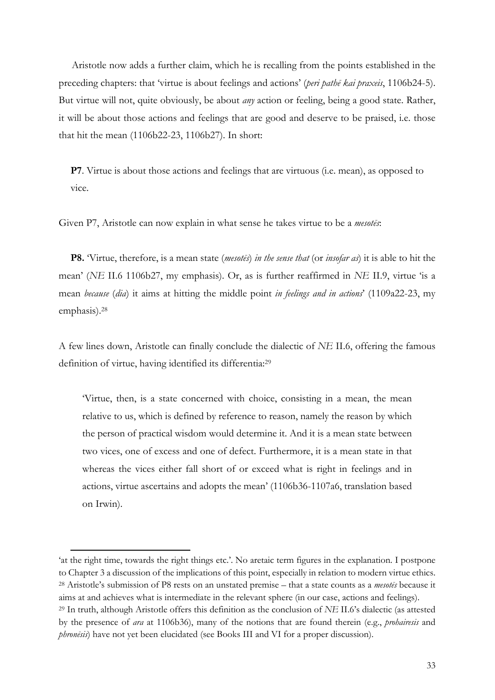Aristotle now adds a further claim, which he is recalling from the points established in the preceding chapters: that 'virtue is about feelings and actions' (*peri pathē kai praxeis*, 1106b24-5). But virtue will not, quite obviously, be about *any* action or feeling, being a good state. Rather, it will be about those actions and feelings that are good and deserve to be praised, i.e. those that hit the mean (1106b22-23, 1106b27). In short:

**P7**. Virtue is about those actions and feelings that are virtuous (i.e. mean), as opposed to vice.

Given P7, Aristotle can now explain in what sense he takes virtue to be a *mesotēs*:

**P8.** 'Virtue, therefore, is a mean state (*mesotēs*) *in the sense that* (or *insofar as*) it is able to hit the mean' (*NE* II.6 1106b27, my emphasis). Or, as is further reaffirmed in *NE* II.9, virtue 'is a mean *because* (*dia*) it aims at hitting the middle point *in feelings and in actions*' (1109a22-23, my emphasis).28

A few lines down, Aristotle can finally conclude the dialectic of *NE* II.6, offering the famous definition of virtue, having identified its differentia: 29

'Virtue, then, is a state concerned with choice, consisting in a mean, the mean relative to us, which is defined by reference to reason, namely the reason by which the person of practical wisdom would determine it. And it is a mean state between two vices, one of excess and one of defect. Furthermore, it is a mean state in that whereas the vices either fall short of or exceed what is right in feelings and in actions, virtue ascertains and adopts the mean' (1106b36-1107a6, translation based on Irwin).

<sup>&#</sup>x27;at the right time, towards the right things etc.'. No aretaic term figures in the explanation. I postpone to Chapter 3 a discussion of the implications of this point, especially in relation to modern virtue ethics. <sup>28</sup> Aristotle's submission of P8 rests on an unstated premise – that a state counts as a *mesotēs* because it aims at and achieves what is intermediate in the relevant sphere (in our case, actions and feelings). <sup>29</sup> In truth, although Aristotle offers this definition as the conclusion of *NE* II.6's dialectic (as attested by the presence of *ara* at 1106b36), many of the notions that are found therein (e.g., *prohairesis* and

*phronēsis*) have not yet been elucidated (see Books III and VI for a proper discussion).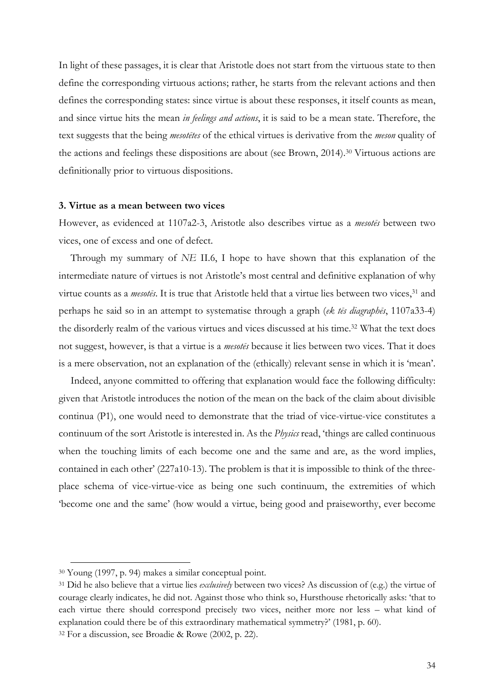In light of these passages, it is clear that Aristotle does not start from the virtuous state to then define the corresponding virtuous actions; rather, he starts from the relevant actions and then defines the corresponding states: since virtue is about these responses, it itself counts as mean, and since virtue hits the mean *in feelings and actions*, it is said to be a mean state. Therefore, the text suggests that the being *mesotētes* of the ethical virtues is derivative from the *meson* quality of the actions and feelings these dispositions are about (see Brown, 2014).30 Virtuous actions are definitionally prior to virtuous dispositions.

#### **3. Virtue as a mean between two vices**

However, as evidenced at 1107a2-3, Aristotle also describes virtue as a *mesotēs* between two vices, one of excess and one of defect.

Through my summary of *NE* II.6, I hope to have shown that this explanation of the intermediate nature of virtues is not Aristotle's most central and definitive explanation of why virtue counts as a *mesotes*. It is true that Aristotle held that a virtue lies between two vices,<sup>31</sup> and perhaps he said so in an attempt to systematise through a graph (*ek tēs diagraphēs*, 1107a33-4) the disorderly realm of the various virtues and vices discussed at his time.<sup>32</sup> What the text does not suggest, however, is that a virtue is a *mesotēs* because it lies between two vices. That it does is a mere observation, not an explanation of the (ethically) relevant sense in which it is 'mean'.

Indeed, anyone committed to offering that explanation would face the following difficulty: given that Aristotle introduces the notion of the mean on the back of the claim about divisible continua (P1), one would need to demonstrate that the triad of vice-virtue-vice constitutes a continuum of the sort Aristotle is interested in. As the *Physics* read, 'things are called continuous when the touching limits of each become one and the same and are, as the word implies, contained in each other' (227a10-13). The problem is that it is impossible to think of the threeplace schema of vice-virtue-vice as being one such continuum, the extremities of which 'become one and the same' (how would a virtue, being good and praiseworthy, ever become

<sup>30</sup> Young (1997, p. 94) makes a similar conceptual point.

<sup>31</sup> Did he also believe that a virtue lies *exclusively* between two vices? As discussion of (e.g.) the virtue of courage clearly indicates, he did not. Against those who think so, Hursthouse rhetorically asks: 'that to each virtue there should correspond precisely two vices, neither more nor less – what kind of explanation could there be of this extraordinary mathematical symmetry?' (1981, p. 60).

<sup>32</sup> For a discussion, see Broadie & Rowe (2002, p. 22).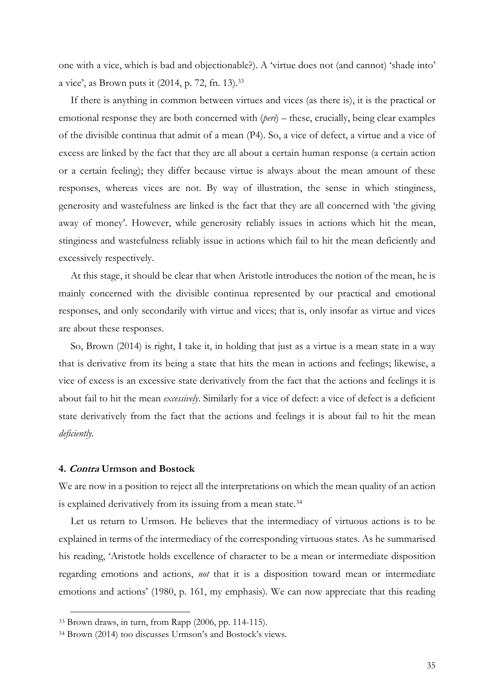one with a vice, which is bad and objectionable?). A 'virtue does not (and cannot) 'shade into' a vice', as Brown puts it (2014, p. 72, fn. 13).33

If there is anything in common between virtues and vices (as there is), it is the practical or emotional response they are both concerned with (*peri*) – these, crucially, being clear examples of the divisible continua that admit of a mean (P4). So, a vice of defect, a virtue and a vice of excess are linked by the fact that they are all about a certain human response (a certain action or a certain feeling); they differ because virtue is always about the mean amount of these responses, whereas vices are not. By way of illustration, the sense in which stinginess, generosity and wastefulness are linked is the fact that they are all concerned with 'the giving away of money'. However, while generosity reliably issues in actions which hit the mean, stinginess and wastefulness reliably issue in actions which fail to hit the mean deficiently and excessively respectively.

At this stage, it should be clear that when Aristotle introduces the notion of the mean, he is mainly concerned with the divisible continua represented by our practical and emotional responses, and only secondarily with virtue and vices; that is, only insofar as virtue and vices are about these responses.

So, Brown (2014) is right, I take it, in holding that just as a virtue is a mean state in a way that is derivative from its being a state that hits the mean in actions and feelings; likewise, a vice of excess is an excessive state derivatively from the fact that the actions and feelings it is about fail to hit the mean *excessively*. Similarly for a vice of defect: a vice of defect is a deficient state derivatively from the fact that the actions and feelings it is about fail to hit the mean *deficiently.* 

#### **4. Contra Urmson and Bostock**

 $\overline{a}$ 

We are now in a position to reject all the interpretations on which the mean quality of an action is explained derivatively from its issuing from a mean state.<sup>34</sup>

Let us return to Urmson. He believes that the intermediacy of virtuous actions is to be explained in terms of the intermediacy of the corresponding virtuous states. As he summarised his reading, 'Aristotle holds excellence of character to be a mean or intermediate disposition regarding emotions and actions, *not* that it is a disposition toward mean or intermediate emotions and actions' (1980, p. 161, my emphasis). We can now appreciate that this reading

<sup>33</sup> Brown draws, in turn, from Rapp (2006, pp. 114-115).

<sup>34</sup> Brown (2014) too discusses Urmson's and Bostock's views.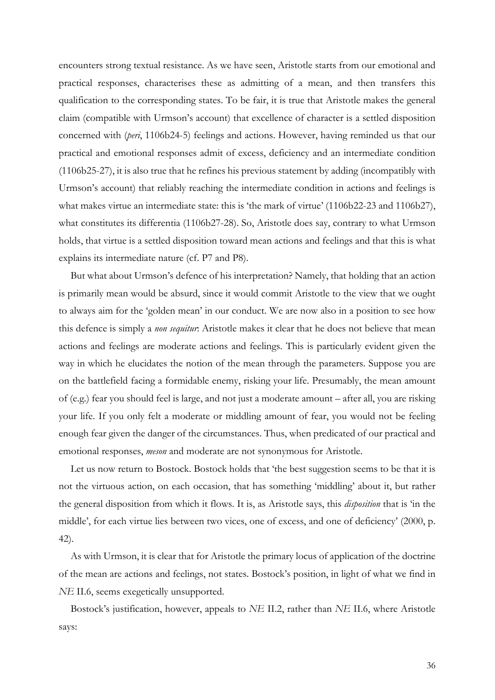encounters strong textual resistance. As we have seen, Aristotle starts from our emotional and practical responses, characterises these as admitting of a mean, and then transfers this qualification to the corresponding states. To be fair, it is true that Aristotle makes the general claim (compatible with Urmson's account) that excellence of character is a settled disposition concerned with (*peri*, 1106b24-5) feelings and actions. However, having reminded us that our practical and emotional responses admit of excess, deficiency and an intermediate condition (1106b25-27), it is also true that he refines his previous statement by adding (incompatibly with Urmson's account) that reliably reaching the intermediate condition in actions and feelings is what makes virtue an intermediate state: this is 'the mark of virtue' (1106b22-23 and 1106b27), what constitutes its differentia (1106b27-28). So, Aristotle does say, contrary to what Urmson holds, that virtue is a settled disposition toward mean actions and feelings and that this is what explains its intermediate nature (cf. P7 and P8).

But what about Urmson's defence of his interpretation? Namely, that holding that an action is primarily mean would be absurd, since it would commit Aristotle to the view that we ought to always aim for the 'golden mean' in our conduct. We are now also in a position to see how this defence is simply a *non sequitur*: Aristotle makes it clear that he does not believe that mean actions and feelings are moderate actions and feelings. This is particularly evident given the way in which he elucidates the notion of the mean through the parameters. Suppose you are on the battlefield facing a formidable enemy, risking your life. Presumably, the mean amount of (e.g.) fear you should feel is large, and not just a moderate amount – after all, you are risking your life. If you only felt a moderate or middling amount of fear, you would not be feeling enough fear given the danger of the circumstances. Thus, when predicated of our practical and emotional responses, *meson* and moderate are not synonymous for Aristotle.

Let us now return to Bostock. Bostock holds that 'the best suggestion seems to be that it is not the virtuous action, on each occasion, that has something 'middling' about it, but rather the general disposition from which it flows. It is, as Aristotle says, this *disposition* that is 'in the middle', for each virtue lies between two vices, one of excess, and one of deficiency' (2000, p. 42).

As with Urmson, it is clear that for Aristotle the primary locus of application of the doctrine of the mean are actions and feelings, not states. Bostock's position, in light of what we find in *NE* II.6, seems exegetically unsupported.

Bostock's justification, however, appeals to *NE* II.2, rather than *NE* II.6, where Aristotle says: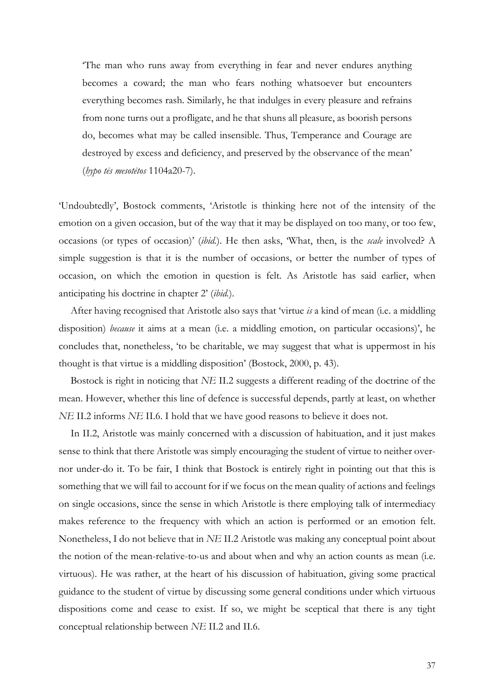'The man who runs away from everything in fear and never endures anything becomes a coward; the man who fears nothing whatsoever but encounters everything becomes rash. Similarly, he that indulges in every pleasure and refrains from none turns out a profligate, and he that shuns all pleasure, as boorish persons do, becomes what may be called insensible. Thus, Temperance and Courage are destroyed by excess and deficiency, and preserved by the observance of the mean' (*hypo tēs mesotētos* 1104a20-7).

'Undoubtedly', Bostock comments, 'Aristotle is thinking here not of the intensity of the emotion on a given occasion, but of the way that it may be displayed on too many, or too few, occasions (or types of occasion)' (*ibid.*). He then asks, 'What, then, is the *scale* involved? A simple suggestion is that it is the number of occasions, or better the number of types of occasion, on which the emotion in question is felt. As Aristotle has said earlier, when anticipating his doctrine in chapter 2' (*ibid.*).

After having recognised that Aristotle also says that 'virtue *is* a kind of mean (i.e. a middling disposition) *because* it aims at a mean (i.e. a middling emotion, on particular occasions)', he concludes that, nonetheless, 'to be charitable, we may suggest that what is uppermost in his thought is that virtue is a middling disposition' (Bostock, 2000, p. 43).

Bostock is right in noticing that *NE* II.2 suggests a different reading of the doctrine of the mean. However, whether this line of defence is successful depends, partly at least, on whether *NE* II.2 informs *NE* II.6. I hold that we have good reasons to believe it does not.

In II.2, Aristotle was mainly concerned with a discussion of habituation, and it just makes sense to think that there Aristotle was simply encouraging the student of virtue to neither overnor under-do it. To be fair, I think that Bostock is entirely right in pointing out that this is something that we will fail to account for if we focus on the mean quality of actions and feelings on single occasions, since the sense in which Aristotle is there employing talk of intermediacy makes reference to the frequency with which an action is performed or an emotion felt. Nonetheless, I do not believe that in *NE* II.2 Aristotle was making any conceptual point about the notion of the mean-relative-to-us and about when and why an action counts as mean (i.e. virtuous). He was rather, at the heart of his discussion of habituation, giving some practical guidance to the student of virtue by discussing some general conditions under which virtuous dispositions come and cease to exist. If so, we might be sceptical that there is any tight conceptual relationship between *NE* II.2 and II.6.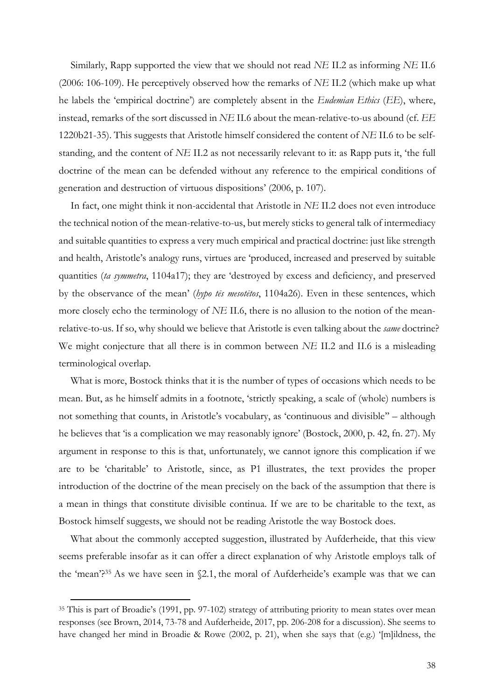Similarly, Rapp supported the view that we should not read *NE* II.2 as informing *NE* II.6 (2006: 106-109). He perceptively observed how the remarks of *NE* II.2 (which make up what he labels the 'empirical doctrine') are completely absent in the *Eudemian Ethics* (*EE*), where, instead, remarks of the sort discussed in *NE* II.6 about the mean-relative-to-us abound (cf. *EE*  1220b21-35). This suggests that Aristotle himself considered the content of *NE* II.6 to be selfstanding, and the content of *NE* II.2 as not necessarily relevant to it: as Rapp puts it, 'the full doctrine of the mean can be defended without any reference to the empirical conditions of generation and destruction of virtuous dispositions' (2006, p. 107).

In fact, one might think it non-accidental that Aristotle in *NE* II.2 does not even introduce the technical notion of the mean-relative-to-us, but merely sticks to general talk of intermediacy and suitable quantities to express a very much empirical and practical doctrine: just like strength and health, Aristotle's analogy runs, virtues are 'produced, increased and preserved by suitable quantities (*ta symmetra*, 1104a17); they are 'destroyed by excess and deficiency, and preserved by the observance of the mean' (*hypo tēs mesotētos*, 1104a26). Even in these sentences, which more closely echo the terminology of *NE* II.6, there is no allusion to the notion of the meanrelative-to-us. If so, why should we believe that Aristotle is even talking about the *same* doctrine? We might conjecture that all there is in common between *NE* II.2 and II.6 is a misleading terminological overlap.

What is more, Bostock thinks that it is the number of types of occasions which needs to be mean. But, as he himself admits in a footnote, 'strictly speaking, a scale of (whole) numbers is not something that counts, in Aristotle's vocabulary, as 'continuous and divisible'' – although he believes that 'is a complication we may reasonably ignore' (Bostock, 2000, p. 42, fn. 27). My argument in response to this is that, unfortunately, we cannot ignore this complication if we are to be 'charitable' to Aristotle, since, as P1 illustrates, the text provides the proper introduction of the doctrine of the mean precisely on the back of the assumption that there is a mean in things that constitute divisible continua. If we are to be charitable to the text, as Bostock himself suggests, we should not be reading Aristotle the way Bostock does.

What about the commonly accepted suggestion, illustrated by Aufderheide, that this view seems preferable insofar as it can offer a direct explanation of why Aristotle employs talk of the 'mean'?35 As we have seen in §2.1, the moral of Aufderheide's example was that we can

<sup>35</sup> This is part of Broadie's (1991, pp. 97-102) strategy of attributing priority to mean states over mean responses (see Brown, 2014, 73-78 and Aufderheide, 2017, pp. 206-208 for a discussion). She seems to have changed her mind in Broadie & Rowe (2002, p. 21), when she says that (e.g.) '[m]ildness, the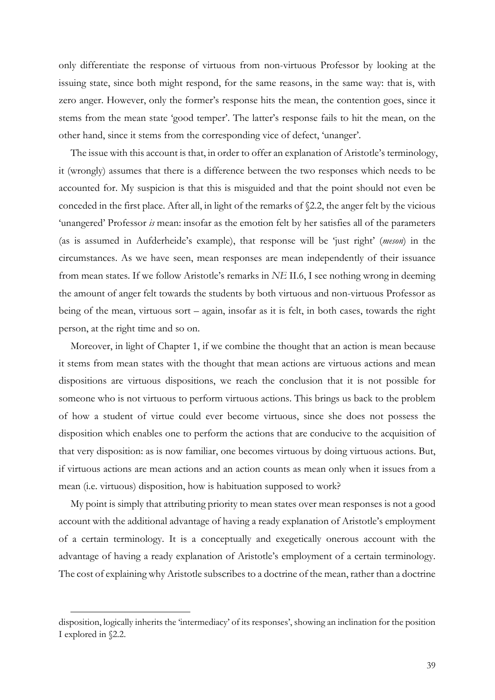only differentiate the response of virtuous from non-virtuous Professor by looking at the issuing state, since both might respond, for the same reasons, in the same way: that is, with zero anger. However, only the former's response hits the mean, the contention goes, since it stems from the mean state 'good temper'. The latter's response fails to hit the mean, on the other hand, since it stems from the corresponding vice of defect, 'unanger'.

The issue with this account is that, in order to offer an explanation of Aristotle's terminology, it (wrongly) assumes that there is a difference between the two responses which needs to be accounted for. My suspicion is that this is misguided and that the point should not even be conceded in the first place. After all, in light of the remarks of §2.2, the anger felt by the vicious 'unangered' Professor *is* mean: insofar as the emotion felt by her satisfies all of the parameters (as is assumed in Aufderheide's example), that response will be 'just right' (*meson*) in the circumstances. As we have seen, mean responses are mean independently of their issuance from mean states. If we follow Aristotle's remarks in *NE* II.6, I see nothing wrong in deeming the amount of anger felt towards the students by both virtuous and non-virtuous Professor as being of the mean, virtuous sort – again, insofar as it is felt, in both cases, towards the right person, at the right time and so on.

Moreover, in light of Chapter 1, if we combine the thought that an action is mean because it stems from mean states with the thought that mean actions are virtuous actions and mean dispositions are virtuous dispositions, we reach the conclusion that it is not possible for someone who is not virtuous to perform virtuous actions. This brings us back to the problem of how a student of virtue could ever become virtuous, since she does not possess the disposition which enables one to perform the actions that are conducive to the acquisition of that very disposition: as is now familiar, one becomes virtuous by doing virtuous actions. But, if virtuous actions are mean actions and an action counts as mean only when it issues from a mean (i.e. virtuous) disposition, how is habituation supposed to work?

My point is simply that attributing priority to mean states over mean responses is not a good account with the additional advantage of having a ready explanation of Aristotle's employment of a certain terminology. It is a conceptually and exegetically onerous account with the advantage of having a ready explanation of Aristotle's employment of a certain terminology. The cost of explaining why Aristotle subscribes to a doctrine of the mean, rather than a doctrine

disposition, logically inherits the 'intermediacy' of its responses', showing an inclination for the position I explored in §2.2.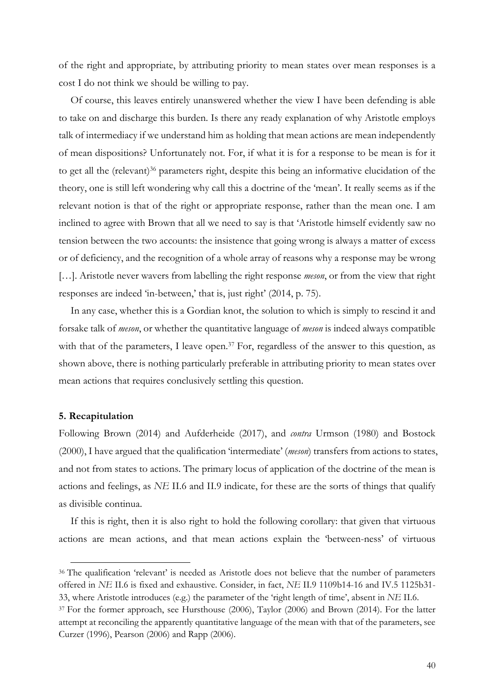of the right and appropriate, by attributing priority to mean states over mean responses is a cost I do not think we should be willing to pay.

Of course, this leaves entirely unanswered whether the view I have been defending is able to take on and discharge this burden. Is there any ready explanation of why Aristotle employs talk of intermediacy if we understand him as holding that mean actions are mean independently of mean dispositions? Unfortunately not. For, if what it is for a response to be mean is for it to get all the (relevant)<sup>36</sup> parameters right, despite this being an informative elucidation of the theory, one is still left wondering why call this a doctrine of the 'mean'. It really seems as if the relevant notion is that of the right or appropriate response, rather than the mean one. I am inclined to agree with Brown that all we need to say is that 'Aristotle himself evidently saw no tension between the two accounts: the insistence that going wrong is always a matter of excess or of deficiency, and the recognition of a whole array of reasons why a response may be wrong […]. Aristotle never wavers from labelling the right response *meson*, or from the view that right responses are indeed 'in-between,' that is, just right' (2014, p. 75).

In any case, whether this is a Gordian knot, the solution to which is simply to rescind it and forsake talk of *meson*, or whether the quantitative language of *meson* is indeed always compatible with that of the parameters, I leave open.<sup>37</sup> For, regardless of the answer to this question, as shown above, there is nothing particularly preferable in attributing priority to mean states over mean actions that requires conclusively settling this question.

#### **5. Recapitulation**

 $\overline{a}$ 

Following Brown (2014) and Aufderheide (2017), and *contra* Urmson (1980) and Bostock (2000), I have argued that the qualification 'intermediate' (*meson*) transfers from actions to states, and not from states to actions. The primary locus of application of the doctrine of the mean is actions and feelings, as *NE* II.6 and II.9 indicate, for these are the sorts of things that qualify as divisible continua.

If this is right, then it is also right to hold the following corollary: that given that virtuous actions are mean actions, and that mean actions explain the 'between-ness' of virtuous

<sup>36</sup> The qualification 'relevant' is needed as Aristotle does not believe that the number of parameters offered in *NE* II.6 is fixed and exhaustive. Consider, in fact, *NE* II.9 1109b14-16 and IV.5 1125b31- 33, where Aristotle introduces (e.g.) the parameter of the 'right length of time', absent in *NE* II.6.

<sup>&</sup>lt;sup>37</sup> For the former approach, see Hursthouse (2006), Taylor (2006) and Brown (2014). For the latter attempt at reconciling the apparently quantitative language of the mean with that of the parameters, see Curzer (1996), Pearson (2006) and Rapp (2006).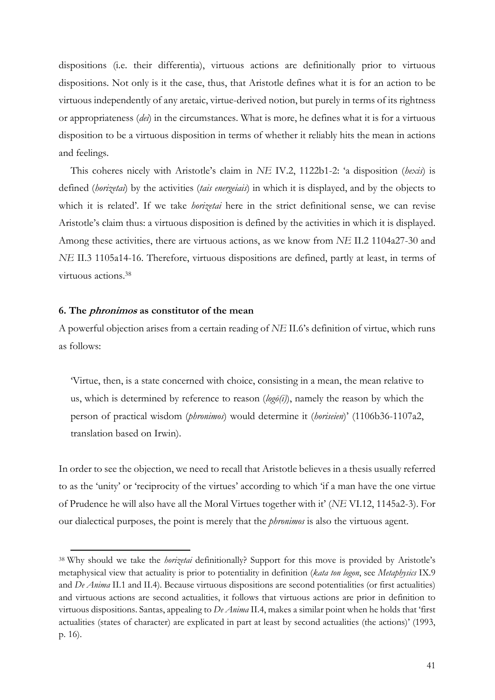dispositions (i.e. their differentia), virtuous actions are definitionally prior to virtuous dispositions. Not only is it the case, thus, that Aristotle defines what it is for an action to be virtuous independently of any aretaic, virtue-derived notion, but purely in terms of its rightness or appropriateness (*dei*) in the circumstances. What is more, he defines what it is for a virtuous disposition to be a virtuous disposition in terms of whether it reliably hits the mean in actions and feelings.

This coheres nicely with Aristotle's claim in *NE* IV.2, 1122b1-2: 'a disposition (*hexis*) is defined (*horizetai*) by the activities (*tais energeiais*) in which it is displayed, and by the objects to which it is related'. If we take *horizetai* here in the strict definitional sense, we can revise Aristotle's claim thus: a virtuous disposition is defined by the activities in which it is displayed. Among these activities, there are virtuous actions, as we know from *NE* II.2 1104a27-30 and *NE* II.3 1105a14-16. Therefore, virtuous dispositions are defined, partly at least, in terms of virtuous actions.38

#### **6. The phronimos as constitutor of the mean**

 $\overline{a}$ 

A powerful objection arises from a certain reading of *NE* II.6's definition of virtue, which runs as follows:

'Virtue, then, is a state concerned with choice, consisting in a mean, the mean relative to us, which is determined by reference to reason (*logō(i)*), namely the reason by which the person of practical wisdom (*phronimos*) would determine it (*horiseien*)' (1106b36-1107a2, translation based on Irwin).

In order to see the objection, we need to recall that Aristotle believes in a thesis usually referred to as the 'unity' or 'reciprocity of the virtues' according to which 'if a man have the one virtue of Prudence he will also have all the Moral Virtues together with it' (*NE* VI.12, 1145a2-3). For our dialectical purposes, the point is merely that the *phronimos* is also the virtuous agent.

<sup>38</sup> Why should we take the *horizetai* definitionally? Support for this move is provided by Aristotle's metaphysical view that actuality is prior to potentiality in definition (*kata ton logon*, see *Metaphysics* IX.9 and *De Anima* II.1 and II.4)*.* Because virtuous dispositions are second potentialities (or first actualities) and virtuous actions are second actualities, it follows that virtuous actions are prior in definition to virtuous dispositions. Santas, appealing to *De Anima* II.4, makes a similar point when he holds that 'first actualities (states of character) are explicated in part at least by second actualities (the actions)' (1993, p. 16).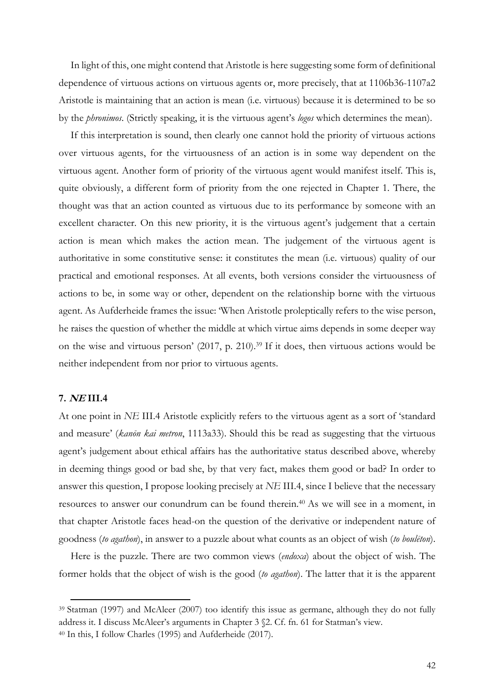In light of this, one might contend that Aristotle is here suggesting some form of definitional dependence of virtuous actions on virtuous agents or, more precisely, that at 1106b36-1107a2 Aristotle is maintaining that an action is mean (i.e. virtuous) because it is determined to be so by the *phronimos*. (Strictly speaking, it is the virtuous agent's *logos* which determines the mean).

If this interpretation is sound, then clearly one cannot hold the priority of virtuous actions over virtuous agents, for the virtuousness of an action is in some way dependent on the virtuous agent. Another form of priority of the virtuous agent would manifest itself. This is, quite obviously, a different form of priority from the one rejected in Chapter 1. There, the thought was that an action counted as virtuous due to its performance by someone with an excellent character. On this new priority, it is the virtuous agent's judgement that a certain action is mean which makes the action mean. The judgement of the virtuous agent is authoritative in some constitutive sense: it constitutes the mean (i.e. virtuous) quality of our practical and emotional responses. At all events, both versions consider the virtuousness of actions to be, in some way or other, dependent on the relationship borne with the virtuous agent. As Aufderheide frames the issue: 'When Aristotle proleptically refers to the wise person, he raises the question of whether the middle at which virtue aims depends in some deeper way on the wise and virtuous person' (2017, p. 210).39 If it does, then virtuous actions would be neither independent from nor prior to virtuous agents.

## **7. NE III.4**

 $\overline{a}$ 

At one point in *NE* III.4 Aristotle explicitly refers to the virtuous agent as a sort of 'standard and measure' (*kanōn kai metron*, 1113a33). Should this be read as suggesting that the virtuous agent's judgement about ethical affairs has the authoritative status described above, whereby in deeming things good or bad she, by that very fact, makes them good or bad? In order to answer this question, I propose looking precisely at *NE* III.4, since I believe that the necessary resources to answer our conundrum can be found therein.<sup>40</sup> As we will see in a moment, in that chapter Aristotle faces head-on the question of the derivative or independent nature of goodness (*to agathon*), in answer to a puzzle about what counts as an object of wish (*to boulēton*).

Here is the puzzle. There are two common views (*endoxa*) about the object of wish. The former holds that the object of wish is the good (*to agathon*). The latter that it is the apparent

<sup>39</sup> Statman (1997) and McAleer (2007) too identify this issue as germane, although they do not fully address it. I discuss McAleer's arguments in Chapter 3 §2. Cf. fn. 61 for Statman's view.

<sup>40</sup> In this, I follow Charles (1995) and Aufderheide (2017).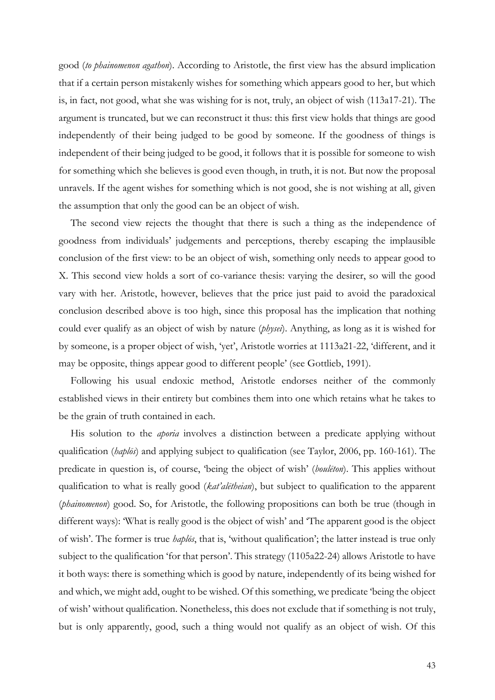good (*to phainomenon agathon*). According to Aristotle, the first view has the absurd implication that if a certain person mistakenly wishes for something which appears good to her, but which is, in fact, not good, what she was wishing for is not, truly, an object of wish (113a17-21). The argument is truncated, but we can reconstruct it thus: this first view holds that things are good independently of their being judged to be good by someone. If the goodness of things is independent of their being judged to be good, it follows that it is possible for someone to wish for something which she believes is good even though, in truth, it is not. But now the proposal unravels. If the agent wishes for something which is not good, she is not wishing at all, given the assumption that only the good can be an object of wish.

The second view rejects the thought that there is such a thing as the independence of goodness from individuals' judgements and perceptions, thereby escaping the implausible conclusion of the first view: to be an object of wish, something only needs to appear good to X. This second view holds a sort of co-variance thesis: varying the desirer, so will the good vary with her. Aristotle, however, believes that the price just paid to avoid the paradoxical conclusion described above is too high, since this proposal has the implication that nothing could ever qualify as an object of wish by nature (*physei*). Anything, as long as it is wished for by someone, is a proper object of wish, 'yet', Aristotle worries at 1113a21-22, 'different, and it may be opposite, things appear good to different people' (see Gottlieb, 1991).

Following his usual endoxic method, Aristotle endorses neither of the commonly established views in their entirety but combines them into one which retains what he takes to be the grain of truth contained in each.

His solution to the *aporia* involves a distinction between a predicate applying without qualification (*haplōs*) and applying subject to qualification (see Taylor, 2006, pp. 160-161). The predicate in question is, of course, 'being the object of wish' (*boulēton*). This applies without qualification to what is really good (*kat'alētheian*), but subject to qualification to the apparent (*phainomenon*) good. So, for Aristotle, the following propositions can both be true (though in different ways): 'What is really good is the object of wish' and 'The apparent good is the object of wish'. The former is true *haplōs*, that is, 'without qualification'; the latter instead is true only subject to the qualification 'for that person'. This strategy (1105a22-24) allows Aristotle to have it both ways: there is something which is good by nature, independently of its being wished for and which, we might add, ought to be wished. Of this something, we predicate 'being the object of wish' without qualification. Nonetheless, this does not exclude that if something is not truly, but is only apparently, good, such a thing would not qualify as an object of wish. Of this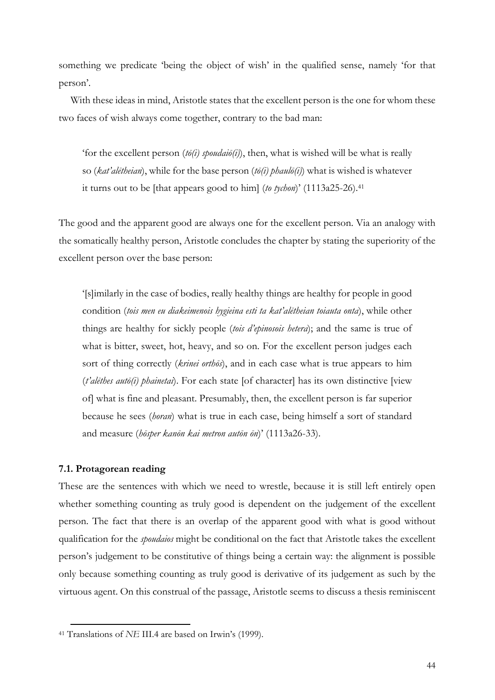something we predicate 'being the object of wish' in the qualified sense, namely 'for that person'.

With these ideas in mind, Aristotle states that the excellent person is the one for whom these two faces of wish always come together, contrary to the bad man:

'for the excellent person (*tō(i) spoudaiō(i)*), then, what is wished will be what is really so (*kat'alētheian*), while for the base person (*tō(i) phaulō(i)*) what is wished is whatever it turns out to be [that appears good to him] (*to tychon*)' (1113a25-26).41

The good and the apparent good are always one for the excellent person. Via an analogy with the somatically healthy person, Aristotle concludes the chapter by stating the superiority of the excellent person over the base person:

'[s]imilarly in the case of bodies, really healthy things are healthy for people in good condition (*tois men eu diakeimenois hygieina esti ta kat'alētheian toiauta onta*), while other things are healthy for sickly people (*tois d'epinosois hetera*); and the same is true of what is bitter, sweet, hot, heavy, and so on. For the excellent person judges each sort of thing correctly (*krinei orthōs*), and in each case what is true appears to him (*t'alēthes autō(i) phainetai*). For each state [of character] has its own distinctive [view of] what is fine and pleasant. Presumably, then, the excellent person is far superior because he sees (*horan*) what is true in each case, being himself a sort of standard and measure (*hōsper kanōn kai metron autōn ōn*)' (1113a26-33).

## **7.1. Protagorean reading**

 $\overline{a}$ 

These are the sentences with which we need to wrestle, because it is still left entirely open whether something counting as truly good is dependent on the judgement of the excellent person. The fact that there is an overlap of the apparent good with what is good without qualification for the *spoudaios* might be conditional on the fact that Aristotle takes the excellent person's judgement to be constitutive of things being a certain way: the alignment is possible only because something counting as truly good is derivative of its judgement as such by the virtuous agent. On this construal of the passage, Aristotle seems to discuss a thesis reminiscent

<sup>41</sup> Translations of *NE* III.4 are based on Irwin's (1999).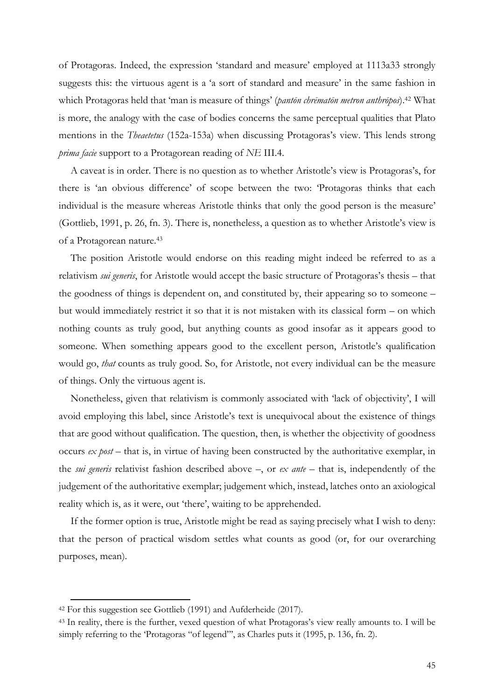of Protagoras. Indeed, the expression 'standard and measure' employed at 1113a33 strongly suggests this: the virtuous agent is a 'a sort of standard and measure' in the same fashion in which Protagoras held that 'man is measure of things' (*pantōn chrēmatōn metron anthrōpos*).42 What is more, the analogy with the case of bodies concerns the same perceptual qualities that Plato mentions in the *Theaetetus* (152a-153a) when discussing Protagoras's view. This lends strong *prima facie* support to a Protagorean reading of *NE* III.4.

A caveat is in order. There is no question as to whether Aristotle's view is Protagoras's, for there is 'an obvious difference' of scope between the two: 'Protagoras thinks that each individual is the measure whereas Aristotle thinks that only the good person is the measure' (Gottlieb, 1991, p. 26, fn. 3). There is, nonetheless, a question as to whether Aristotle's view is of a Protagorean nature. 43

The position Aristotle would endorse on this reading might indeed be referred to as a relativism *sui generis*, for Aristotle would accept the basic structure of Protagoras's thesis – that the goodness of things is dependent on, and constituted by, their appearing so to someone – but would immediately restrict it so that it is not mistaken with its classical form – on which nothing counts as truly good, but anything counts as good insofar as it appears good to someone. When something appears good to the excellent person, Aristotle's qualification would go, *that* counts as truly good. So, for Aristotle, not every individual can be the measure of things. Only the virtuous agent is.

Nonetheless, given that relativism is commonly associated with 'lack of objectivity', I will avoid employing this label, since Aristotle's text is unequivocal about the existence of things that are good without qualification. The question, then, is whether the objectivity of goodness occurs *ex post* – that is, in virtue of having been constructed by the authoritative exemplar, in the *sui generis* relativist fashion described above –, or *ex ante* – that is, independently of the judgement of the authoritative exemplar; judgement which, instead, latches onto an axiological reality which is, as it were, out 'there', waiting to be apprehended.

If the former option is true, Aristotle might be read as saying precisely what I wish to deny: that the person of practical wisdom settles what counts as good (or, for our overarching purposes, mean).

<sup>42</sup> For this suggestion see Gottlieb (1991) and Aufderheide (2017).

<sup>43</sup> In reality, there is the further, vexed question of what Protagoras's view really amounts to. I will be simply referring to the 'Protagoras "of legend"', as Charles puts it (1995, p. 136, fn. 2).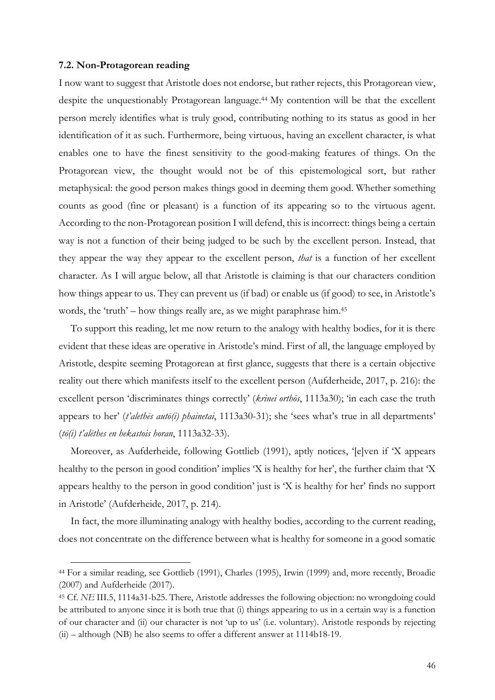#### **7.2. Non-Protagorean reading**

 $\overline{a}$ 

I now want to suggest that Aristotle does not endorse, but rather rejects, this Protagorean view, despite the unquestionably Protagorean language.44 My contention will be that the excellent person merely identifies what is truly good, contributing nothing to its status as good in her identification of it as such. Furthermore, being virtuous, having an excellent character, is what enables one to have the finest sensitivity to the good-making features of things. On the Protagorean view, the thought would not be of this epistemological sort, but rather metaphysical: the good person makes things good in deeming them good. Whether something counts as good (fine or pleasant) is a function of its appearing so to the virtuous agent. According to the non-Protagorean position I will defend, this is incorrect: things being a certain way is not a function of their being judged to be such by the excellent person. Instead, that they appear the way they appear to the excellent person, *that* is a function of her excellent character. As I will argue below, all that Aristotle is claiming is that our characters condition how things appear to us. They can prevent us (if bad) or enable us (if good) to see, in Aristotle's words, the 'truth' – how things really are, as we might paraphrase him.<sup>45</sup>

To support this reading, let me now return to the analogy with healthy bodies, for it is there evident that these ideas are operative in Aristotle's mind. First of all, the language employed by Aristotle, despite seeming Protagorean at first glance, suggests that there is a certain objective reality out there which manifests itself to the excellent person (Aufderheide, 2017, p. 216): the excellent person 'discriminates things correctly' (*krinei orthōs*, 1113a30); 'in each case the truth appears to her' (*t'alethēs autō(i) phainetai*, 1113a30-31); she 'sees what's true in all departments' (*tō(i) t'alēthes en hekastois horan*, 1113a32-33).

Moreover, as Aufderheide, following Gottlieb (1991), aptly notices, '[e]ven if 'X appears healthy to the person in good condition' implies 'X is healthy for her', the further claim that 'X appears healthy to the person in good condition' just is 'X is healthy for her' finds no support in Aristotle' (Aufderheide, 2017, p. 214).

In fact, the more illuminating analogy with healthy bodies, according to the current reading, does not concentrate on the difference between what is healthy for someone in a good somatic

<sup>44</sup> For a similar reading, see Gottlieb (1991), Charles (1995), Irwin (1999) and, more recently, Broadie (2007) and Aufderheide (2017).

<sup>45</sup> Cf*. NE* III.5, 1114a31-b25. There, Aristotle addresses the following objection: no wrongdoing could be attributed to anyone since it is both true that (i) things appearing to us in a certain way is a function of our character and (ii) our character is not 'up to us' (i.e. voluntary). Aristotle responds by rejecting (ii) – although (NB) he also seems to offer a different answer at 1114b18-19.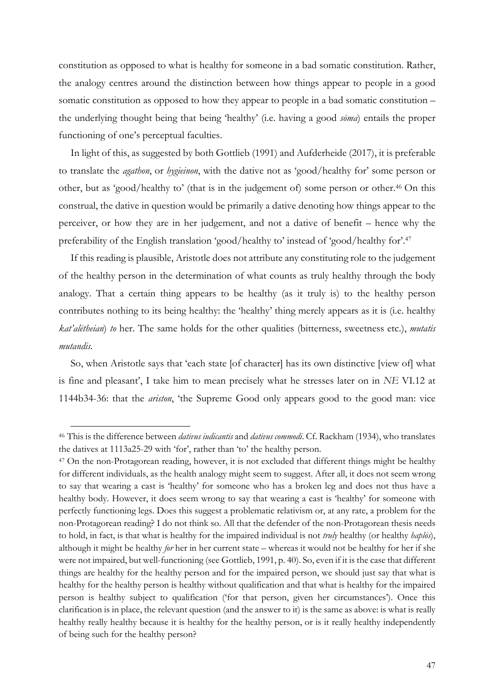constitution as opposed to what is healthy for someone in a bad somatic constitution. Rather, the analogy centres around the distinction between how things appear to people in a good somatic constitution as opposed to how they appear to people in a bad somatic constitution – the underlying thought being that being 'healthy' (i.e. having a good *sōma*) entails the proper functioning of one's perceptual faculties.

In light of this, as suggested by both Gottlieb (1991) and Aufderheide (2017), it is preferable to translate the *agathon*, or *hygieinon*, with the dative not as 'good/healthy for' some person or other, but as 'good/healthy to' (that is in the judgement of) some person or other.46 On this construal, the dative in question would be primarily a dative denoting how things appear to the perceiver, or how they are in her judgement, and not a dative of benefit – hence why the preferability of the English translation 'good/healthy to' instead of 'good/healthy for'.47

If this reading is plausible, Aristotle does not attribute any constituting role to the judgement of the healthy person in the determination of what counts as truly healthy through the body analogy. That a certain thing appears to be healthy (as it truly is) to the healthy person contributes nothing to its being healthy: the 'healthy' thing merely appears as it is (i.e. healthy *kat'alētheian*) *to* her. The same holds for the other qualities (bitterness, sweetness etc.), *mutatis mutandis.*

So, when Aristotle says that 'each state [of character] has its own distinctive [view of] what is fine and pleasant', I take him to mean precisely what he stresses later on in *NE* VI.12 at 1144b34-36: that the *ariston*, 'the Supreme Good only appears good to the good man: vice

<sup>46</sup> This is the difference between *dativus iudicantis* and *dativus commodi*. Cf. Rackham (1934), who translates the datives at 1113a25-29 with 'for', rather than 'to' the healthy person.

<sup>47</sup> On the non-Protagorean reading, however, it is not excluded that different things might be healthy for different individuals, as the health analogy might seem to suggest. After all, it does not seem wrong to say that wearing a cast is 'healthy' for someone who has a broken leg and does not thus have a healthy body. However, it does seem wrong to say that wearing a cast is 'healthy' for someone with perfectly functioning legs. Does this suggest a problematic relativism or, at any rate, a problem for the non-Protagorean reading? I do not think so. All that the defender of the non-Protagorean thesis needs to hold, in fact, is that what is healthy for the impaired individual is not *truly* healthy (or healthy *haplōs*), although it might be healthy *for* her in her current state – whereas it would not be healthy for her if she were not impaired, but well-functioning (see Gottlieb, 1991, p. 40). So, even if it is the case that different things are healthy for the healthy person and for the impaired person, we should just say that what is healthy for the healthy person is healthy without qualification and that what is healthy for the impaired person is healthy subject to qualification ('for that person, given her circumstances'). Once this clarification is in place, the relevant question (and the answer to it) is the same as above: is what is really healthy really healthy because it is healthy for the healthy person, or is it really healthy independently of being such for the healthy person?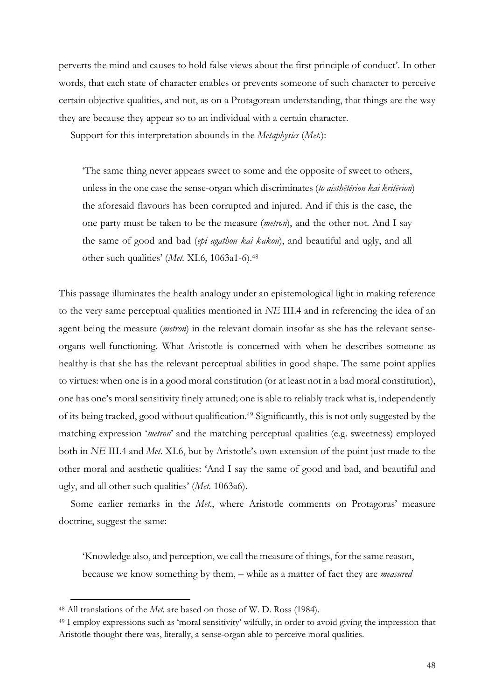perverts the mind and causes to hold false views about the first principle of conduct'. In other words, that each state of character enables or prevents someone of such character to perceive certain objective qualities, and not, as on a Protagorean understanding, that things are the way they are because they appear so to an individual with a certain character.

Support for this interpretation abounds in the *Metaphysics* (*Met.*):

'The same thing never appears sweet to some and the opposite of sweet to others, unless in the one case the sense-organ which discriminates (*to aisthētērion kai kritērion*) the aforesaid flavours has been corrupted and injured. And if this is the case, the one party must be taken to be the measure (*metron*), and the other not. And I say the same of good and bad (*epi agathou kai kakou*), and beautiful and ugly, and all other such qualities' (*Met.* XI.6, 1063a1-6). 48

This passage illuminates the health analogy under an epistemological light in making reference to the very same perceptual qualities mentioned in *NE* III.4 and in referencing the idea of an agent being the measure (*metron*) in the relevant domain insofar as she has the relevant senseorgans well-functioning. What Aristotle is concerned with when he describes someone as healthy is that she has the relevant perceptual abilities in good shape. The same point applies to virtues: when one is in a good moral constitution (or at least not in a bad moral constitution), one has one's moral sensitivity finely attuned; one is able to reliably track what is, independently of its being tracked, good without qualification.49 Significantly, this is not only suggested by the matching expression '*metron*' and the matching perceptual qualities (e.g. sweetness) employed both in *NE* III.4 and *Met.* XI.6, but by Aristotle's own extension of the point just made to the other moral and aesthetic qualities: 'And I say the same of good and bad, and beautiful and ugly, and all other such qualities' (*Met.* 1063a6).

Some earlier remarks in the *Met.*, where Aristotle comments on Protagoras' measure doctrine, suggest the same:

'Knowledge also, and perception, we call the measure of things, for the same reason, because we know something by them, – while as a matter of fact they are *measured* 

<sup>48</sup> All translations of the *Met.* are based on those of W. D. Ross (1984).

<sup>49</sup> I employ expressions such as 'moral sensitivity' wilfully, in order to avoid giving the impression that Aristotle thought there was, literally, a sense-organ able to perceive moral qualities.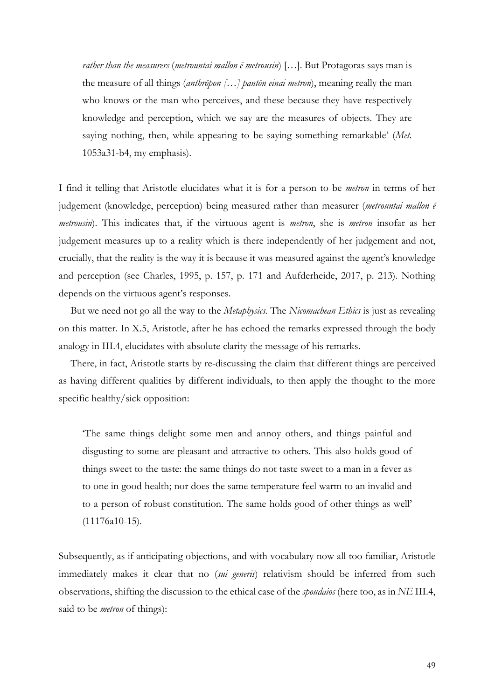*rather than the measurers* (*metrountai mallon ē metrousin*) […]. But Protagoras says man is the measure of all things (*anthrōpon […] pantōn einai metron*), meaning really the man who knows or the man who perceives, and these because they have respectively knowledge and perception, which we say are the measures of objects. They are saying nothing, then, while appearing to be saying something remarkable' (*Met.*  1053a31-b4, my emphasis).

I find it telling that Aristotle elucidates what it is for a person to be *metron* in terms of her judgement (knowledge, perception) being measured rather than measurer (*metrountai mallon ē metrousin*). This indicates that, if the virtuous agent is *metron*, she is *metron* insofar as her judgement measures up to a reality which is there independently of her judgement and not, crucially, that the reality is the way it is because it was measured against the agent's knowledge and perception (see Charles, 1995, p. 157, p. 171 and Aufderheide, 2017, p. 213). Nothing depends on the virtuous agent's responses.

But we need not go all the way to the *Metaphysics.* The *Nicomachean Ethics* is just as revealing on this matter. In X.5, Aristotle, after he has echoed the remarks expressed through the body analogy in III.4, elucidates with absolute clarity the message of his remarks.

There, in fact, Aristotle starts by re-discussing the claim that different things are perceived as having different qualities by different individuals, to then apply the thought to the more specific healthy/sick opposition:

'The same things delight some men and annoy others, and things painful and disgusting to some are pleasant and attractive to others. This also holds good of things sweet to the taste: the same things do not taste sweet to a man in a fever as to one in good health; nor does the same temperature feel warm to an invalid and to a person of robust constitution. The same holds good of other things as well' (11176a10-15).

Subsequently, as if anticipating objections, and with vocabulary now all too familiar, Aristotle immediately makes it clear that no (*sui generis*) relativism should be inferred from such observations, shifting the discussion to the ethical case of the *spoudaios* (here too, as in *NE* III.4, said to be *metron* of things):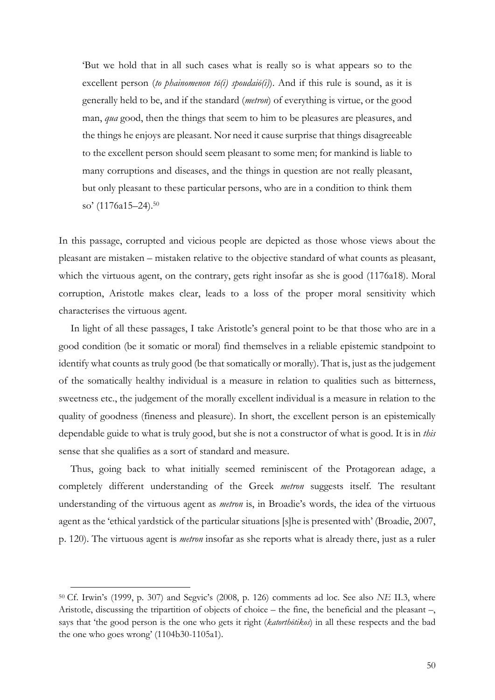'But we hold that in all such cases what is really so is what appears so to the excellent person (*to phainomenon tō(i) spoudaiō(i)*). And if this rule is sound, as it is generally held to be, and if the standard (*metron*) of everything is virtue, or the good man, *qua* good, then the things that seem to him to be pleasures are pleasures, and the things he enjoys are pleasant. Nor need it cause surprise that things disagreeable to the excellent person should seem pleasant to some men; for mankind is liable to many corruptions and diseases, and the things in question are not really pleasant, but only pleasant to these particular persons, who are in a condition to think them so' (1176a15–24). 50

In this passage, corrupted and vicious people are depicted as those whose views about the pleasant are mistaken – mistaken relative to the objective standard of what counts as pleasant, which the virtuous agent, on the contrary, gets right insofar as she is good (1176a18). Moral corruption, Aristotle makes clear, leads to a loss of the proper moral sensitivity which characterises the virtuous agent.

In light of all these passages, I take Aristotle's general point to be that those who are in a good condition (be it somatic or moral) find themselves in a reliable epistemic standpoint to identify what counts as truly good (be that somatically or morally). That is, just as the judgement of the somatically healthy individual is a measure in relation to qualities such as bitterness, sweetness etc., the judgement of the morally excellent individual is a measure in relation to the quality of goodness (fineness and pleasure). In short, the excellent person is an epistemically dependable guide to what is truly good, but she is not a constructor of what is good. It is in *this*  sense that she qualifies as a sort of standard and measure.

Thus, going back to what initially seemed reminiscent of the Protagorean adage, a completely different understanding of the Greek *metron* suggests itself*.* The resultant understanding of the virtuous agent as *metron* is, in Broadie's words, the idea of the virtuous agent as the 'ethical yardstick of the particular situations [s]he is presented with' (Broadie, 2007, p. 120). The virtuous agent is *metron* insofar as she reports what is already there, just as a ruler

<sup>50</sup> Cf. Irwin's (1999, p. 307) and Segvic's (2008, p. 126) comments ad loc. See also *NE* II.3, where Aristotle, discussing the tripartition of objects of choice – the fine, the beneficial and the pleasant –, says that 'the good person is the one who gets it right (*katorthōtikos*) in all these respects and the bad the one who goes wrong' (1104b30-1105a1).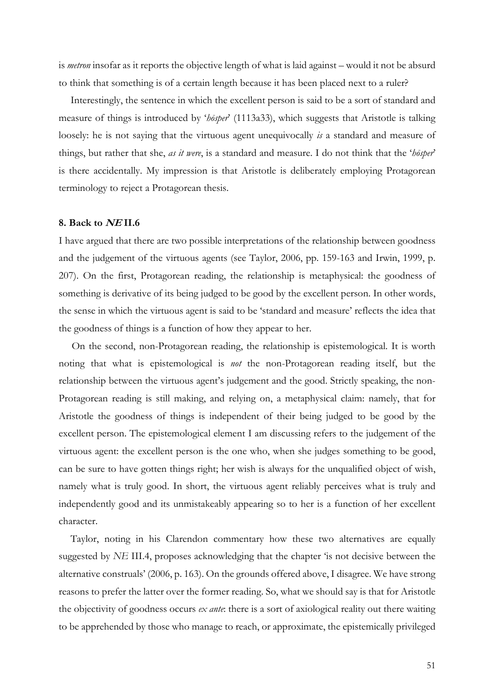is *metron* insofar as it reports the objective length of what is laid against – would it not be absurd to think that something is of a certain length because it has been placed next to a ruler?

Interestingly, the sentence in which the excellent person is said to be a sort of standard and measure of things is introduced by '*hōsper*' (1113a33), which suggests that Aristotle is talking loosely: he is not saying that the virtuous agent unequivocally *is* a standard and measure of things, but rather that she, *as it were*, is a standard and measure. I do not think that the '*hōsper*' is there accidentally. My impression is that Aristotle is deliberately employing Protagorean terminology to reject a Protagorean thesis.

#### **8. Back to NE II.6**

I have argued that there are two possible interpretations of the relationship between goodness and the judgement of the virtuous agents (see Taylor, 2006, pp. 159-163 and Irwin, 1999, p. 207). On the first, Protagorean reading, the relationship is metaphysical: the goodness of something is derivative of its being judged to be good by the excellent person. In other words, the sense in which the virtuous agent is said to be 'standard and measure' reflects the idea that the goodness of things is a function of how they appear to her.

 On the second, non-Protagorean reading, the relationship is epistemological. It is worth noting that what is epistemological is *not* the non-Protagorean reading itself, but the relationship between the virtuous agent's judgement and the good. Strictly speaking, the non-Protagorean reading is still making, and relying on, a metaphysical claim: namely, that for Aristotle the goodness of things is independent of their being judged to be good by the excellent person. The epistemological element I am discussing refers to the judgement of the virtuous agent: the excellent person is the one who, when she judges something to be good, can be sure to have gotten things right; her wish is always for the unqualified object of wish, namely what is truly good. In short, the virtuous agent reliably perceives what is truly and independently good and its unmistakeably appearing so to her is a function of her excellent character.

Taylor, noting in his Clarendon commentary how these two alternatives are equally suggested by *NE* III.4, proposes acknowledging that the chapter 'is not decisive between the alternative construals' (2006, p. 163). On the grounds offered above, I disagree. We have strong reasons to prefer the latter over the former reading. So, what we should say is that for Aristotle the objectivity of goodness occurs *ex ante*: there is a sort of axiological reality out there waiting to be apprehended by those who manage to reach, or approximate, the epistemically privileged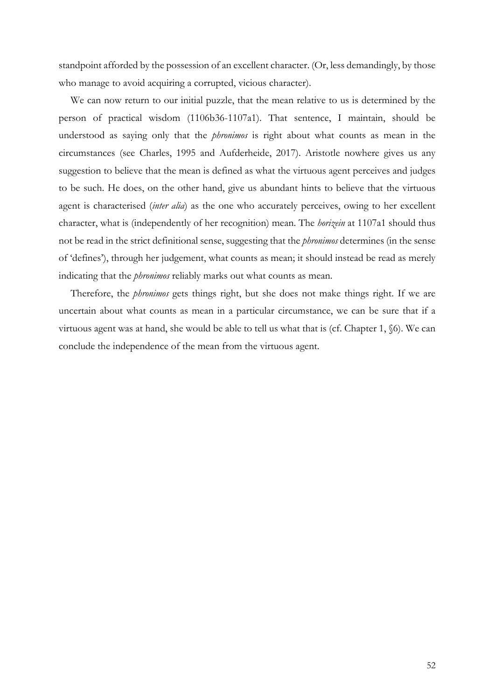standpoint afforded by the possession of an excellent character. (Or, less demandingly, by those who manage to avoid acquiring a corrupted, vicious character).

We can now return to our initial puzzle, that the mean relative to us is determined by the person of practical wisdom (1106b36-1107a1). That sentence, I maintain, should be understood as saying only that the *phronimos* is right about what counts as mean in the circumstances (see Charles, 1995 and Aufderheide, 2017). Aristotle nowhere gives us any suggestion to believe that the mean is defined as what the virtuous agent perceives and judges to be such. He does, on the other hand, give us abundant hints to believe that the virtuous agent is characterised (*inter alia*) as the one who accurately perceives, owing to her excellent character, what is (independently of her recognition) mean. The *horizein* at 1107a1 should thus not be read in the strict definitional sense, suggesting that the *phronimos* determines (in the sense of 'defines'), through her judgement, what counts as mean; it should instead be read as merely indicating that the *phronimos* reliably marks out what counts as mean.

Therefore, the *phronimos* gets things right, but she does not make things right. If we are uncertain about what counts as mean in a particular circumstance, we can be sure that if a virtuous agent was at hand, she would be able to tell us what that is (cf. Chapter 1, §6). We can conclude the independence of the mean from the virtuous agent.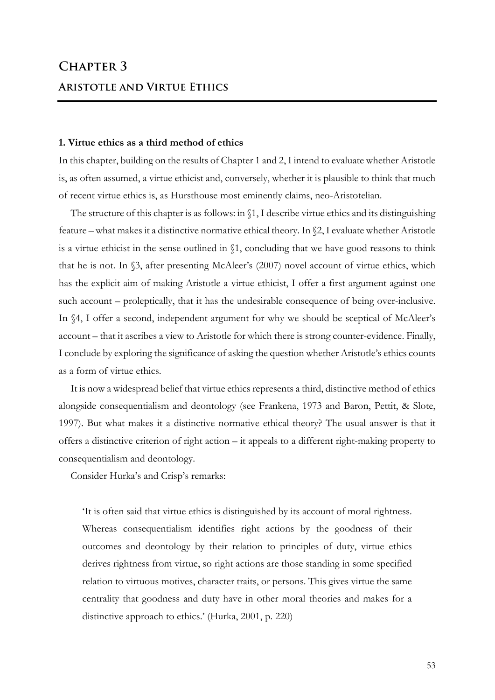# **Chapter 3 Aristotle and Virtue Ethics**

#### **1. Virtue ethics as a third method of ethics**

In this chapter, building on the results of Chapter 1 and 2, I intend to evaluate whether Aristotle is, as often assumed, a virtue ethicist and, conversely, whether it is plausible to think that much of recent virtue ethics is, as Hursthouse most eminently claims, neo-Aristotelian.

The structure of this chapter is as follows: in §1, I describe virtue ethics and its distinguishing feature – what makes it a distinctive normative ethical theory. In §2, I evaluate whether Aristotle is a virtue ethicist in the sense outlined in §1, concluding that we have good reasons to think that he is not. In §3, after presenting McAleer's (2007) novel account of virtue ethics, which has the explicit aim of making Aristotle a virtue ethicist, I offer a first argument against one such account – proleptically, that it has the undesirable consequence of being over-inclusive. In §4, I offer a second, independent argument for why we should be sceptical of McAleer's account – that it ascribes a view to Aristotle for which there is strong counter-evidence. Finally, I conclude by exploring the significance of asking the question whether Aristotle's ethics counts as a form of virtue ethics.

It is now a widespread belief that virtue ethics represents a third, distinctive method of ethics alongside consequentialism and deontology (see Frankena, 1973 and Baron, Pettit, & Slote, 1997). But what makes it a distinctive normative ethical theory? The usual answer is that it offers a distinctive criterion of right action – it appeals to a different right-making property to consequentialism and deontology.

Consider Hurka's and Crisp's remarks:

'It is often said that virtue ethics is distinguished by its account of moral rightness. Whereas consequentialism identifies right actions by the goodness of their outcomes and deontology by their relation to principles of duty, virtue ethics derives rightness from virtue, so right actions are those standing in some specified relation to virtuous motives, character traits, or persons. This gives virtue the same centrality that goodness and duty have in other moral theories and makes for a distinctive approach to ethics.' (Hurka, 2001, p. 220)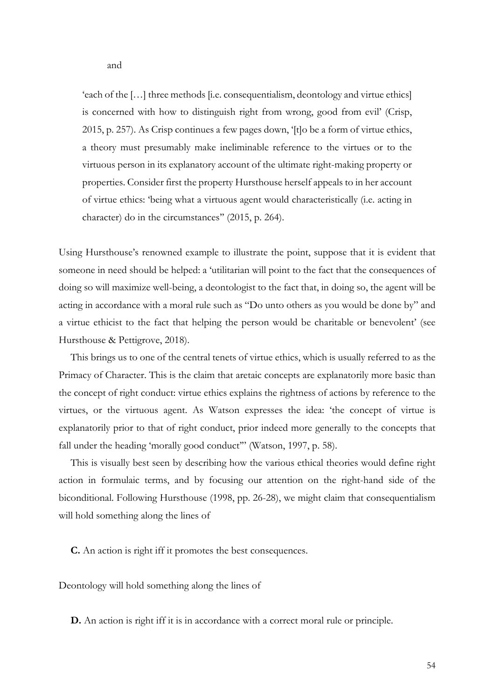'each of the […] three methods [i.e. consequentialism, deontology and virtue ethics] is concerned with how to distinguish right from wrong, good from evil' (Crisp, 2015, p. 257). As Crisp continues a few pages down, '[t]o be a form of virtue ethics, a theory must presumably make ineliminable reference to the virtues or to the virtuous person in its explanatory account of the ultimate right-making property or properties. Consider first the property Hursthouse herself appeals to in her account of virtue ethics: 'being what a virtuous agent would characteristically (i.e. acting in character) do in the circumstances'' (2015, p. 264).

Using Hursthouse's renowned example to illustrate the point, suppose that it is evident that someone in need should be helped: a 'utilitarian will point to the fact that the consequences of doing so will maximize well-being, a deontologist to the fact that, in doing so, the agent will be acting in accordance with a moral rule such as "Do unto others as you would be done by" and a virtue ethicist to the fact that helping the person would be charitable or benevolent' (see Hursthouse & Pettigrove, 2018).

This brings us to one of the central tenets of virtue ethics, which is usually referred to as the Primacy of Character. This is the claim that aretaic concepts are explanatorily more basic than the concept of right conduct: virtue ethics explains the rightness of actions by reference to the virtues, or the virtuous agent. As Watson expresses the idea: 'the concept of virtue is explanatorily prior to that of right conduct, prior indeed more generally to the concepts that fall under the heading 'morally good conduct'" (Watson, 1997, p. 58).

This is visually best seen by describing how the various ethical theories would define right action in formulaic terms, and by focusing our attention on the right-hand side of the biconditional. Following Hursthouse (1998, pp. 26-28), we might claim that consequentialism will hold something along the lines of

**C.** An action is right iff it promotes the best consequences.

Deontology will hold something along the lines of

**D.** An action is right iff it is in accordance with a correct moral rule or principle.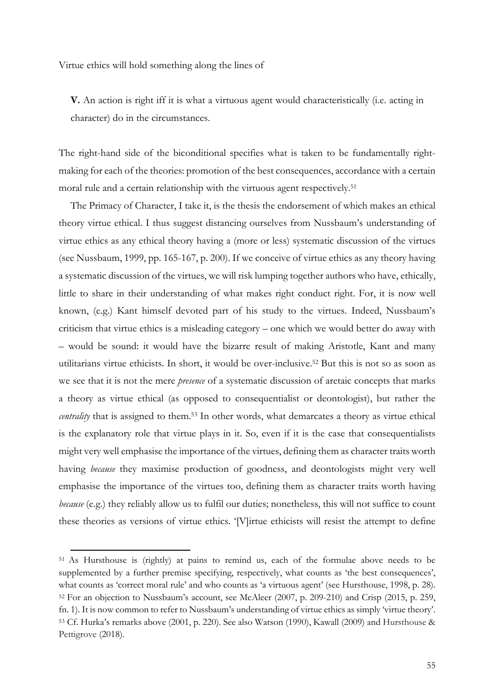Virtue ethics will hold something along the lines of

**V.** An action is right iff it is what a virtuous agent would characteristically (i.e. acting in character) do in the circumstances.

The right-hand side of the biconditional specifies what is taken to be fundamentally rightmaking for each of the theories: promotion of the best consequences, accordance with a certain moral rule and a certain relationship with the virtuous agent respectively.<sup>51</sup>

The Primacy of Character, I take it, is the thesis the endorsement of which makes an ethical theory virtue ethical. I thus suggest distancing ourselves from Nussbaum's understanding of virtue ethics as any ethical theory having a (more or less) systematic discussion of the virtues (see Nussbaum, 1999, pp. 165-167, p. 200). If we conceive of virtue ethics as any theory having a systematic discussion of the virtues, we will risk lumping together authors who have, ethically, little to share in their understanding of what makes right conduct right. For, it is now well known, (e.g.) Kant himself devoted part of his study to the virtues. Indeed, Nussbaum's criticism that virtue ethics is a misleading category – one which we would better do away with – would be sound: it would have the bizarre result of making Aristotle, Kant and many utilitarians virtue ethicists. In short, it would be over-inclusive.52 But this is not so as soon as we see that it is not the mere *presence* of a systematic discussion of aretaic concepts that marks a theory as virtue ethical (as opposed to consequentialist or deontologist), but rather the *centrality* that is assigned to them.<sup>53</sup> In other words, what demarcates a theory as virtue ethical is the explanatory role that virtue plays in it. So, even if it is the case that consequentialists might very well emphasise the importance of the virtues, defining them as character traits worth having *because* they maximise production of goodness, and deontologists might very well emphasise the importance of the virtues too, defining them as character traits worth having *because* (e.g.) they reliably allow us to fulfil our duties; nonetheless, this will not suffice to count these theories as versions of virtue ethics. '[V]irtue ethicists will resist the attempt to define

<sup>51</sup> As Hursthouse is (rightly) at pains to remind us, each of the formulae above needs to be supplemented by a further premise specifying, respectively, what counts as 'the best consequences', what counts as 'correct moral rule' and who counts as 'a virtuous agent' (see Hursthouse, 1998, p. 28). <sup>52</sup> For an objection to Nussbaum's account, see McAleer (2007, p. 209-210) and Crisp (2015, p. 259, fn. 1). It is now common to refer to Nussbaum's understanding of virtue ethics as simply 'virtue theory'. <sup>53</sup> Cf. Hurka's remarks above (2001, p. 220). See also Watson (1990), Kawall (2009) and Hursthouse & Pettigrove (2018).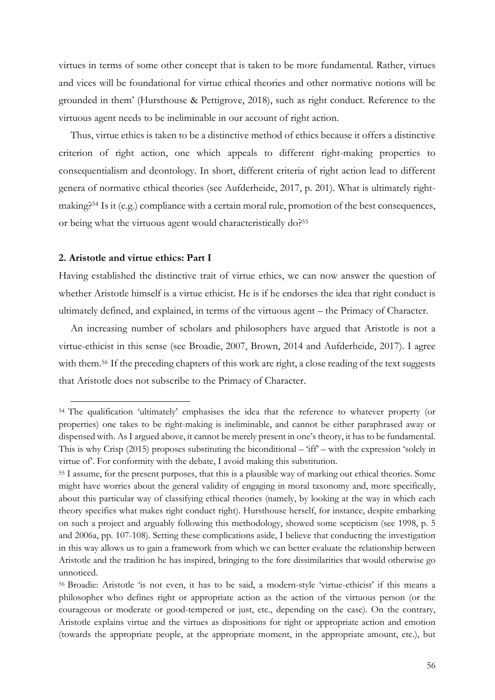virtues in terms of some other concept that is taken to be more fundamental. Rather, virtues and vices will be foundational for virtue ethical theories and other normative notions will be grounded in them' (Hursthouse & Pettigrove, 2018), such as right conduct. Reference to the virtuous agent needs to be ineliminable in our account of right action.

Thus, virtue ethics is taken to be a distinctive method of ethics because it offers a distinctive criterion of right action, one which appeals to different right-making properties to consequentialism and deontology. In short, different criteria of right action lead to different genera of normative ethical theories (see Aufderheide, 2017, p. 201). What is ultimately rightmaking?54 Is it (e.g.) compliance with a certain moral rule, promotion of the best consequences, or being what the virtuous agent would characteristically do?<sup>55</sup>

#### **2. Aristotle and virtue ethics: Part I**

 $\overline{a}$ 

Having established the distinctive trait of virtue ethics, we can now answer the question of whether Aristotle himself is a virtue ethicist. He is if he endorses the idea that right conduct is ultimately defined, and explained, in terms of the virtuous agent – the Primacy of Character.

An increasing number of scholars and philosophers have argued that Aristotle is not a virtue-ethicist in this sense (see Broadie, 2007, Brown, 2014 and Aufderheide, 2017). I agree with them.<sup>56</sup> If the preceding chapters of this work are right, a close reading of the text suggests that Aristotle does not subscribe to the Primacy of Character.

<sup>54</sup> The qualification 'ultimately' emphasises the idea that the reference to whatever property (or properties) one takes to be right-making is ineliminable, and cannot be either paraphrased away or dispensed with. As I argued above, it cannot be merely present in one's theory, it has to be fundamental. This is why Crisp (2015) proposes substituting the biconditional – 'iff' – with the expression 'solely in virtue of'. For conformity with the debate, I avoid making this substitution.

<sup>55</sup> I assume, for the present purposes, that this is a plausible way of marking out ethical theories. Some might have worries about the general validity of engaging in moral taxonomy and, more specifically, about this particular way of classifying ethical theories (namely, by looking at the way in which each theory specifies what makes right conduct right). Hursthouse herself, for instance, despite embarking on such a project and arguably following this methodology, showed some scepticism (see 1998, p. 5 and 2006a, pp. 107-108). Setting these complications aside, I believe that conducting the investigation in this way allows us to gain a framework from which we can better evaluate the relationship between Aristotle and the tradition he has inspired, bringing to the fore dissimilarities that would otherwise go unnoticed.

<sup>56</sup> Broadie: Aristotle 'is not even, it has to be said, a modern-style 'virtue-ethicist' if this means a philosopher who defines right or appropriate action as the action of the virtuous person (or the courageous or moderate or good-tempered or just, etc., depending on the case). On the contrary, Aristotle explains virtue and the virtues as dispositions for right or appropriate action and emotion (towards the appropriate people, at the appropriate moment, in the appropriate amount, etc.), but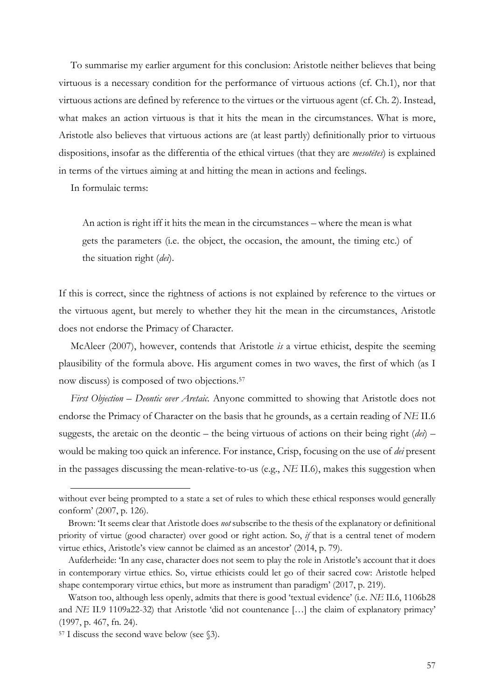To summarise my earlier argument for this conclusion: Aristotle neither believes that being virtuous is a necessary condition for the performance of virtuous actions (cf. Ch.1), nor that virtuous actions are defined by reference to the virtues or the virtuous agent (cf. Ch. 2). Instead, what makes an action virtuous is that it hits the mean in the circumstances. What is more, Aristotle also believes that virtuous actions are (at least partly) definitionally prior to virtuous dispositions, insofar as the differentia of the ethical virtues (that they are *mesotētes*) is explained in terms of the virtues aiming at and hitting the mean in actions and feelings.

In formulaic terms:

An action is right iff it hits the mean in the circumstances – where the mean is what gets the parameters (i.e. the object, the occasion, the amount, the timing etc.) of the situation right (*dei*).

If this is correct, since the rightness of actions is not explained by reference to the virtues or the virtuous agent, but merely to whether they hit the mean in the circumstances, Aristotle does not endorse the Primacy of Character.

McAleer (2007), however, contends that Aristotle *is* a virtue ethicist, despite the seeming plausibility of the formula above. His argument comes in two waves, the first of which (as I now discuss) is composed of two objections.57

*First Objection – Deontic over Aretaic.* Anyone committed to showing that Aristotle does not endorse the Primacy of Character on the basis that he grounds, as a certain reading of *NE* II.6 suggests, the aretaic on the deontic – the being virtuous of actions on their being right (*dei*) – would be making too quick an inference. For instance, Crisp, focusing on the use of *dei* present in the passages discussing the mean-relative-to-us (e.g., *NE* II.6), makes this suggestion when

without ever being prompted to a state a set of rules to which these ethical responses would generally conform' (2007, p. 126).

Brown: 'It seems clear that Aristotle does *not* subscribe to the thesis of the explanatory or definitional priority of virtue (good character) over good or right action. So, *if* that is a central tenet of modern virtue ethics, Aristotle's view cannot be claimed as an ancestor' (2014, p. 79).

Aufderheide: 'In any case, character does not seem to play the role in Aristotle's account that it does in contemporary virtue ethics. So, virtue ethicists could let go of their sacred cow: Aristotle helped shape contemporary virtue ethics, but more as instrument than paradigm' (2017, p. 219).

Watson too, although less openly, admits that there is good 'textual evidence' (i.e. *NE* II.6, 1106b28 and *NE* II.9 1109a22-32) that Aristotle 'did not countenance [...] the claim of explanatory primacy' (1997, p. 467, fn. 24).

<sup>57</sup> I discuss the second wave below (see §3).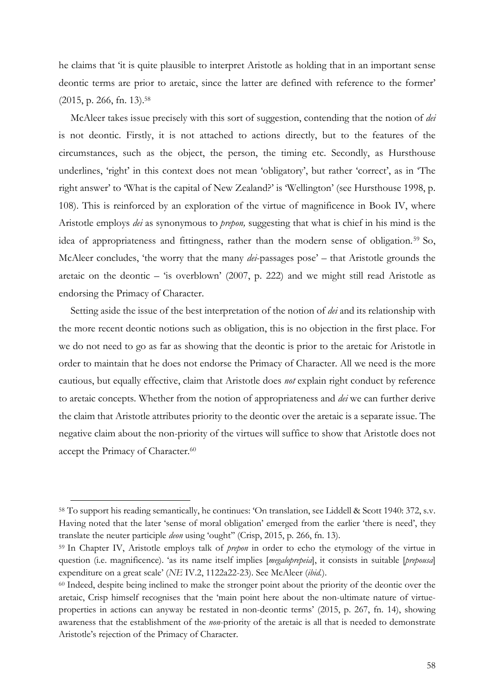he claims that 'it is quite plausible to interpret Aristotle as holding that in an important sense deontic terms are prior to aretaic, since the latter are defined with reference to the former' (2015, p. 266, fn. 13).58

McAleer takes issue precisely with this sort of suggestion, contending that the notion of *dei* is not deontic. Firstly, it is not attached to actions directly, but to the features of the circumstances, such as the object, the person, the timing etc. Secondly, as Hursthouse underlines, 'right' in this context does not mean 'obligatory', but rather 'correct', as in 'The right answer' to 'What is the capital of New Zealand?' is 'Wellington' (see Hursthouse 1998, p. 108). This is reinforced by an exploration of the virtue of magnificence in Book IV, where Aristotle employs *dei* as synonymous to *prepon,* suggesting that what is chief in his mind is the idea of appropriateness and fittingness, rather than the modern sense of obligation.<sup>59</sup> So, McAleer concludes, 'the worry that the many *dei*-passages pose' – that Aristotle grounds the aretaic on the deontic – 'is overblown' (2007, p. 222) and we might still read Aristotle as endorsing the Primacy of Character.

Setting aside the issue of the best interpretation of the notion of *dei* and its relationship with the more recent deontic notions such as obligation, this is no objection in the first place. For we do not need to go as far as showing that the deontic is prior to the aretaic for Aristotle in order to maintain that he does not endorse the Primacy of Character. All we need is the more cautious, but equally effective, claim that Aristotle does *not* explain right conduct by reference to aretaic concepts. Whether from the notion of appropriateness and *dei* we can further derive the claim that Aristotle attributes priority to the deontic over the aretaic is a separate issue. The negative claim about the non-priority of the virtues will suffice to show that Aristotle does not accept the Primacy of Character.<sup>60</sup>

<sup>58</sup> To support his reading semantically, he continues: 'On translation, see Liddell & Scott 1940: 372, s.v. Having noted that the later 'sense of moral obligation' emerged from the earlier 'there is need', they translate the neuter participle *deon* using 'ought'' (Crisp, 2015, p. 266, fn. 13).

<sup>59</sup> In Chapter IV, Aristotle employs talk of *prepon* in order to echo the etymology of the virtue in question (i.e. magnificence). 'as its name itself implies [*megaloprepeia*], it consists in suitable [*prepousa*] expenditure on a great scale' (*NE* IV.2, 1122a22-23). See McAleer (*ibid.*).

<sup>60</sup> Indeed, despite being inclined to make the stronger point about the priority of the deontic over the aretaic, Crisp himself recognises that the 'main point here about the non-ultimate nature of virtueproperties in actions can anyway be restated in non-deontic terms' (2015, p. 267, fn. 14), showing awareness that the establishment of the *non*-priority of the aretaic is all that is needed to demonstrate Aristotle's rejection of the Primacy of Character.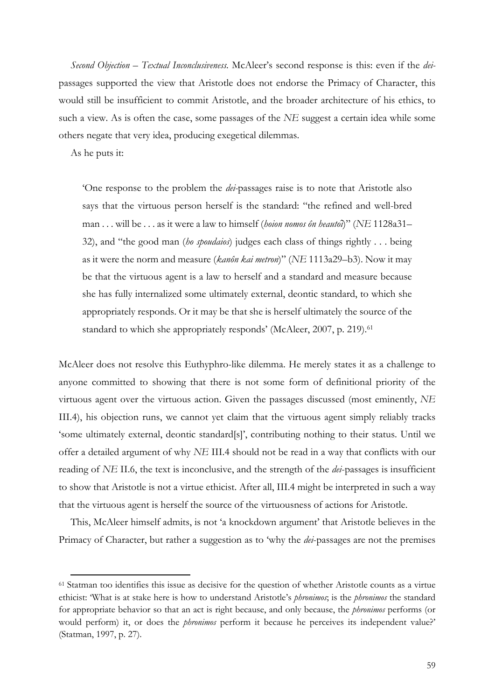*Second Objection – Textual Inconclusiveness.* McAleer's second response is this: even if the *dei*passages supported the view that Aristotle does not endorse the Primacy of Character, this would still be insufficient to commit Aristotle, and the broader architecture of his ethics, to such a view. As is often the case, some passages of the *NE* suggest a certain idea while some others negate that very idea, producing exegetical dilemmas.

As he puts it:

 $\overline{a}$ 

'One response to the problem the *dei-*passages raise is to note that Aristotle also says that the virtuous person herself is the standard: "the refined and well-bred man . . . will be . . . as it were a law to himself (*hoion nomos ôn heautôi*)" (*NE* 1128a31– 32), and "the good man (*ho spoudaios*) judges each class of things rightly . . . being as it were the norm and measure (*kanôn kai metron*)" (*NE* 1113a29–b3). Now it may be that the virtuous agent is a law to herself and a standard and measure because she has fully internalized some ultimately external, deontic standard, to which she appropriately responds. Or it may be that she is herself ultimately the source of the standard to which she appropriately responds' (McAleer, 2007, p. 219).<sup>61</sup>

McAleer does not resolve this Euthyphro-like dilemma. He merely states it as a challenge to anyone committed to showing that there is not some form of definitional priority of the virtuous agent over the virtuous action. Given the passages discussed (most eminently, *NE*  III.4), his objection runs, we cannot yet claim that the virtuous agent simply reliably tracks 'some ultimately external, deontic standard[s]', contributing nothing to their status. Until we offer a detailed argument of why *NE* III.4 should not be read in a way that conflicts with our reading of *NE* II.6, the text is inconclusive, and the strength of the *dei*-passages is insufficient to show that Aristotle is not a virtue ethicist. After all, III.4 might be interpreted in such a way that the virtuous agent is herself the source of the virtuousness of actions for Aristotle.

This, McAleer himself admits, is not 'a knockdown argument' that Aristotle believes in the Primacy of Character, but rather a suggestion as to 'why the *dei*-passages are not the premises

<sup>61</sup> Statman too identifies this issue as decisive for the question of whether Aristotle counts as a virtue ethicist: 'What is at stake here is how to understand Aristotle's *phronimos*; is the *phronimos* the standard for appropriate behavior so that an act is right because, and only because, the *phronimos* performs (or would perform) it, or does the *phronimos* perform it because he perceives its independent value?' (Statman, 1997, p. 27).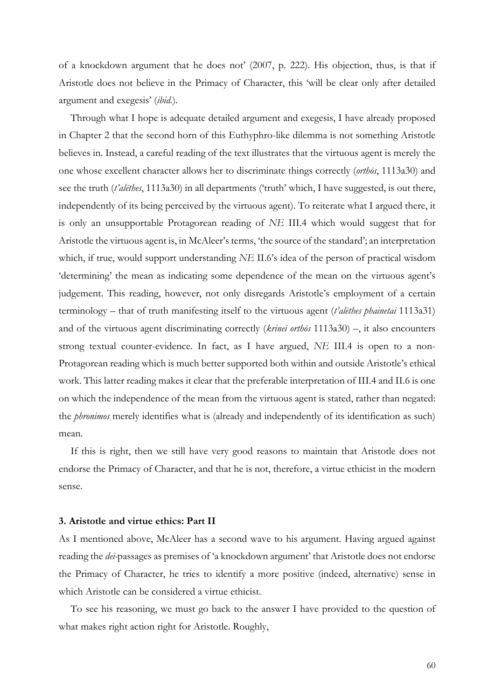of a knockdown argument that he does not' (2007, p. 222). His objection, thus, is that if Aristotle does not believe in the Primacy of Character, this 'will be clear only after detailed argument and exegesis' (*ibid.*).

Through what I hope is adequate detailed argument and exegesis, I have already proposed in Chapter 2 that the second horn of this Euthyphro-like dilemma is not something Aristotle believes in. Instead, a careful reading of the text illustrates that the virtuous agent is merely the one whose excellent character allows her to discriminate things correctly (*orthōs*, 1113a30) and see the truth (*t'alēthes*, 1113a30) in all departments ('truth' which, I have suggested, is out there, independently of its being perceived by the virtuous agent). To reiterate what I argued there, it is only an unsupportable Protagorean reading of *NE* III.4 which would suggest that for Aristotle the virtuous agent is, in McAleer's terms, 'the source of the standard'; an interpretation which, if true, would support understanding *NE* II.6's idea of the person of practical wisdom 'determining' the mean as indicating some dependence of the mean on the virtuous agent's judgement. This reading, however, not only disregards Aristotle's employment of a certain terminology – that of truth manifesting itself to the virtuous agent (*t'alēthes phainetai* 1113a31) and of the virtuous agent discriminating correctly (*krinei orthōs* 1113a30) –, it also encounters strong textual counter-evidence. In fact, as I have argued, *NE* III.4 is open to a non-Protagorean reading which is much better supported both within and outside Aristotle's ethical work. This latter reading makes it clear that the preferable interpretation of III.4 and II.6 is one on which the independence of the mean from the virtuous agent is stated, rather than negated: the *phronimos* merely identifies what is (already and independently of its identification as such) mean.

If this is right, then we still have very good reasons to maintain that Aristotle does not endorse the Primacy of Character, and that he is not, therefore, a virtue ethicist in the modern sense.

#### **3. Aristotle and virtue ethics: Part II**

As I mentioned above, McAleer has a second wave to his argument. Having argued against reading the *dei-*passages as premises of 'a knockdown argument' that Aristotle does not endorse the Primacy of Character, he tries to identify a more positive (indeed, alternative) sense in which Aristotle can be considered a virtue ethicist.

To see his reasoning, we must go back to the answer I have provided to the question of what makes right action right for Aristotle. Roughly,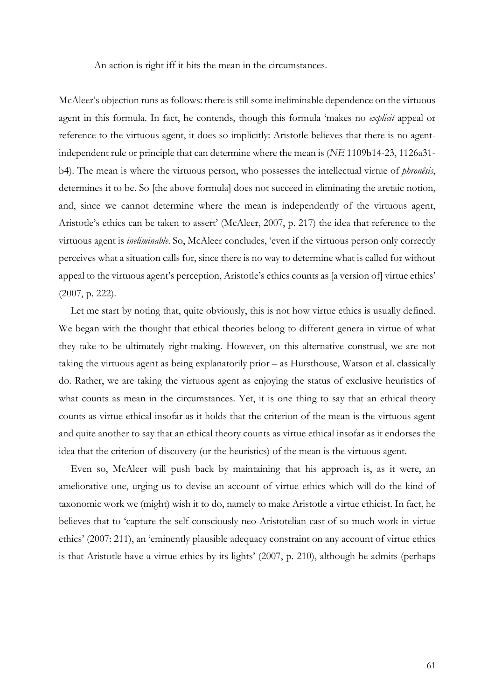An action is right iff it hits the mean in the circumstances.

McAleer's objection runs as follows: there is still some ineliminable dependence on the virtuous agent in this formula. In fact, he contends, though this formula 'makes no *explicit* appeal or reference to the virtuous agent, it does so implicitly: Aristotle believes that there is no agentindependent rule or principle that can determine where the mean is (*NE* 1109b14-23, 1126a31 b4). The mean is where the virtuous person, who possesses the intellectual virtue of *phronêsis*, determines it to be. So [the above formula] does not succeed in eliminating the aretaic notion, and, since we cannot determine where the mean is independently of the virtuous agent, Aristotle's ethics can be taken to assert' (McAleer, 2007, p. 217) the idea that reference to the virtuous agent is *ineliminable*. So, McAleer concludes, 'even if the virtuous person only correctly perceives what a situation calls for, since there is no way to determine what is called for without appeal to the virtuous agent's perception, Aristotle's ethics counts as [a version of] virtue ethics' (2007, p. 222).

Let me start by noting that, quite obviously, this is not how virtue ethics is usually defined. We began with the thought that ethical theories belong to different genera in virtue of what they take to be ultimately right-making. However, on this alternative construal, we are not taking the virtuous agent as being explanatorily prior – as Hursthouse, Watson et al. classically do. Rather, we are taking the virtuous agent as enjoying the status of exclusive heuristics of what counts as mean in the circumstances. Yet, it is one thing to say that an ethical theory counts as virtue ethical insofar as it holds that the criterion of the mean is the virtuous agent and quite another to say that an ethical theory counts as virtue ethical insofar as it endorses the idea that the criterion of discovery (or the heuristics) of the mean is the virtuous agent.

Even so, McAleer will push back by maintaining that his approach is, as it were, an ameliorative one, urging us to devise an account of virtue ethics which will do the kind of taxonomic work we (might) wish it to do, namely to make Aristotle a virtue ethicist. In fact, he believes that to 'capture the self-consciously neo-Aristotelian cast of so much work in virtue ethics' (2007: 211), an 'eminently plausible adequacy constraint on any account of virtue ethics is that Aristotle have a virtue ethics by its lights' (2007, p. 210), although he admits (perhaps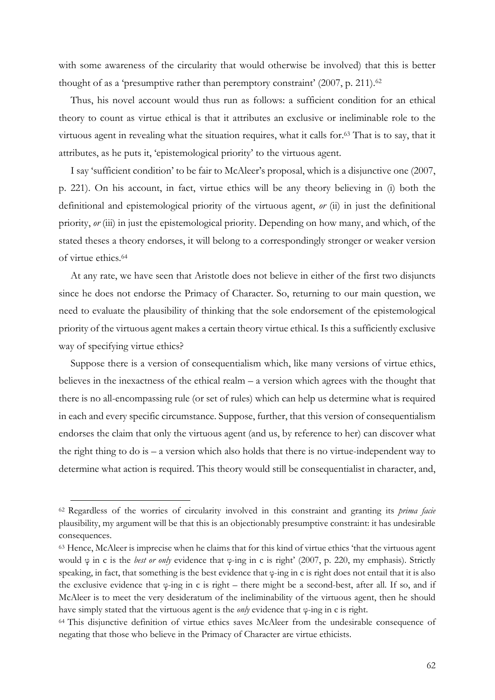with some awareness of the circularity that would otherwise be involved) that this is better thought of as a 'presumptive rather than peremptory constraint' (2007, p. 211).<sup>62</sup>

Thus, his novel account would thus run as follows: a sufficient condition for an ethical theory to count as virtue ethical is that it attributes an exclusive or ineliminable role to the virtuous agent in revealing what the situation requires, what it calls for.63 That is to say, that it attributes, as he puts it, 'epistemological priority' to the virtuous agent.

I say 'sufficient condition' to be fair to McAleer's proposal, which is a disjunctive one (2007, p. 221). On his account, in fact, virtue ethics will be any theory believing in (i) both the definitional and epistemological priority of the virtuous agent, *or* (ii) in just the definitional priority, *or* (iii) in just the epistemological priority. Depending on how many, and which, of the stated theses a theory endorses, it will belong to a correspondingly stronger or weaker version of virtue ethics.64

At any rate, we have seen that Aristotle does not believe in either of the first two disjuncts since he does not endorse the Primacy of Character. So, returning to our main question, we need to evaluate the plausibility of thinking that the sole endorsement of the epistemological priority of the virtuous agent makes a certain theory virtue ethical. Is this a sufficiently exclusive way of specifying virtue ethics?

Suppose there is a version of consequentialism which, like many versions of virtue ethics, believes in the inexactness of the ethical realm  $-$  a version which agrees with the thought that there is no all-encompassing rule (or set of rules) which can help us determine what is required in each and every specific circumstance. Suppose, further, that this version of consequentialism endorses the claim that only the virtuous agent (and us, by reference to her) can discover what the right thing to do is – a version which also holds that there is no virtue-independent way to determine what action is required. This theory would still be consequentialist in character, and,

<sup>62</sup> Regardless of the worries of circularity involved in this constraint and granting its *prima facie* plausibility, my argument will be that this is an objectionably presumptive constraint: it has undesirable consequences.

<sup>63</sup> Hence, McAleer is imprecise when he claims that for this kind of virtue ethics 'that the virtuous agent would φ in c is the *best or only* evidence that φ-ing in c is right' (2007, p. 220, my emphasis). Strictly speaking, in fact, that something is the best evidence that φ-ing in c is right does not entail that it is also the exclusive evidence that  $\varphi$ -ing in c is right – there might be a second-best, after all. If so, and if McAleer is to meet the very desideratum of the ineliminability of the virtuous agent, then he should have simply stated that the virtuous agent is the *only* evidence that φ-ing in c is right.

<sup>64</sup> This disjunctive definition of virtue ethics saves McAleer from the undesirable consequence of negating that those who believe in the Primacy of Character are virtue ethicists.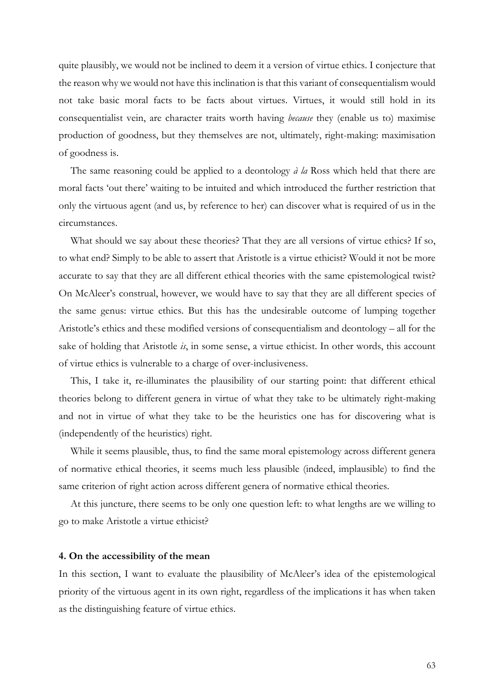quite plausibly, we would not be inclined to deem it a version of virtue ethics. I conjecture that the reason why we would not have this inclination is that this variant of consequentialism would not take basic moral facts to be facts about virtues. Virtues, it would still hold in its consequentialist vein, are character traits worth having *because* they (enable us to) maximise production of goodness, but they themselves are not, ultimately, right-making: maximisation of goodness is.

The same reasoning could be applied to a deontology *à la* Ross which held that there are moral facts 'out there' waiting to be intuited and which introduced the further restriction that only the virtuous agent (and us, by reference to her) can discover what is required of us in the circumstances.

What should we say about these theories? That they are all versions of virtue ethics? If so, to what end? Simply to be able to assert that Aristotle is a virtue ethicist? Would it not be more accurate to say that they are all different ethical theories with the same epistemological twist? On McAleer's construal, however, we would have to say that they are all different species of the same genus: virtue ethics. But this has the undesirable outcome of lumping together Aristotle's ethics and these modified versions of consequentialism and deontology – all for the sake of holding that Aristotle *is*, in some sense, a virtue ethicist. In other words, this account of virtue ethics is vulnerable to a charge of over-inclusiveness.

This, I take it, re-illuminates the plausibility of our starting point: that different ethical theories belong to different genera in virtue of what they take to be ultimately right-making and not in virtue of what they take to be the heuristics one has for discovering what is (independently of the heuristics) right.

While it seems plausible, thus, to find the same moral epistemology across different genera of normative ethical theories, it seems much less plausible (indeed, implausible) to find the same criterion of right action across different genera of normative ethical theories.

At this juncture, there seems to be only one question left: to what lengths are we willing to go to make Aristotle a virtue ethicist?

#### **4. On the accessibility of the mean**

In this section, I want to evaluate the plausibility of McAleer's idea of the epistemological priority of the virtuous agent in its own right, regardless of the implications it has when taken as the distinguishing feature of virtue ethics.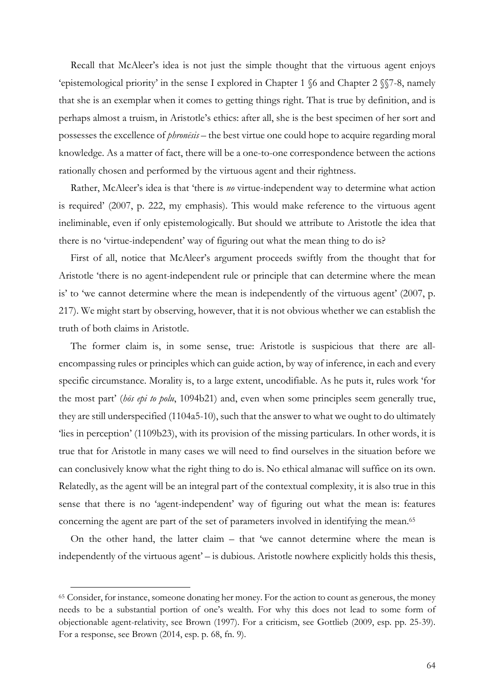Recall that McAleer's idea is not just the simple thought that the virtuous agent enjoys 'epistemological priority' in the sense I explored in Chapter 1 §6 and Chapter 2 §§7-8, namely that she is an exemplar when it comes to getting things right. That is true by definition, and is perhaps almost a truism, in Aristotle's ethics: after all, she is the best specimen of her sort and possesses the excellence of *phronēsis* – the best virtue one could hope to acquire regarding moral knowledge. As a matter of fact, there will be a one-to-one correspondence between the actions rationally chosen and performed by the virtuous agent and their rightness.

Rather, McAleer's idea is that 'there is *no* virtue-independent way to determine what action is required' (2007, p. 222, my emphasis). This would make reference to the virtuous agent ineliminable, even if only epistemologically. But should we attribute to Aristotle the idea that there is no 'virtue-independent' way of figuring out what the mean thing to do is?

First of all, notice that McAleer's argument proceeds swiftly from the thought that for Aristotle 'there is no agent-independent rule or principle that can determine where the mean is' to 'we cannot determine where the mean is independently of the virtuous agent' (2007, p. 217). We might start by observing, however, that it is not obvious whether we can establish the truth of both claims in Aristotle.

The former claim is, in some sense, true: Aristotle is suspicious that there are allencompassing rules or principles which can guide action, by way of inference, in each and every specific circumstance. Morality is, to a large extent, uncodifiable. As he puts it, rules work 'for the most part' (*hōs epi to polu*, 1094b21) and, even when some principles seem generally true, they are still underspecified (1104a5-10), such that the answer to what we ought to do ultimately 'lies in perception' (1109b23), with its provision of the missing particulars. In other words, it is true that for Aristotle in many cases we will need to find ourselves in the situation before we can conclusively know what the right thing to do is. No ethical almanac will suffice on its own. Relatedly, as the agent will be an integral part of the contextual complexity, it is also true in this sense that there is no 'agent-independent' way of figuring out what the mean is: features concerning the agent are part of the set of parameters involved in identifying the mean.<sup>65</sup>

On the other hand, the latter claim – that 'we cannot determine where the mean is independently of the virtuous agent' – is dubious. Aristotle nowhere explicitly holds this thesis,

<sup>65</sup> Consider, for instance, someone donating her money. For the action to count as generous, the money needs to be a substantial portion of one's wealth. For why this does not lead to some form of objectionable agent-relativity, see Brown (1997). For a criticism, see Gottlieb (2009, esp. pp. 25-39). For a response, see Brown (2014, esp. p. 68, fn. 9).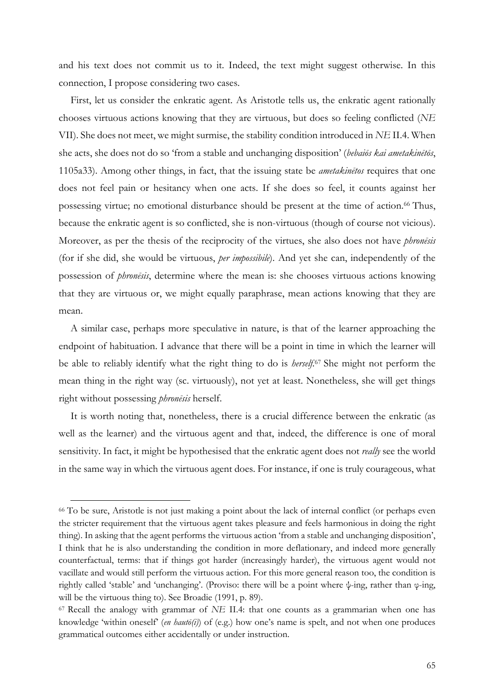and his text does not commit us to it. Indeed, the text might suggest otherwise. In this connection, I propose considering two cases.

First, let us consider the enkratic agent. As Aristotle tells us, the enkratic agent rationally chooses virtuous actions knowing that they are virtuous, but does so feeling conflicted (*NE*  VII). She does not meet, we might surmise, the stability condition introduced in *NE* II.4. When she acts, she does not do so 'from a stable and unchanging disposition' (*bebaiōs kai ametakinētōs*, 1105a33). Among other things, in fact, that the issuing state be *ametakinētos* requires that one does not feel pain or hesitancy when one acts. If she does so feel, it counts against her possessing virtue; no emotional disturbance should be present at the time of action.<sup>66</sup> Thus, because the enkratic agent is so conflicted, she is non-virtuous (though of course not vicious). Moreover, as per the thesis of the reciprocity of the virtues, she also does not have *phronēsis*  (for if she did, she would be virtuous, *per impossibile*). And yet she can, independently of the possession of *phronēsis*, determine where the mean is: she chooses virtuous actions knowing that they are virtuous or, we might equally paraphrase, mean actions knowing that they are mean.

A similar case, perhaps more speculative in nature, is that of the learner approaching the endpoint of habituation. I advance that there will be a point in time in which the learner will be able to reliably identify what the right thing to do is *herself.*<sup>67</sup> She might not perform the mean thing in the right way (sc. virtuously), not yet at least. Nonetheless, she will get things right without possessing *phronēsis* herself.

It is worth noting that, nonetheless, there is a crucial difference between the enkratic (as well as the learner) and the virtuous agent and that, indeed, the difference is one of moral sensitivity. In fact, it might be hypothesised that the enkratic agent does not *really* see the world in the same way in which the virtuous agent does. For instance, if one is truly courageous, what

<sup>66</sup> To be sure, Aristotle is not just making a point about the lack of internal conflict (or perhaps even the stricter requirement that the virtuous agent takes pleasure and feels harmonious in doing the right thing). In asking that the agent performs the virtuous action 'from a stable and unchanging disposition', I think that he is also understanding the condition in more deflationary, and indeed more generally counterfactual, terms: that if things got harder (increasingly harder), the virtuous agent would not vacillate and would still perform the virtuous action. For this more general reason too, the condition is rightly called 'stable' and 'unchanging'. (Proviso: there will be a point where ψ-ing, rather than φ-ing, will be the virtuous thing to). See Broadie (1991, p. 89).

<sup>67</sup> Recall the analogy with grammar of *NE* II.4: that one counts as a grammarian when one has knowledge 'within oneself' (*en hautō(i)*) of (e.g.) how one's name is spelt, and not when one produces grammatical outcomes either accidentally or under instruction.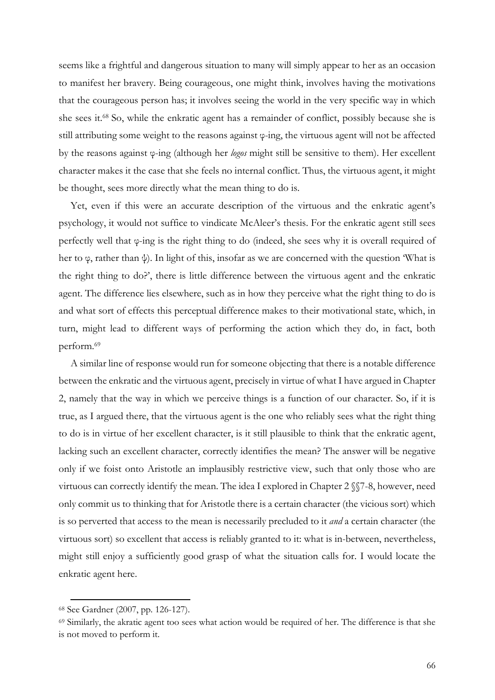seems like a frightful and dangerous situation to many will simply appear to her as an occasion to manifest her bravery. Being courageous, one might think, involves having the motivations that the courageous person has; it involves seeing the world in the very specific way in which she sees it.68 So, while the enkratic agent has a remainder of conflict, possibly because she is still attributing some weight to the reasons against φ-ing, the virtuous agent will not be affected by the reasons against φ-ing (although her *logos* might still be sensitive to them). Her excellent character makes it the case that she feels no internal conflict. Thus, the virtuous agent, it might be thought, sees more directly what the mean thing to do is.

Yet, even if this were an accurate description of the virtuous and the enkratic agent's psychology, it would not suffice to vindicate McAleer's thesis. For the enkratic agent still sees perfectly well that φ-ing is the right thing to do (indeed, she sees why it is overall required of her to φ, rather than ψ). In light of this, insofar as we are concerned with the question 'What is the right thing to do?', there is little difference between the virtuous agent and the enkratic agent. The difference lies elsewhere, such as in how they perceive what the right thing to do is and what sort of effects this perceptual difference makes to their motivational state, which, in turn, might lead to different ways of performing the action which they do, in fact, both perform.69

A similar line of response would run for someone objecting that there is a notable difference between the enkratic and the virtuous agent, precisely in virtue of what I have argued in Chapter 2, namely that the way in which we perceive things is a function of our character. So, if it is true, as I argued there, that the virtuous agent is the one who reliably sees what the right thing to do is in virtue of her excellent character, is it still plausible to think that the enkratic agent, lacking such an excellent character, correctly identifies the mean? The answer will be negative only if we foist onto Aristotle an implausibly restrictive view, such that only those who are virtuous can correctly identify the mean. The idea I explored in Chapter 2 §§7-8, however, need only commit us to thinking that for Aristotle there is a certain character (the vicious sort) which is so perverted that access to the mean is necessarily precluded to it *and* a certain character (the virtuous sort) so excellent that access is reliably granted to it: what is in-between, nevertheless, might still enjoy a sufficiently good grasp of what the situation calls for. I would locate the enkratic agent here.

<sup>68</sup> See Gardner (2007, pp. 126-127).

<sup>&</sup>lt;sup>69</sup> Similarly, the akratic agent too sees what action would be required of her. The difference is that she is not moved to perform it.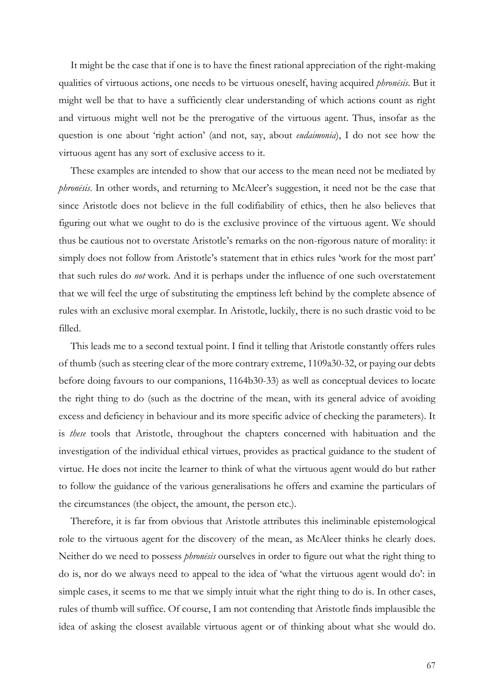It might be the case that if one is to have the finest rational appreciation of the right-making qualities of virtuous actions, one needs to be virtuous oneself, having acquired *phronēsis*. But it might well be that to have a sufficiently clear understanding of which actions count as right and virtuous might well not be the prerogative of the virtuous agent. Thus, insofar as the question is one about 'right action' (and not, say, about *eudaimonia*), I do not see how the virtuous agent has any sort of exclusive access to it.

These examples are intended to show that our access to the mean need not be mediated by *phronēsis*. In other words, and returning to McAleer's suggestion, it need not be the case that since Aristotle does not believe in the full codifiability of ethics, then he also believes that figuring out what we ought to do is the exclusive province of the virtuous agent. We should thus be cautious not to overstate Aristotle's remarks on the non-rigorous nature of morality: it simply does not follow from Aristotle's statement that in ethics rules 'work for the most part' that such rules do *not* work. And it is perhaps under the influence of one such overstatement that we will feel the urge of substituting the emptiness left behind by the complete absence of rules with an exclusive moral exemplar. In Aristotle, luckily, there is no such drastic void to be filled.

This leads me to a second textual point. I find it telling that Aristotle constantly offers rules of thumb (such as steering clear of the more contrary extreme, 1109a30-32, or paying our debts before doing favours to our companions, 1164b30-33) as well as conceptual devices to locate the right thing to do (such as the doctrine of the mean, with its general advice of avoiding excess and deficiency in behaviour and its more specific advice of checking the parameters). It is *these* tools that Aristotle, throughout the chapters concerned with habituation and the investigation of the individual ethical virtues, provides as practical guidance to the student of virtue. He does not incite the learner to think of what the virtuous agent would do but rather to follow the guidance of the various generalisations he offers and examine the particulars of the circumstances (the object, the amount, the person etc.).

Therefore, it is far from obvious that Aristotle attributes this ineliminable epistemological role to the virtuous agent for the discovery of the mean, as McAleer thinks he clearly does. Neither do we need to possess *phronēsis* ourselves in order to figure out what the right thing to do is, nor do we always need to appeal to the idea of 'what the virtuous agent would do': in simple cases, it seems to me that we simply intuit what the right thing to do is. In other cases, rules of thumb will suffice. Of course, I am not contending that Aristotle finds implausible the idea of asking the closest available virtuous agent or of thinking about what she would do.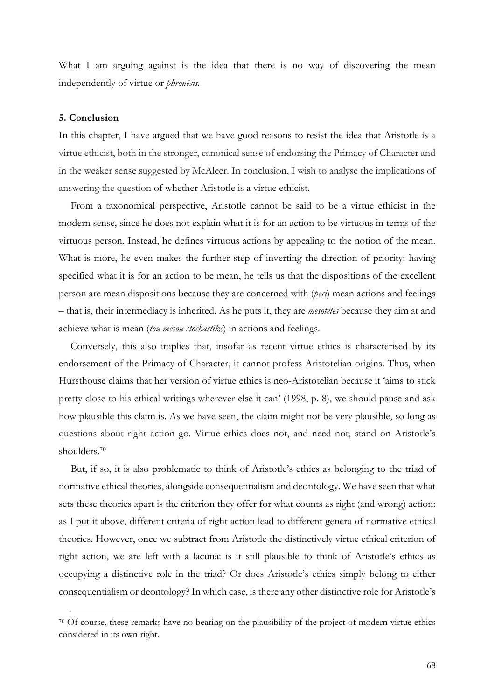What I am arguing against is the idea that there is no way of discovering the mean independently of virtue or *phronēsis.*

### **5. Conclusion**

 $\overline{a}$ 

In this chapter, I have argued that we have good reasons to resist the idea that Aristotle is a virtue ethicist, both in the stronger, canonical sense of endorsing the Primacy of Character and in the weaker sense suggested by McAleer. In conclusion, I wish to analyse the implications of answering the question of whether Aristotle is a virtue ethicist.

From a taxonomical perspective, Aristotle cannot be said to be a virtue ethicist in the modern sense, since he does not explain what it is for an action to be virtuous in terms of the virtuous person. Instead, he defines virtuous actions by appealing to the notion of the mean. What is more, he even makes the further step of inverting the direction of priority: having specified what it is for an action to be mean, he tells us that the dispositions of the excellent person are mean dispositions because they are concerned with (*peri*) mean actions and feelings – that is, their intermediacy is inherited. As he puts it, they are *mesotētes* because they aim at and achieve what is mean (*tou mesou stochastikē*) in actions and feelings.

Conversely, this also implies that, insofar as recent virtue ethics is characterised by its endorsement of the Primacy of Character, it cannot profess Aristotelian origins. Thus, when Hursthouse claims that her version of virtue ethics is neo-Aristotelian because it 'aims to stick pretty close to his ethical writings wherever else it can' (1998, p. 8), we should pause and ask how plausible this claim is. As we have seen, the claim might not be very plausible, so long as questions about right action go. Virtue ethics does not, and need not, stand on Aristotle's shoulders. 70

But, if so, it is also problematic to think of Aristotle's ethics as belonging to the triad of normative ethical theories, alongside consequentialism and deontology. We have seen that what sets these theories apart is the criterion they offer for what counts as right (and wrong) action: as I put it above, different criteria of right action lead to different genera of normative ethical theories. However, once we subtract from Aristotle the distinctively virtue ethical criterion of right action, we are left with a lacuna: is it still plausible to think of Aristotle's ethics as occupying a distinctive role in the triad? Or does Aristotle's ethics simply belong to either consequentialism or deontology? In which case, is there any other distinctive role for Aristotle's

<sup>70</sup> Of course, these remarks have no bearing on the plausibility of the project of modern virtue ethics considered in its own right.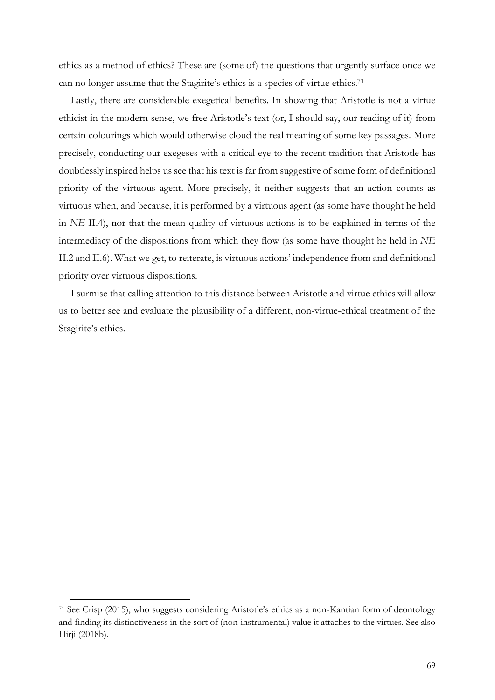ethics as a method of ethics? These are (some of) the questions that urgently surface once we can no longer assume that the Stagirite's ethics is a species of virtue ethics.71

Lastly, there are considerable exegetical benefits. In showing that Aristotle is not a virtue ethicist in the modern sense, we free Aristotle's text (or, I should say, our reading of it) from certain colourings which would otherwise cloud the real meaning of some key passages. More precisely, conducting our exegeses with a critical eye to the recent tradition that Aristotle has doubtlessly inspired helps us see that his text is far from suggestive of some form of definitional priority of the virtuous agent. More precisely, it neither suggests that an action counts as virtuous when, and because, it is performed by a virtuous agent (as some have thought he held in *NE* II.4), nor that the mean quality of virtuous actions is to be explained in terms of the intermediacy of the dispositions from which they flow (as some have thought he held in *NE*  II.2 and II.6). What we get, to reiterate, is virtuous actions' independence from and definitional priority over virtuous dispositions.

I surmise that calling attention to this distance between Aristotle and virtue ethics will allow us to better see and evaluate the plausibility of a different, non-virtue-ethical treatment of the Stagirite's ethics.

<sup>71</sup> See Crisp (2015), who suggests considering Aristotle's ethics as a non-Kantian form of deontology and finding its distinctiveness in the sort of (non-instrumental) value it attaches to the virtues. See also Hirji (2018b).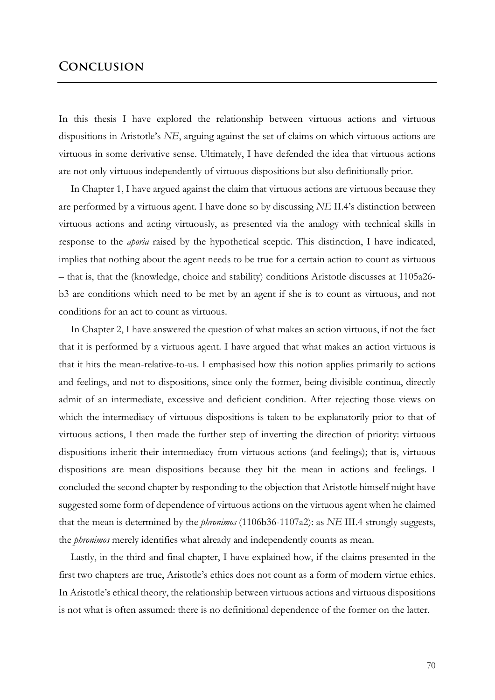## **Conclusion**

In this thesis I have explored the relationship between virtuous actions and virtuous dispositions in Aristotle's *NE*, arguing against the set of claims on which virtuous actions are virtuous in some derivative sense. Ultimately, I have defended the idea that virtuous actions are not only virtuous independently of virtuous dispositions but also definitionally prior.

In Chapter 1, I have argued against the claim that virtuous actions are virtuous because they are performed by a virtuous agent. I have done so by discussing *NE* II.4's distinction between virtuous actions and acting virtuously, as presented via the analogy with technical skills in response to the *aporia* raised by the hypothetical sceptic. This distinction, I have indicated, implies that nothing about the agent needs to be true for a certain action to count as virtuous – that is, that the (knowledge, choice and stability) conditions Aristotle discusses at 1105a26 b3 are conditions which need to be met by an agent if she is to count as virtuous, and not conditions for an act to count as virtuous.

In Chapter 2, I have answered the question of what makes an action virtuous, if not the fact that it is performed by a virtuous agent. I have argued that what makes an action virtuous is that it hits the mean-relative-to-us. I emphasised how this notion applies primarily to actions and feelings, and not to dispositions, since only the former, being divisible continua, directly admit of an intermediate, excessive and deficient condition. After rejecting those views on which the intermediacy of virtuous dispositions is taken to be explanatorily prior to that of virtuous actions, I then made the further step of inverting the direction of priority: virtuous dispositions inherit their intermediacy from virtuous actions (and feelings); that is, virtuous dispositions are mean dispositions because they hit the mean in actions and feelings. I concluded the second chapter by responding to the objection that Aristotle himself might have suggested some form of dependence of virtuous actions on the virtuous agent when he claimed that the mean is determined by the *phronimos* (1106b36-1107a2): as *NE* III.4 strongly suggests, the *phronimos* merely identifies what already and independently counts as mean.

Lastly, in the third and final chapter, I have explained how, if the claims presented in the first two chapters are true, Aristotle's ethics does not count as a form of modern virtue ethics. In Aristotle's ethical theory, the relationship between virtuous actions and virtuous dispositions is not what is often assumed: there is no definitional dependence of the former on the latter.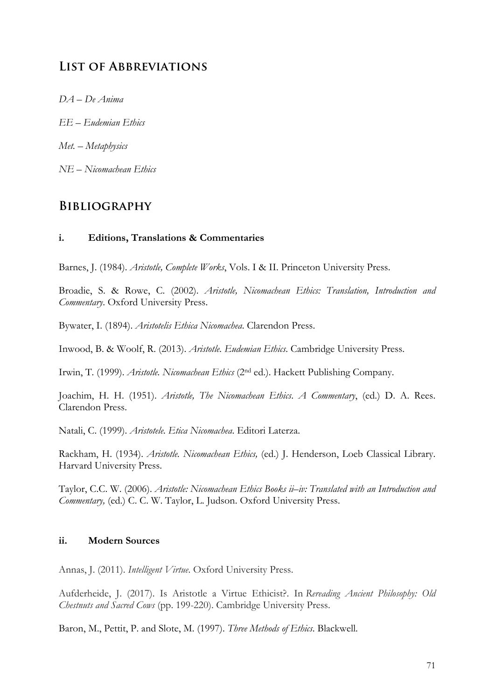## **List of Abbreviations**

- *DA – De Anima*
- *EE – Eudemian Ethics*
- *Met. – Metaphysics*
- *NE – Nicomachean Ethics*

## **Bibliography**

## **i. Editions, Translations & Commentaries**

Barnes, J. (1984). *Aristotle, Complete Works*, Vols. I & II. Princeton University Press.

Broadie, S. & Rowe, C. (2002). *Aristotle, Nicomachean Ethics: Translation, Introduction and Commentary*. Oxford University Press.

Bywater, I. (1894). *Aristotelis Ethica Nicomachea*. Clarendon Press.

Inwood, B. & Woolf, R. (2013). *Aristotle. Eudemian Ethics*. Cambridge University Press.

Irwin, T. (1999). *Aristotle. Nicomachean Ethics* (2nd ed.). Hackett Publishing Company.

Joachim, H. H. (1951). *Aristotle, The Nicomachean Ethics*. *A Commentary*, (ed.) D. A. Rees. Clarendon Press.

Natali, C. (1999). *Aristotele. Etica Nicomachea*. Editori Laterza.

Rackham, H. (1934). *Aristotle. Nicomachean Ethics,* (ed.) J. Henderson, Loeb Classical Library. Harvard University Press.

Taylor, C.C. W. (2006). *Aristotle: Nicomachean Ethics Books ii–iv: Translated with an Introduction and Commentary,* (ed.) C. C. W. Taylor, L. Judson. Oxford University Press.

## **ii. Modern Sources**

Annas, J. (2011). *Intelligent Virtue*. Oxford University Press.

Aufderheide, J. (2017). Is Aristotle a Virtue Ethicist?. In *Rereading Ancient Philosophy: Old Chestnuts and Sacred Cows* (pp. 199-220). Cambridge University Press.

Baron, M., Pettit, P. and Slote, M. (1997). *Three Methods of Ethics*. Blackwell.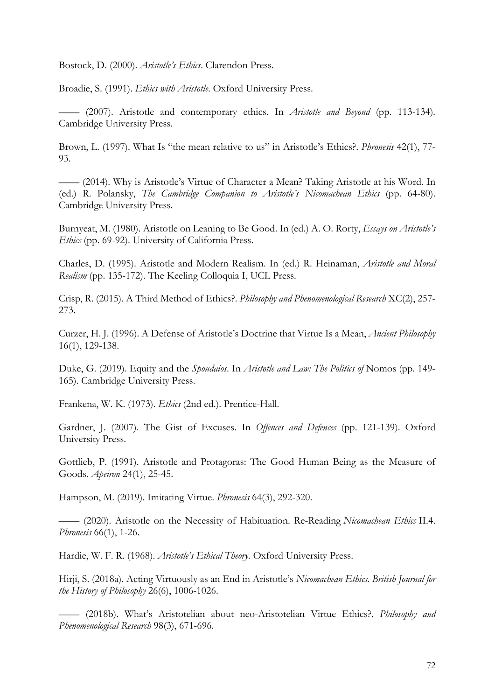Bostock, D. (2000). *Aristotle's Ethics*. Clarendon Press.

Broadie, S. (1991). *Ethics with Aristotle*. Oxford University Press.

—— (2007). Aristotle and contemporary ethics. In *Aristotle and Beyond* (pp. 113-134)*.*  Cambridge University Press.

Brown, L. (1997). What Is "the mean relative to us" in Aristotle's Ethics?. *Phronesis* 42(1), 77- 93.

—— (2014). Why is Aristotle's Virtue of Character a Mean? Taking Aristotle at his Word. In (ed.) R. Polansky, *The Cambridge Companion to Aristotle's Nicomachean Ethics* (pp. 64-80). Cambridge University Press.

Burnyeat, M. (1980). Aristotle on Leaning to Be Good. In (ed.) A. O. Rorty, *Essays on Aristotle's Ethics* (pp. 69-92). University of California Press.

Charles, D. (1995). Aristotle and Modern Realism. In (ed.) R. Heinaman, *Aristotle and Moral Realism* (pp. 135-172). The Keeling Colloquia I, UCL Press.

Crisp, R. (2015). A Third Method of Ethics?. *Philosophy and Phenomenological Research* XC(2), 257- 273.

Curzer, H. J. (1996). A Defense of Aristotle's Doctrine that Virtue Is a Mean, *Ancient Philosophy*  16(1), 129-138.

Duke, G. (2019). Equity and the *Spoudaios*. In *Aristotle and Law: The Politics of* Nomos (pp. 149- 165). Cambridge University Press.

Frankena, W. K. (1973). *Ethics* (2nd ed.). Prentice-Hall.

Gardner, J. (2007). The Gist of Excuses. In *Offences and Defences* (pp. 121-139). Oxford University Press.

Gottlieb, P. (1991). Aristotle and Protagoras: The Good Human Being as the Measure of Goods. *Apeiron* 24(1), 25-45.

Hampson, M. (2019). Imitating Virtue. *Phronesis* 64(3), 292-320.

—— (2020). Aristotle on the Necessity of Habituation. Re-Reading *Nicomachean Ethics* II.4. *Phronesis* 66(1), 1-26.

Hardie, W. F. R. (1968). *Aristotle's Ethical Theory.* Oxford University Press.

Hirji, S. (2018a). Acting Virtuously as an End in Aristotle's *Nicomachean Ethics*. *British Journal for the History of Philosophy* 26(6), 1006-1026.

—— (2018b). What's Aristotelian about neo-Aristotelian Virtue Ethics?. *Philosophy and Phenomenological Research* 98(3), 671-696.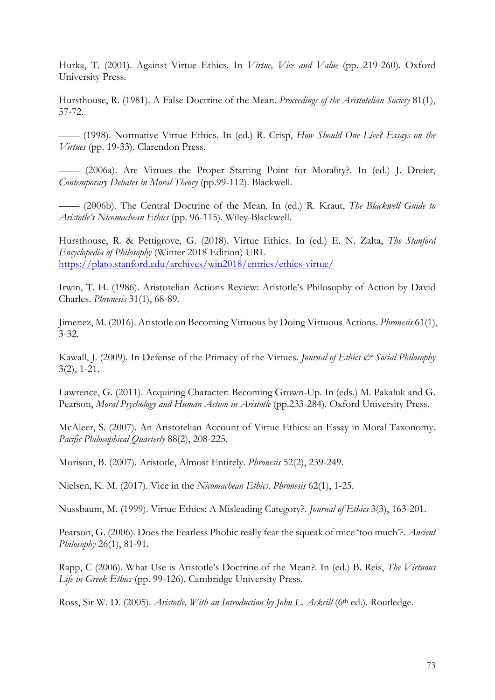Hurka, T. (2001). Against Virtue Ethics. In *Virtue, Vice and Value* (pp. 219-260). Oxford University Press.

Hursthouse, R. (1981). A False Doctrine of the Mean. *Proceedings of the Aristotelian Society* 81(1), 57-72.

—— (1998). Normative Virtue Ethics. In (ed.) R. Crisp, *How Should One Live? Essays on the Virtues* (pp. 19-33). Clarendon Press.

—— (2006a). Are Virtues the Proper Starting Point for Morality?. In (ed.) J. Dreier, *Contemporary Debates in Moral Theory* (pp.99-112). Blackwell.

—— (2006b). The Central Doctrine of the Mean. In (ed.) R. Kraut, *The Blackwell Guide to Aristotle's Nicomachean Ethics* (pp. 96-115). Wiley-Blackwell.

Hursthouse, R. & Pettigrove, G. (2018). Virtue Ethics. In (ed.) E. N. Zalta, *The Stanford Encyclopedia of Philosophy* (Winter 2018 Edition) URL https://plato.stanford.edu/archives/win2018/entries/ethics-virtue/

Irwin, T. H. (1986). Aristotelian Actions Review: Aristotle's Philosophy of Action by David Charles. *Phronesis* 31(1), 68-89.

Jimenez, M. (2016). Aristotle on Becoming Virtuous by Doing Virtuous Actions. *Phronesis* 61(1), 3-32.

Kawall, J. (2009). In Defense of the Primacy of the Virtues. *Journal of Ethics & Social Philosophy* 3(2), 1-21.

Lawrence, G. (2011). Acquiring Character: Becoming Grown-Up. In (eds.) M. Pakaluk and G. Pearson, *Moral Psychology and Human Action in Aristotle* (pp.233-284). Oxford University Press.

McAleer, S. (2007). An Aristotelian Account of Virtue Ethics: an Essay in Moral Taxonomy. *Pacific Philosophical Quarterly* 88(2), 208-225.

Morison, B. (2007). Aristotle, Almost Entirely. *Phronesis* 52(2), 239-249.

Nielsen, K. M. (2017). Vice in the *Nicomachean Ethics*. *Phronesis* 62(1), 1-25.

Nussbaum, M. (1999). Virtue Ethics: A Misleading Category?. *Journal of Ethics* 3(3), 163-201.

Pearson, G. (2006). Does the Fearless Phobic really fear the squeak of mice 'too much'?. *Ancient Philosophy* 26(1), 81-91.

Rapp, C (2006). What Use is Aristotle's Doctrine of the Mean?. In (ed.) B. Reis, *The Virtuous Life in Greek Ethics* (pp. 99-126). Cambridge University Press.

Ross, Sir W. D. (2005). *Aristotle. With an Introduction by John L. Ackrill* (6<sup>th</sup> ed.). Routledge.